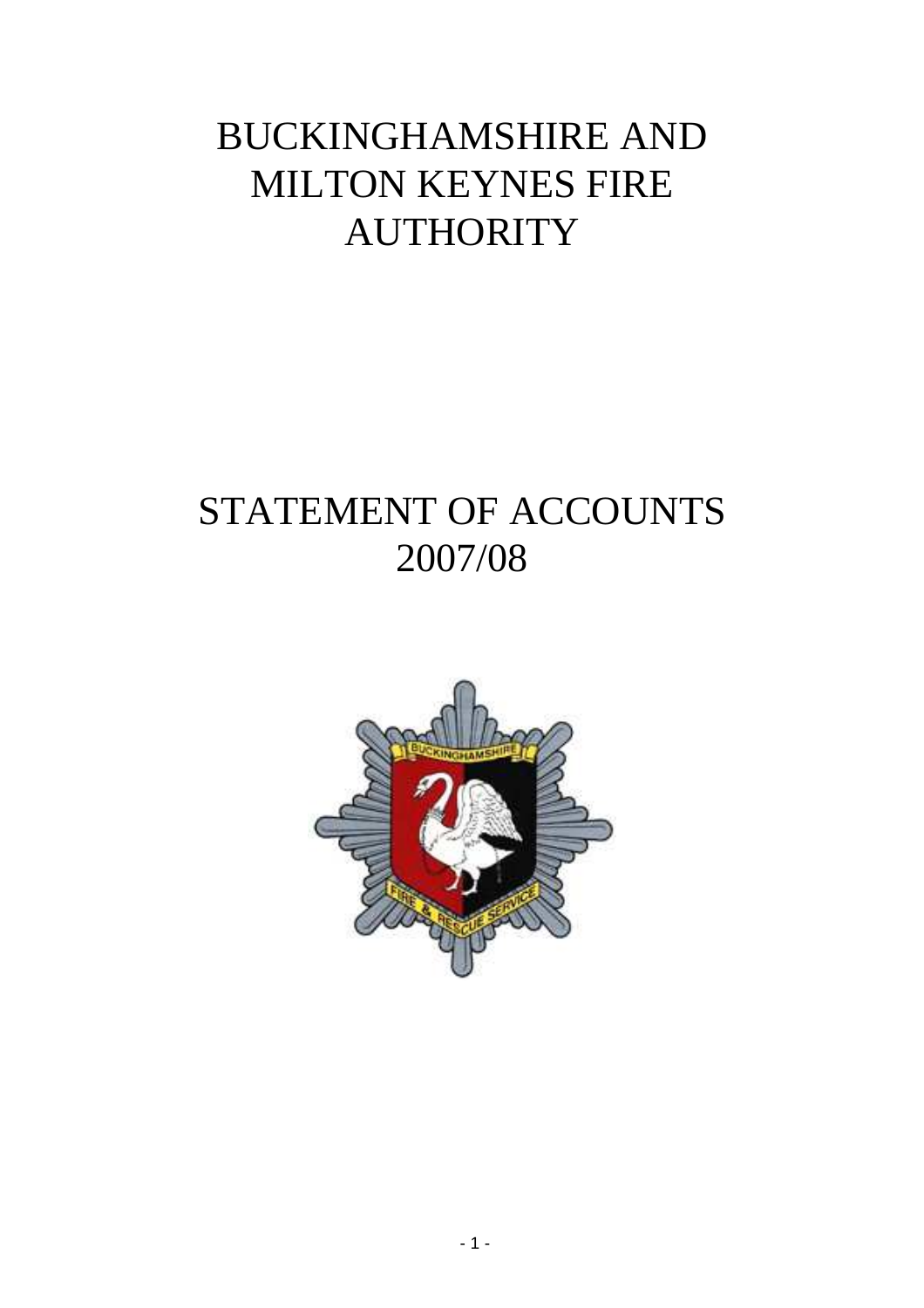# BUCKINGHAMSHIRE AND MILTON KEYNES FIRE **AUTHORITY**

# STATEMENT OF ACCOUNTS 2007/08

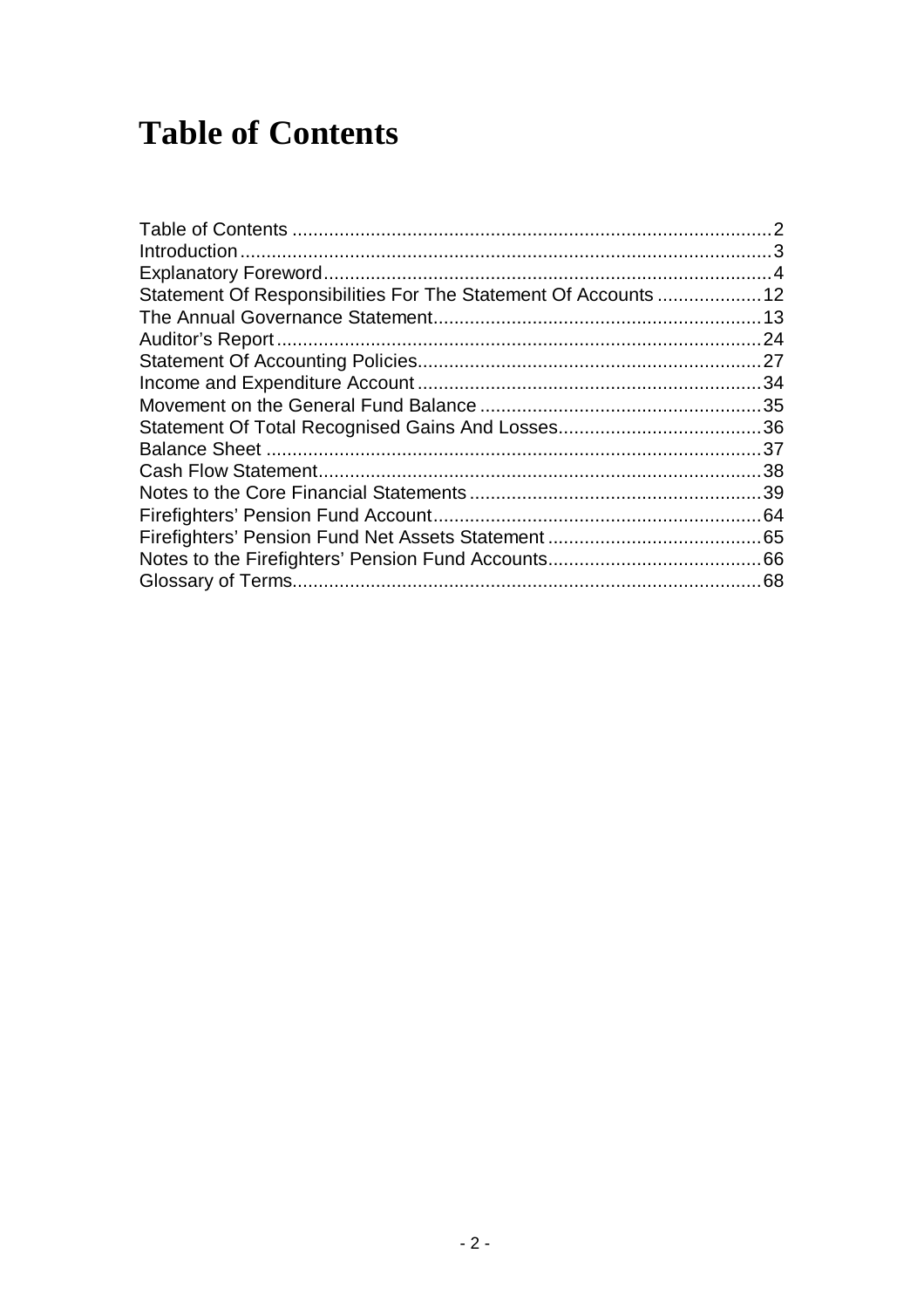# **Table of Contents**

| Statement Of Responsibilities For The Statement Of Accounts  12 |     |
|-----------------------------------------------------------------|-----|
|                                                                 |     |
|                                                                 | .24 |
|                                                                 |     |
|                                                                 |     |
|                                                                 |     |
|                                                                 |     |
|                                                                 |     |
|                                                                 | 38  |
|                                                                 |     |
|                                                                 |     |
|                                                                 |     |
|                                                                 |     |
|                                                                 |     |
|                                                                 |     |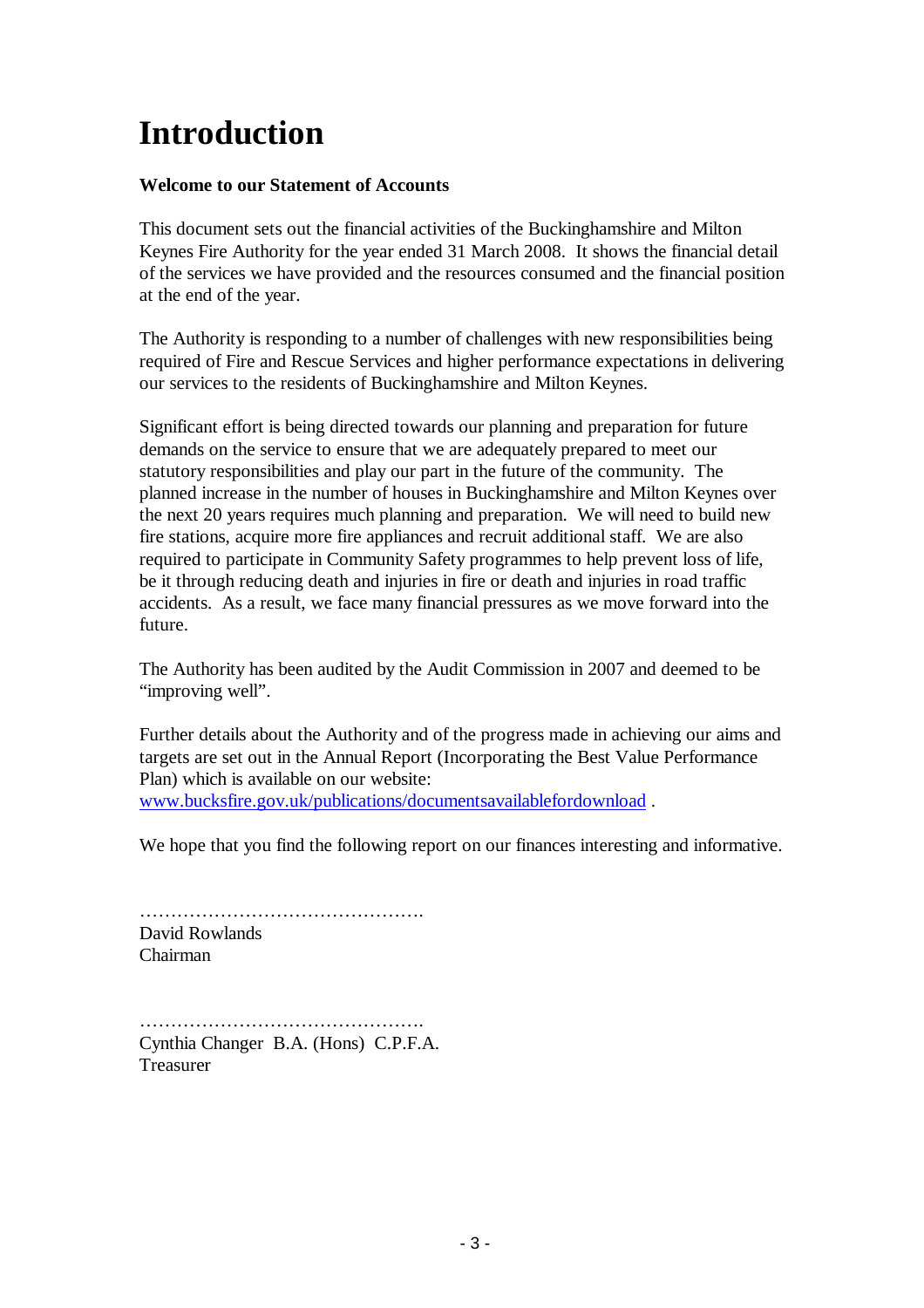# **Introduction**

## **Welcome to our Statement of Accounts**

This document sets out the financial activities of the Buckinghamshire and Milton Keynes Fire Authority for the year ended 31 March 2008. It shows the financial detail of the services we have provided and the resources consumed and the financial position at the end of the year.

The Authority is responding to a number of challenges with new responsibilities being required of Fire and Rescue Services and higher performance expectations in delivering our services to the residents of Buckinghamshire and Milton Keynes.

Significant effort is being directed towards our planning and preparation for future demands on the service to ensure that we are adequately prepared to meet our statutory responsibilities and play our part in the future of the community. The planned increase in the number of houses in Buckinghamshire and Milton Keynes over the next 20 years requires much planning and preparation. We will need to build new fire stations, acquire more fire appliances and recruit additional staff. We are also required to participate in Community Safety programmes to help prevent loss of life, be it through reducing death and injuries in fire or death and injuries in road traffic accidents. As a result, we face many financial pressures as we move forward into the future.

The Authority has been audited by the Audit Commission in 2007 and deemed to be "improving well".

Further details about the Authority and of the progress made in achieving our aims and targets are set out in the Annual Report (Incorporating the Best Value Performance Plan) which is available on our website: www.bucksfire.gov.uk/publications/documentsavailablefordownload .

We hope that you find the following report on our finances interesting and informative.

………………………………………. David Rowlands Chairman

………………………………………. Cynthia Changer B.A. (Hons) C.P.F.A. Treasurer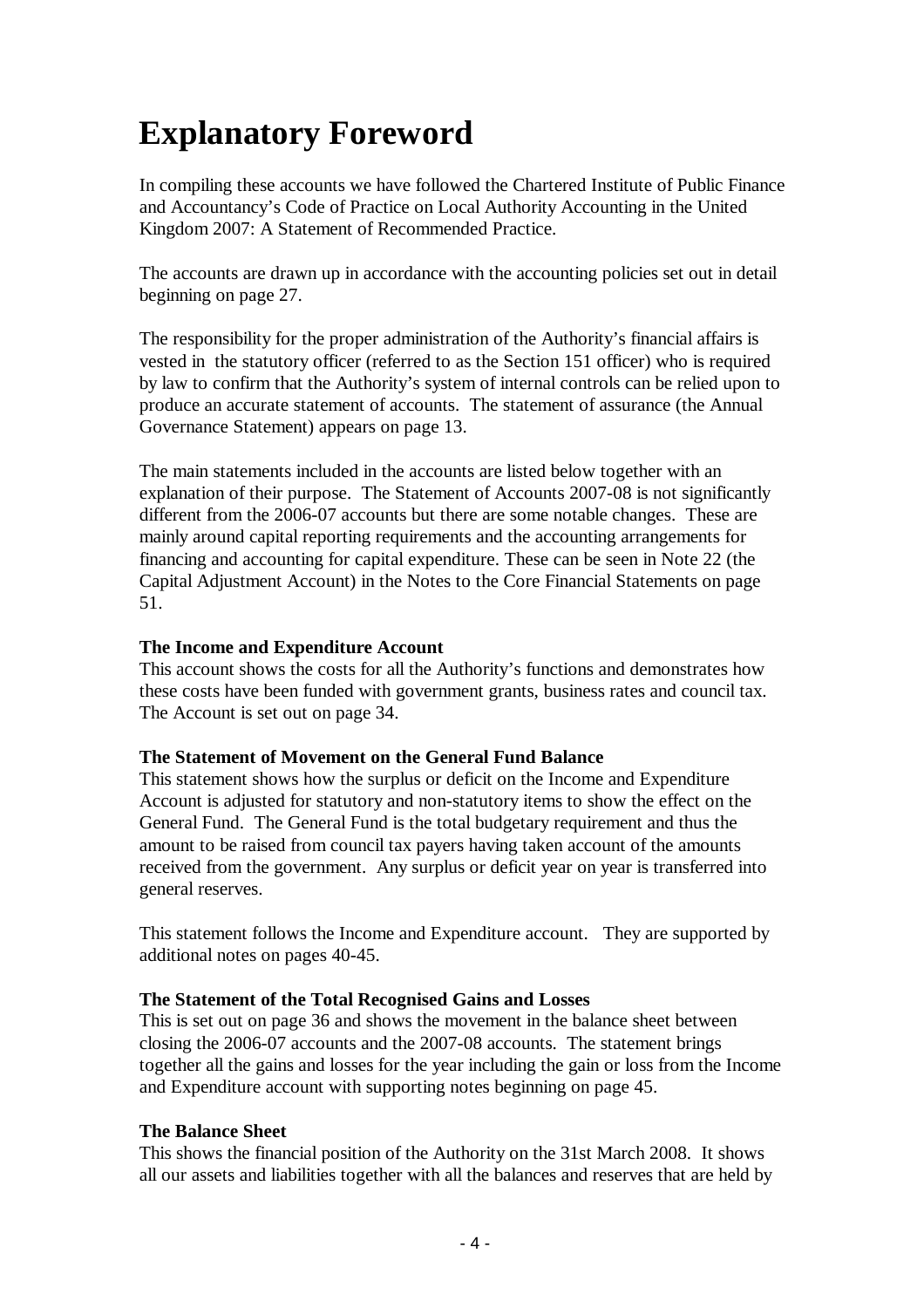# **Explanatory Foreword**

In compiling these accounts we have followed the Chartered Institute of Public Finance and Accountancy's Code of Practice on Local Authority Accounting in the United Kingdom 2007: A Statement of Recommended Practice.

The accounts are drawn up in accordance with the accounting policies set out in detail beginning on page 27.

The responsibility for the proper administration of the Authority's financial affairs is vested in the statutory officer (referred to as the Section 151 officer) who is required by law to confirm that the Authority's system of internal controls can be relied upon to produce an accurate statement of accounts. The statement of assurance (the Annual Governance Statement) appears on page 13.

The main statements included in the accounts are listed below together with an explanation of their purpose. The Statement of Accounts 2007-08 is not significantly different from the 2006-07 accounts but there are some notable changes. These are mainly around capital reporting requirements and the accounting arrangements for financing and accounting for capital expenditure. These can be seen in Note 22 (the Capital Adjustment Account) in the Notes to the Core Financial Statements on page 51.

### **The Income and Expenditure Account**

This account shows the costs for all the Authority's functions and demonstrates how these costs have been funded with government grants, business rates and council tax. The Account is set out on page 34.

#### **The Statement of Movement on the General Fund Balance**

This statement shows how the surplus or deficit on the Income and Expenditure Account is adjusted for statutory and non-statutory items to show the effect on the General Fund. The General Fund is the total budgetary requirement and thus the amount to be raised from council tax payers having taken account of the amounts received from the government. Any surplus or deficit year on year is transferred into general reserves.

This statement follows the Income and Expenditure account. They are supported by additional notes on pages 40-45.

#### **The Statement of the Total Recognised Gains and Losses**

This is set out on page 36 and shows the movement in the balance sheet between closing the 2006-07 accounts and the 2007-08 accounts. The statement brings together all the gains and losses for the year including the gain or loss from the Income and Expenditure account with supporting notes beginning on page 45.

#### **The Balance Sheet**

This shows the financial position of the Authority on the 31st March 2008. It shows all our assets and liabilities together with all the balances and reserves that are held by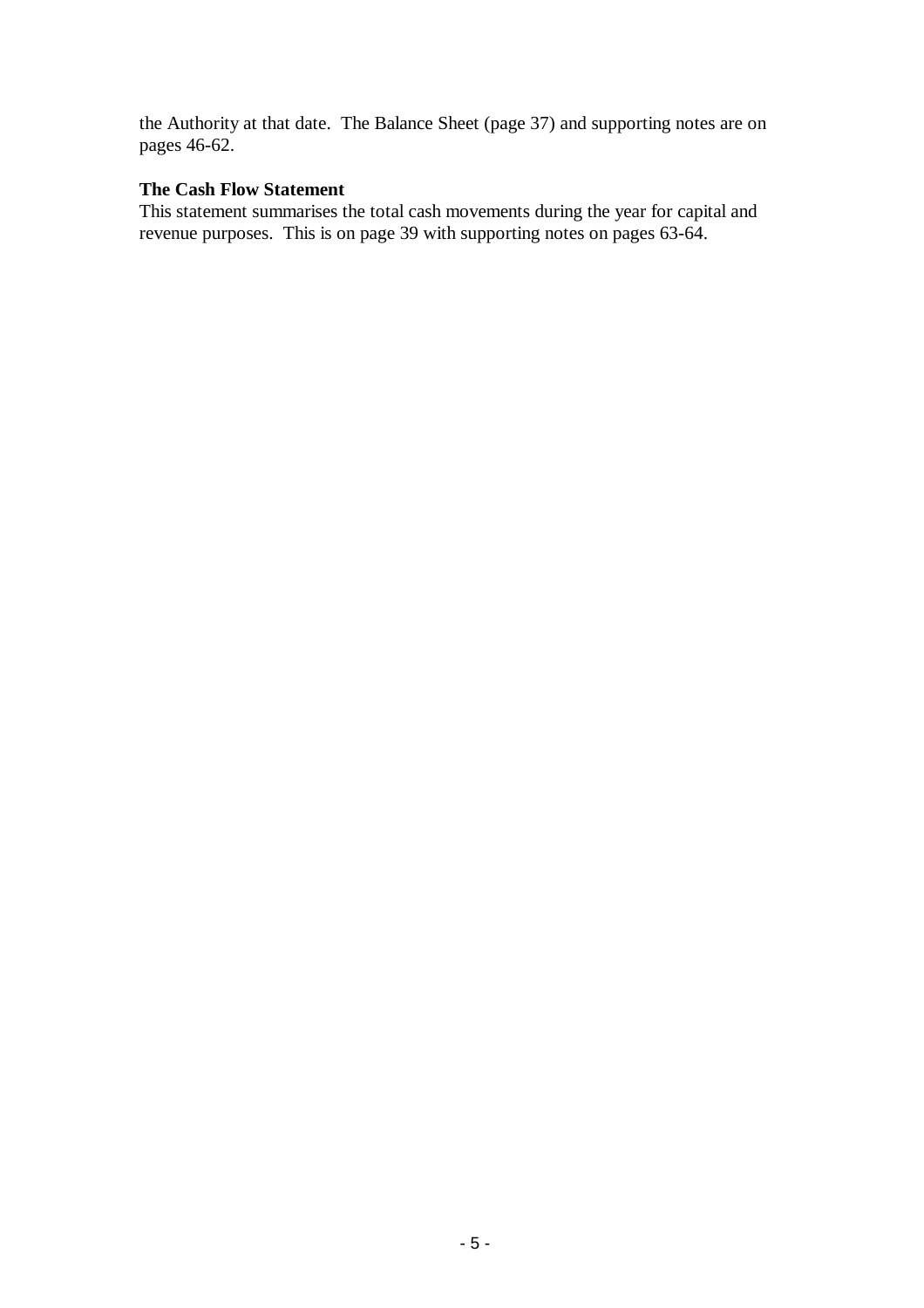the Authority at that date. The Balance Sheet (page 37) and supporting notes are on pages 46-62.

## **The Cash Flow Statement**

This statement summarises the total cash movements during the year for capital and revenue purposes. This is on page 39 with supporting notes on pages 63-64.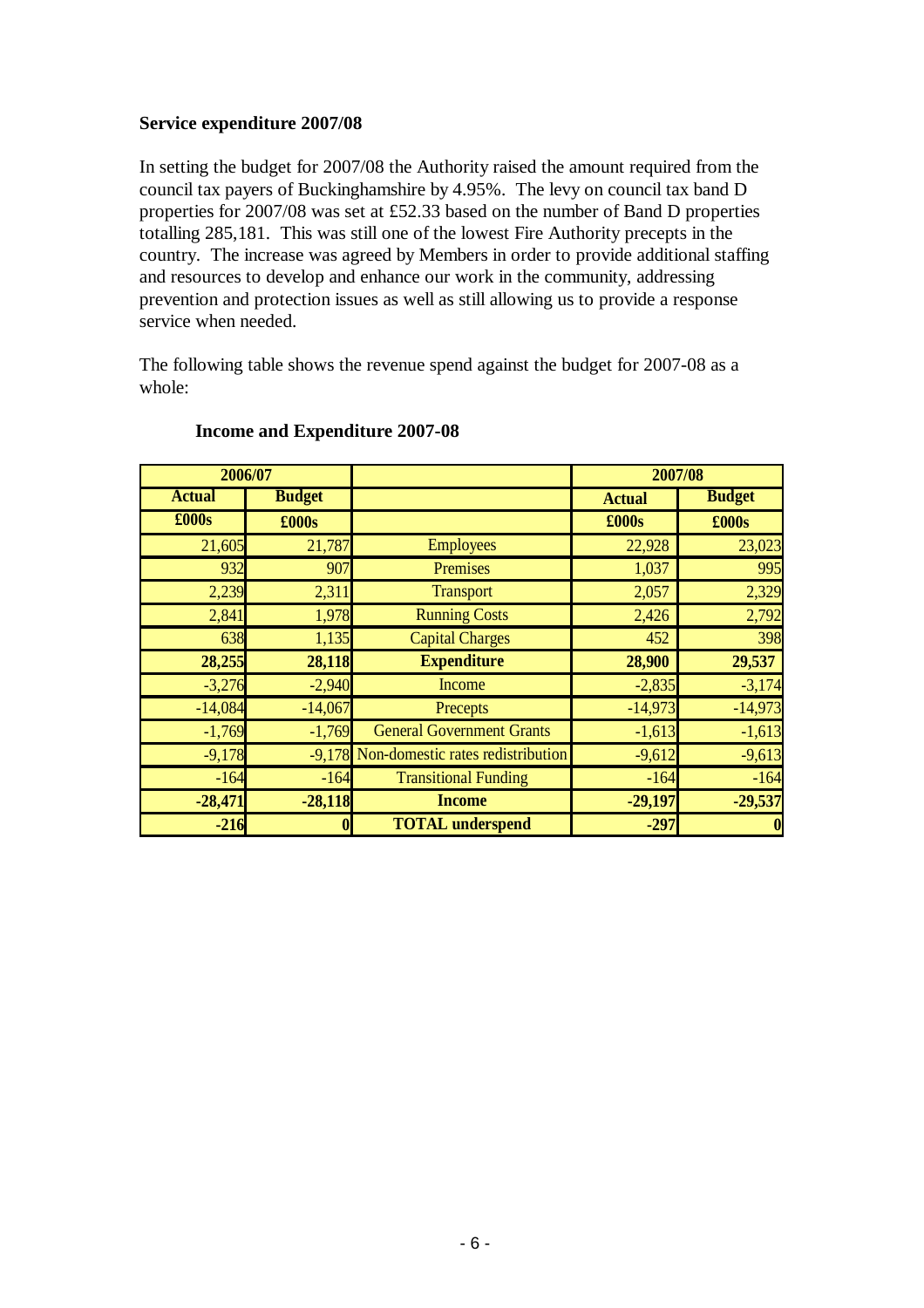### **Service expenditure 2007/08**

In setting the budget for 2007/08 the Authority raised the amount required from the council tax payers of Buckinghamshire by 4.95%. The levy on council tax band D properties for 2007/08 was set at £52.33 based on the number of Band D properties totalling 285,181. This was still one of the lowest Fire Authority precepts in the country. The increase was agreed by Members in order to provide additional staffing and resources to develop and enhance our work in the community, addressing prevention and protection issues as well as still allowing us to provide a response service when needed.

The following table shows the revenue spend against the budget for 2007-08 as a whole:

| 2006/07       |               |                                   | 2007/08       |                  |
|---------------|---------------|-----------------------------------|---------------|------------------|
| <b>Actual</b> | <b>Budget</b> |                                   | <b>Actual</b> | <b>Budget</b>    |
| £000s         | £000s         |                                   | £000s         | £000s            |
| 21,605        | 21,787        | <b>Employees</b>                  | 22,928        | 23,023           |
| 932           | 907           | Premises                          | 1,037         | 995              |
| 2,239         | 2,311         | <b>Transport</b>                  | 2,057         | 2,329            |
| 2,841         | 1,978         | <b>Running Costs</b>              | 2,426         | 2,792            |
| 638           | 1,135         | <b>Capital Charges</b>            | 452           | 398              |
| 28,255        | 28,118        | <b>Expenditure</b>                | 28,900        | 29,537           |
| $-3,276$      | $-2,940$      | Income                            | $-2,835$      | $-3,174$         |
| $-14,084$     | $-14,067$     | Precepts                          | $-14,973$     | $-14,973$        |
| $-1,769$      | $-1,769$      | <b>General Government Grants</b>  | $-1,613$      | $-1,613$         |
| $-9,178$      | $-9,178$      | Non-domestic rates redistribution | $-9,612$      | $-9,613$         |
| $-164$        | $-164$        | <b>Transitional Funding</b>       | $-164$        | $-164$           |
| $-28,471$     | $-28,118$     | <b>Income</b>                     | $-29,197$     | $-29,537$        |
| $-216$        | $\bf{0}$      | <b>TOTAL</b> underspend           | $-297$        | $\boldsymbol{0}$ |

### **Income and Expenditure 2007-08**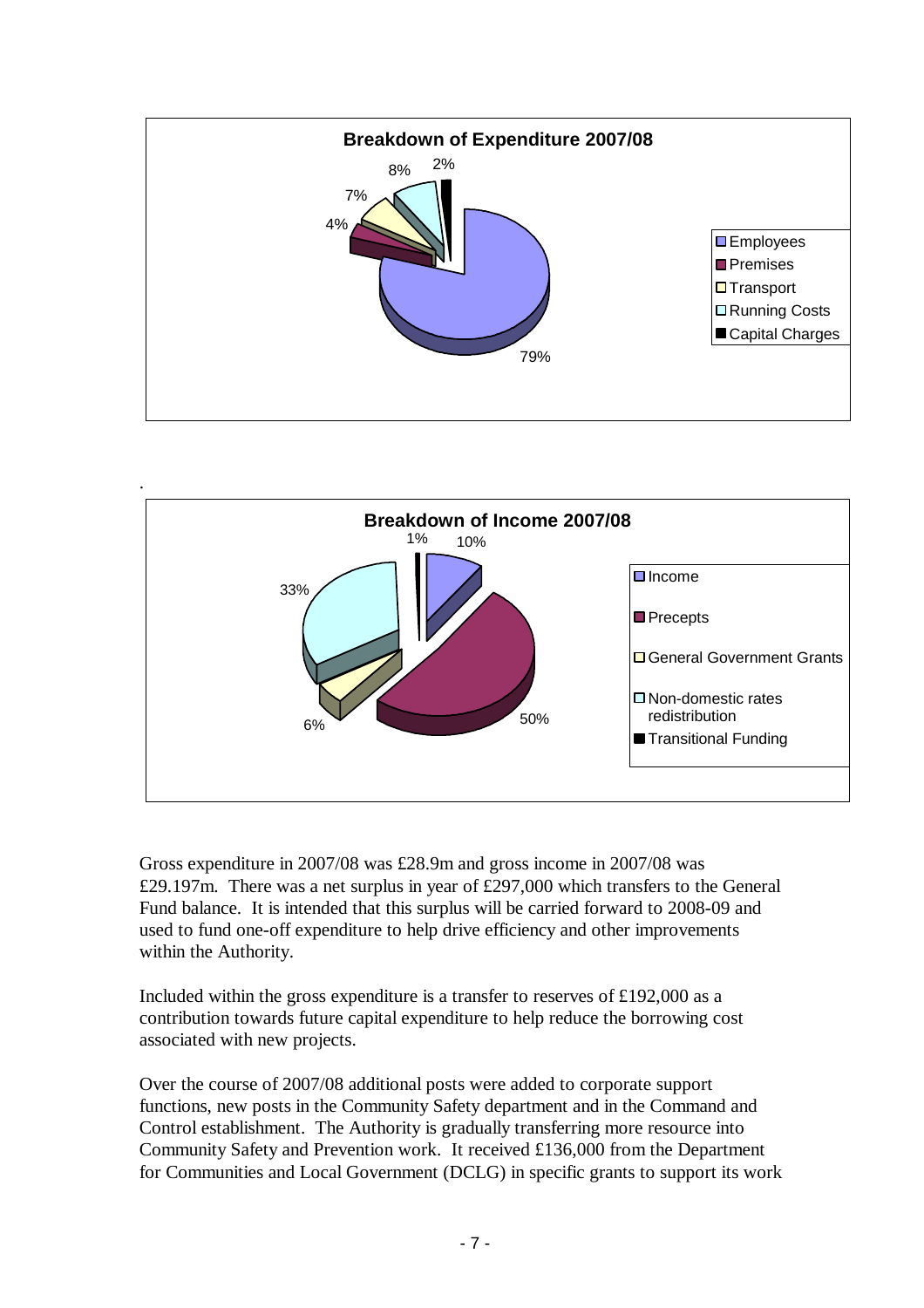



Gross expenditure in 2007/08 was £28.9m and gross income in 2007/08 was £29.197m. There was a net surplus in year of £297,000 which transfers to the General Fund balance. It is intended that this surplus will be carried forward to 2008-09 and used to fund one-off expenditure to help drive efficiency and other improvements within the Authority.

Included within the gross expenditure is a transfer to reserves of £192,000 as a contribution towards future capital expenditure to help reduce the borrowing cost associated with new projects.

Over the course of 2007/08 additional posts were added to corporate support functions, new posts in the Community Safety department and in the Command and Control establishment. The Authority is gradually transferring more resource into Community Safety and Prevention work. It received £136,000 from the Department for Communities and Local Government (DCLG) in specific grants to support its work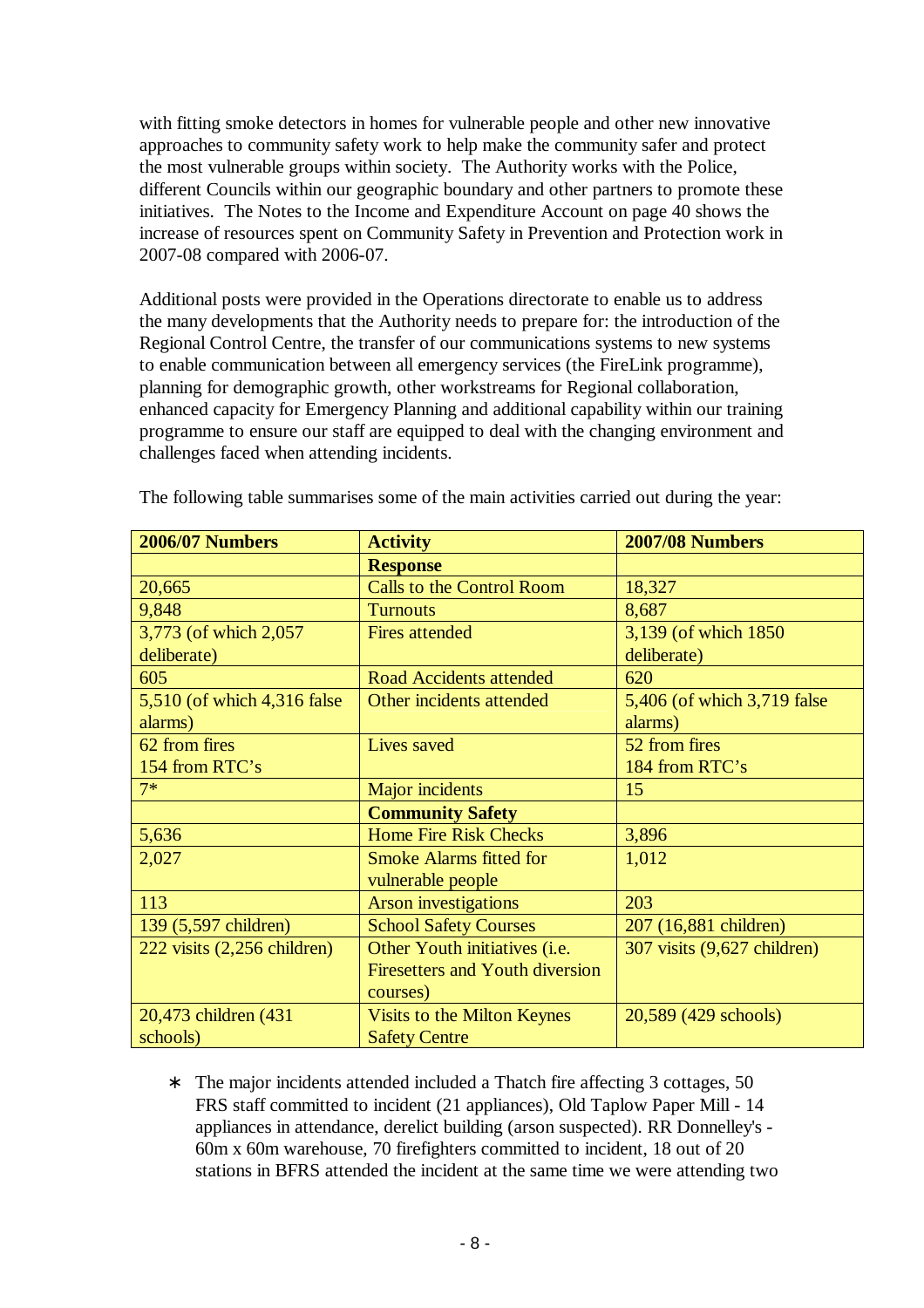with fitting smoke detectors in homes for vulnerable people and other new innovative approaches to community safety work to help make the community safer and protect the most vulnerable groups within society. The Authority works with the Police, different Councils within our geographic boundary and other partners to promote these initiatives. The Notes to the Income and Expenditure Account on page 40 shows the increase of resources spent on Community Safety in Prevention and Protection work in 2007-08 compared with 2006-07.

Additional posts were provided in the Operations directorate to enable us to address the many developments that the Authority needs to prepare for: the introduction of the Regional Control Centre, the transfer of our communications systems to new systems to enable communication between all emergency services (the FireLink programme), planning for demographic growth, other workstreams for Regional collaboration, enhanced capacity for Emergency Planning and additional capability within our training programme to ensure our staff are equipped to deal with the changing environment and challenges faced when attending incidents.

| <b>2006/07 Numbers</b>       | <b>Activity</b>                        | <b>2007/08 Numbers</b>       |
|------------------------------|----------------------------------------|------------------------------|
|                              | <b>Response</b>                        |                              |
| 20,665                       | <b>Calls to the Control Room</b>       | 18,327                       |
| 9,848                        | <b>Turnouts</b>                        | 8,687                        |
| 3,773 (of which 2,057        | <b>Fires attended</b>                  | 3,139 (of which 1850)        |
| deliberate)                  |                                        | deliberate)                  |
| 605                          | <b>Road Accidents attended</b>         | 620                          |
| 5,510 (of which 4,316 false) | Other incidents attended               | 5,406 (of which 3,719 false) |
| alarms)                      |                                        | alarms)                      |
| 62 from fires                | Lives saved                            | 52 from fires                |
| 154 from RTC's               |                                        | 184 from RTC's               |
| $7*$                         | Major incidents                        | 15                           |
|                              | <b>Community Safety</b>                |                              |
| 5,636                        | <b>Home Fire Risk Checks</b>           | 3,896                        |
| 2,027                        | <b>Smoke Alarms fitted for</b>         | 1,012                        |
|                              | vulnerable people                      |                              |
| 113                          | <b>Arson investigations</b>            | 203                          |
| 139 (5,597 children)         | <b>School Safety Courses</b>           | 207 (16,881 children)        |
| 222 visits (2,256 children)  | Other Youth initiatives (i.e.          | 307 visits (9,627 children)  |
|                              | <b>Firesetters and Youth diversion</b> |                              |
|                              | courses)                               |                              |
| 20,473 children (431         | Visits to the Milton Keynes            | 20,589 (429 schools)         |
| schools)                     | <b>Safety Centre</b>                   |                              |

The following table summarises some of the main activities carried out during the year:

∗ The major incidents attended included a Thatch fire affecting 3 cottages, 50 FRS staff committed to incident (21 appliances), Old Taplow Paper Mill - 14 appliances in attendance, derelict building (arson suspected). RR Donnelley's - 60m x 60m warehouse, 70 firefighters committed to incident, 18 out of 20 stations in BFRS attended the incident at the same time we were attending two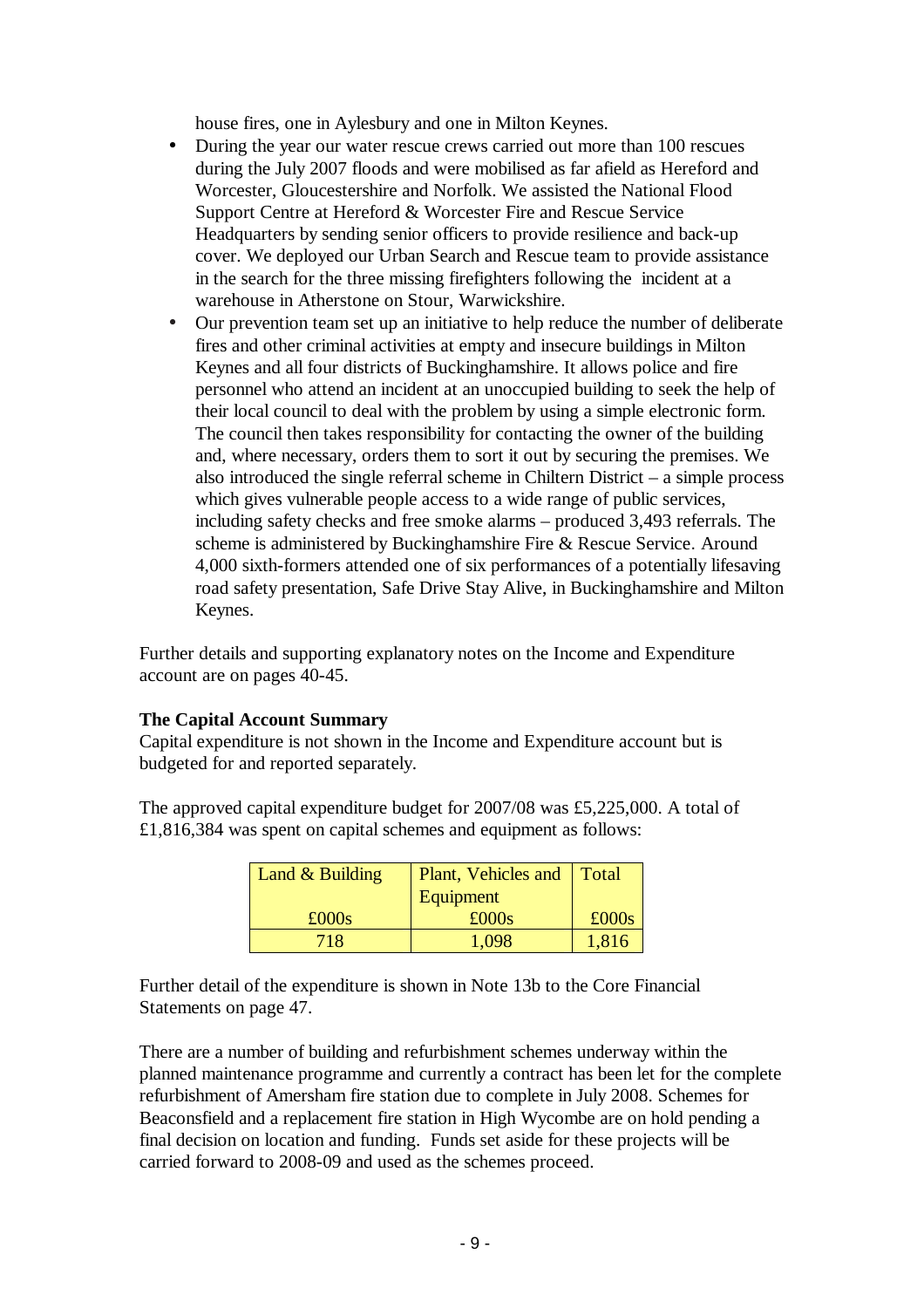house fires, one in Aylesbury and one in Milton Keynes.

- During the year our water rescue crews carried out more than 100 rescues during the July 2007 floods and were mobilised as far afield as Hereford and Worcester, Gloucestershire and Norfolk. We assisted the National Flood Support Centre at Hereford & Worcester Fire and Rescue Service Headquarters by sending senior officers to provide resilience and back-up cover. We deployed our Urban Search and Rescue team to provide assistance in the search for the three missing firefighters following the incident at a warehouse in Atherstone on Stour, Warwickshire.
- Our prevention team set up an initiative to help reduce the number of deliberate fires and other criminal activities at empty and insecure buildings in Milton Keynes and all four districts of Buckinghamshire. It allows police and fire personnel who attend an incident at an unoccupied building to seek the help of their local council to deal with the problem by using a simple electronic form. The council then takes responsibility for contacting the owner of the building and, where necessary, orders them to sort it out by securing the premises. We also introduced the single referral scheme in Chiltern District – a simple process which gives vulnerable people access to a wide range of public services, including safety checks and free smoke alarms – produced 3,493 referrals. The scheme is administered by Buckinghamshire Fire & Rescue Service. Around 4,000 sixth-formers attended one of six performances of a potentially lifesaving road safety presentation, Safe Drive Stay Alive, in Buckinghamshire and Milton Keynes.

Further details and supporting explanatory notes on the Income and Expenditure account are on pages 40-45.

#### **The Capital Account Summary**

Capital expenditure is not shown in the Income and Expenditure account but is budgeted for and reported separately.

The approved capital expenditure budget for 2007/08 was £5,225,000. A total of £1,816,384 was spent on capital schemes and equipment as follows:

| Land $&$ Building | Plant, Vehicles and Total |       |
|-------------------|---------------------------|-------|
|                   | Equipment                 |       |
| $\pounds000s$     | £000s                     | £000s |
| 718               | 1.098                     | 1,816 |

Further detail of the expenditure is shown in Note 13b to the Core Financial Statements on page 47.

There are a number of building and refurbishment schemes underway within the planned maintenance programme and currently a contract has been let for the complete refurbishment of Amersham fire station due to complete in July 2008. Schemes for Beaconsfield and a replacement fire station in High Wycombe are on hold pending a final decision on location and funding. Funds set aside for these projects will be carried forward to 2008-09 and used as the schemes proceed.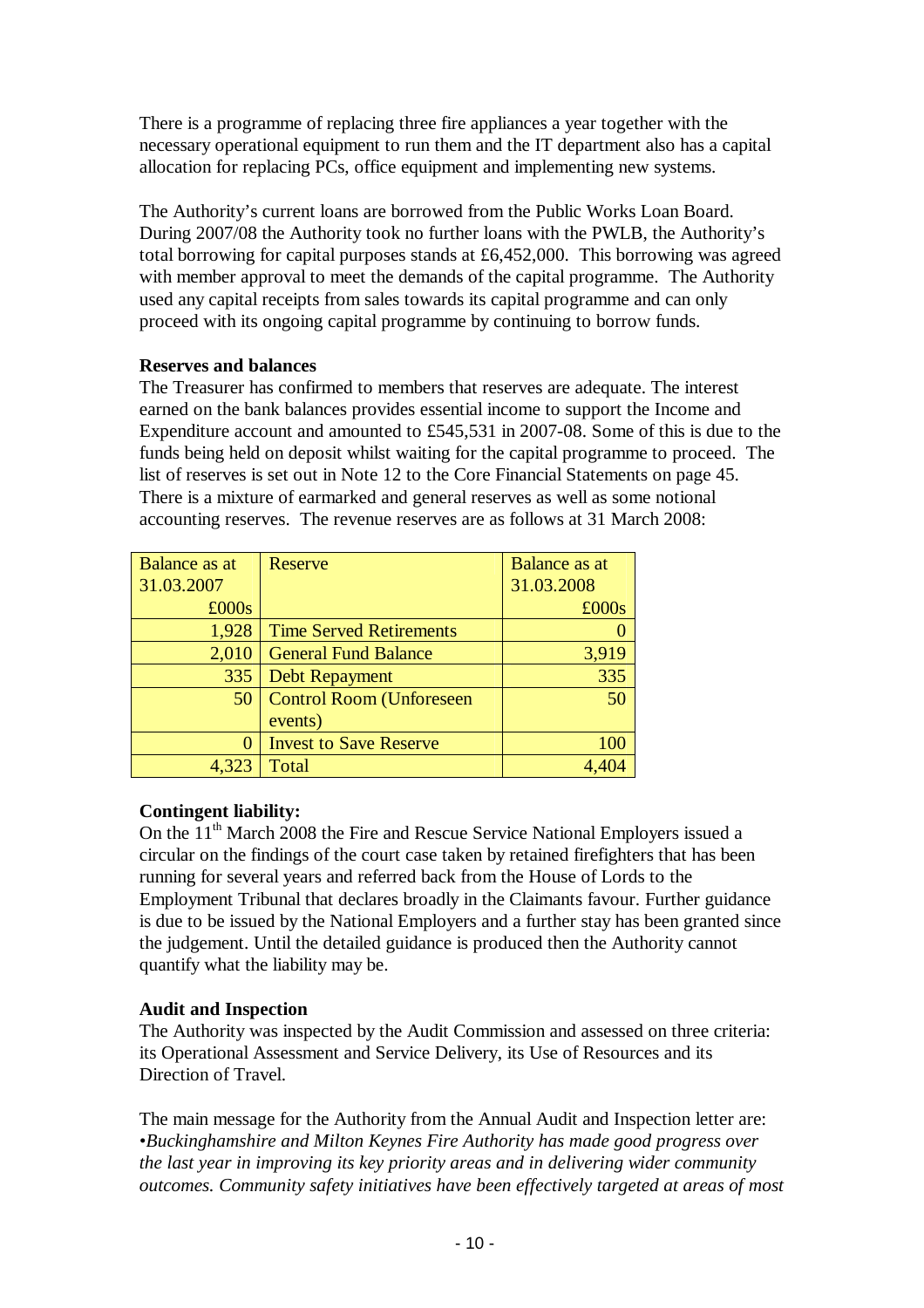There is a programme of replacing three fire appliances a year together with the necessary operational equipment to run them and the IT department also has a capital allocation for replacing PCs, office equipment and implementing new systems.

The Authority's current loans are borrowed from the Public Works Loan Board. During 2007/08 the Authority took no further loans with the PWLB, the Authority's total borrowing for capital purposes stands at £6,452,000. This borrowing was agreed with member approval to meet the demands of the capital programme. The Authority used any capital receipts from sales towards its capital programme and can only proceed with its ongoing capital programme by continuing to borrow funds.

#### **Reserves and balances**

The Treasurer has confirmed to members that reserves are adequate. The interest earned on the bank balances provides essential income to support the Income and Expenditure account and amounted to £545,531 in 2007-08. Some of this is due to the funds being held on deposit whilst waiting for the capital programme to proceed. The list of reserves is set out in Note 12 to the Core Financial Statements on page 45. There is a mixture of earmarked and general reserves as well as some notional accounting reserves. The revenue reserves are as follows at 31 March 2008:

| Balance as at | Reserve                         | <b>Balance as at</b> |
|---------------|---------------------------------|----------------------|
| 31.03.2007    |                                 | 31.03.2008           |
| £000s         |                                 | £000s                |
| 1,928         | <b>Time Served Retirements</b>  |                      |
| 2,010         | <b>General Fund Balance</b>     | 3,919                |
| 335           | <b>Debt Repayment</b>           | 335                  |
| 50            | <b>Control Room (Unforeseen</b> | 50                   |
|               | events)                         |                      |
|               | <b>Invest to Save Reserve</b>   | 100                  |
|               | Total                           |                      |

## **Contingent liability:**

On the  $11<sup>th</sup>$  March 2008 the Fire and Rescue Service National Employers issued a circular on the findings of the court case taken by retained firefighters that has been running for several years and referred back from the House of Lords to the Employment Tribunal that declares broadly in the Claimants favour. Further guidance is due to be issued by the National Employers and a further stay has been granted since the judgement. Until the detailed guidance is produced then the Authority cannot quantify what the liability may be.

#### **Audit and Inspection**

The Authority was inspected by the Audit Commission and assessed on three criteria: its Operational Assessment and Service Delivery, its Use of Resources and its Direction of Travel.

The main message for the Authority from the Annual Audit and Inspection letter are: *•Buckinghamshire and Milton Keynes Fire Authority has made good progress over the last year in improving its key priority areas and in delivering wider community outcomes. Community safety initiatives have been effectively targeted at areas of most*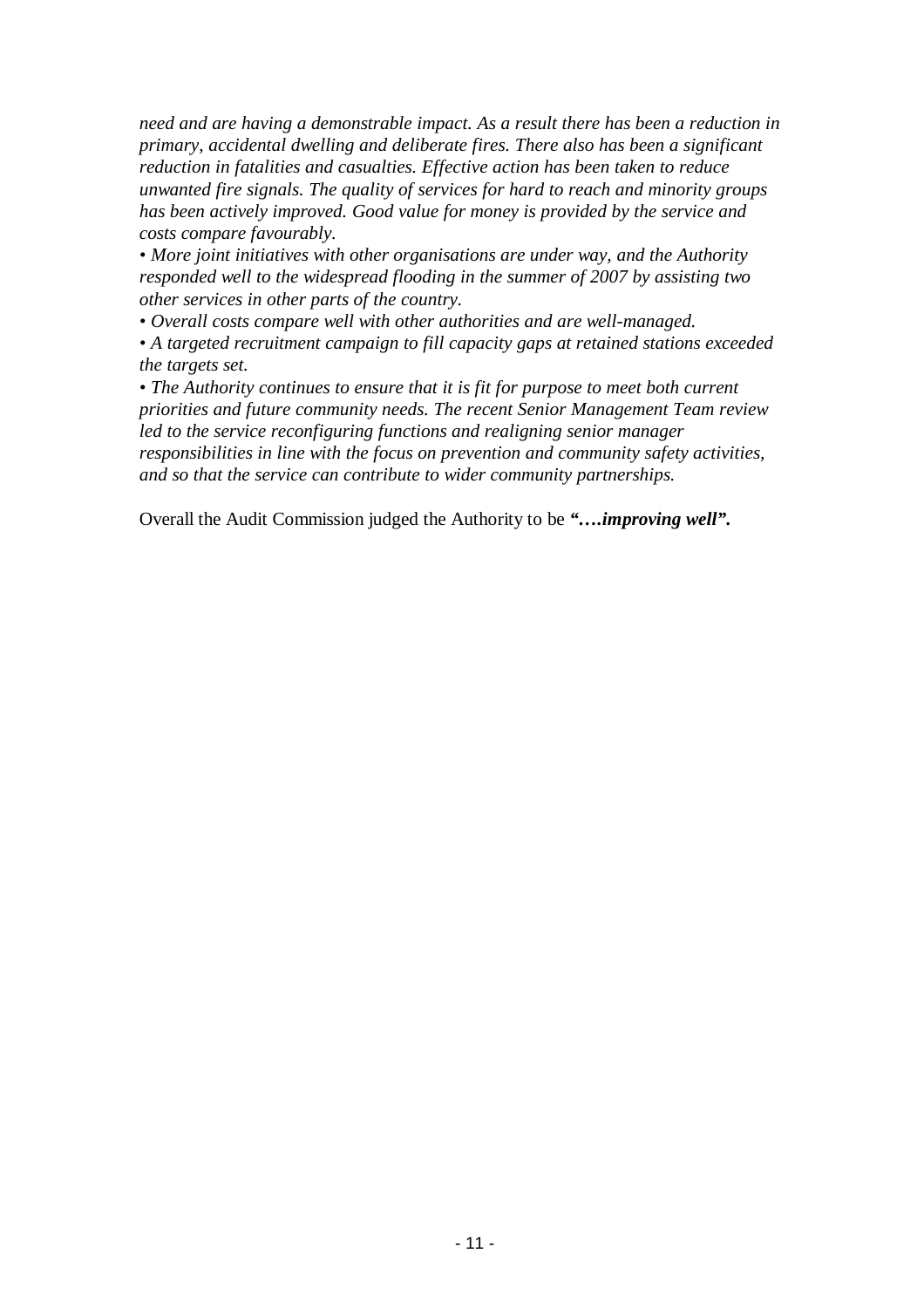*need and are having a demonstrable impact. As a result there has been a reduction in primary, accidental dwelling and deliberate fires. There also has been a significant reduction in fatalities and casualties. Effective action has been taken to reduce unwanted fire signals. The quality of services for hard to reach and minority groups has been actively improved. Good value for money is provided by the service and costs compare favourably.* 

*• More joint initiatives with other organisations are under way, and the Authority responded well to the widespread flooding in the summer of 2007 by assisting two other services in other parts of the country.* 

*• Overall costs compare well with other authorities and are well-managed.* 

*• A targeted recruitment campaign to fill capacity gaps at retained stations exceeded the targets set.* 

*• The Authority continues to ensure that it is fit for purpose to meet both current priorities and future community needs. The recent Senior Management Team review led to the service reconfiguring functions and realigning senior manager responsibilities in line with the focus on prevention and community safety activities, and so that the service can contribute to wider community partnerships.* 

Overall the Audit Commission judged the Authority to be *"….improving well".*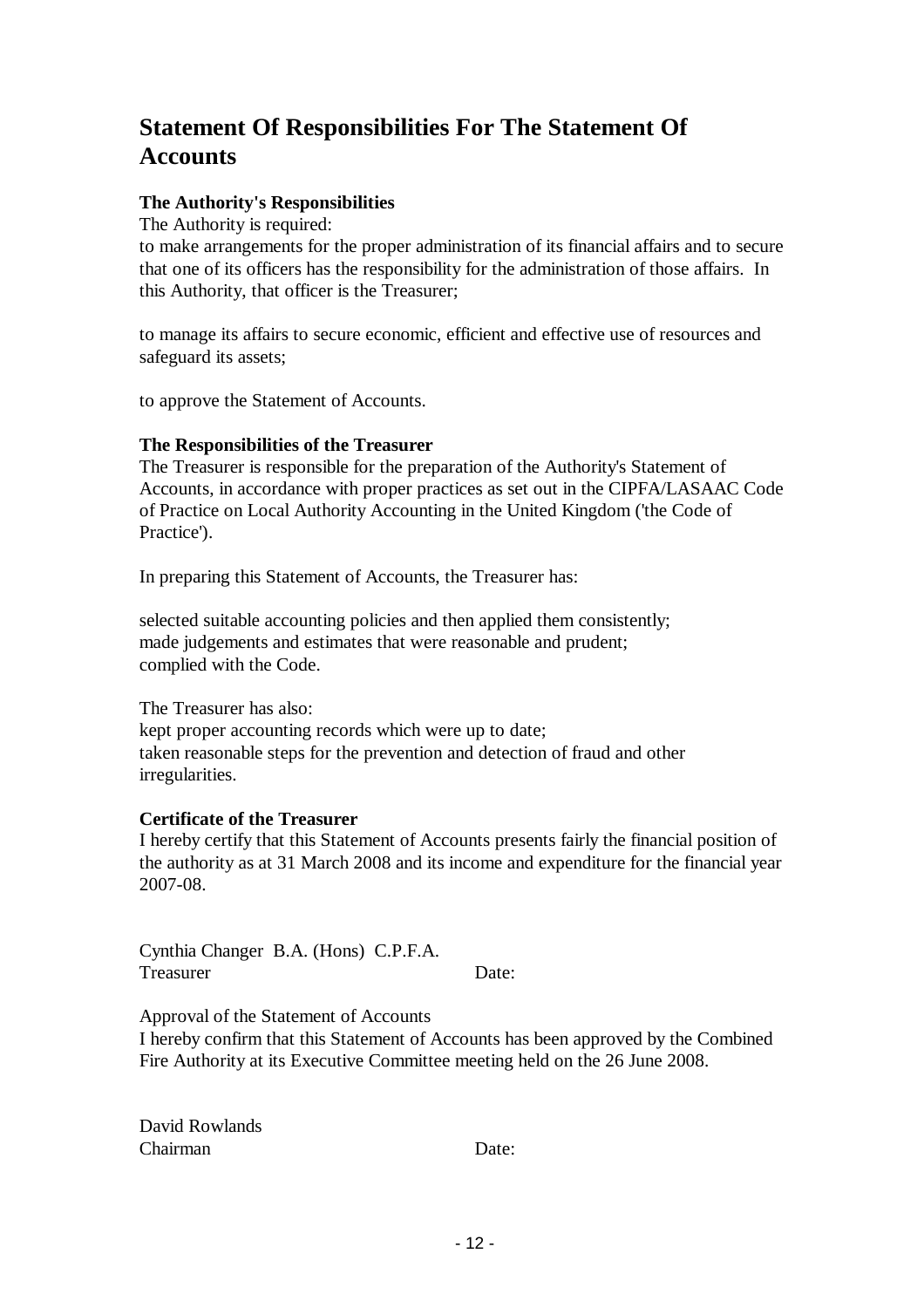## **Statement Of Responsibilities For The Statement Of Accounts**

## **The Authority's Responsibilities**

The Authority is required:

to make arrangements for the proper administration of its financial affairs and to secure that one of its officers has the responsibility for the administration of those affairs. In this Authority, that officer is the Treasurer;

to manage its affairs to secure economic, efficient and effective use of resources and safeguard its assets;

to approve the Statement of Accounts.

#### **The Responsibilities of the Treasurer**

The Treasurer is responsible for the preparation of the Authority's Statement of Accounts, in accordance with proper practices as set out in the CIPFA/LASAAC Code of Practice on Local Authority Accounting in the United Kingdom ('the Code of Practice').

In preparing this Statement of Accounts, the Treasurer has:

selected suitable accounting policies and then applied them consistently; made judgements and estimates that were reasonable and prudent; complied with the Code.

The Treasurer has also: kept proper accounting records which were up to date; taken reasonable steps for the prevention and detection of fraud and other irregularities.

#### **Certificate of the Treasurer**

I hereby certify that this Statement of Accounts presents fairly the financial position of the authority as at 31 March 2008 and its income and expenditure for the financial year 2007-08.

Cynthia Changer B.A. (Hons) C.P.F.A. Treasurer Date:

Approval of the Statement of Accounts

I hereby confirm that this Statement of Accounts has been approved by the Combined Fire Authority at its Executive Committee meeting held on the 26 June 2008.

David Rowlands Chairman Date: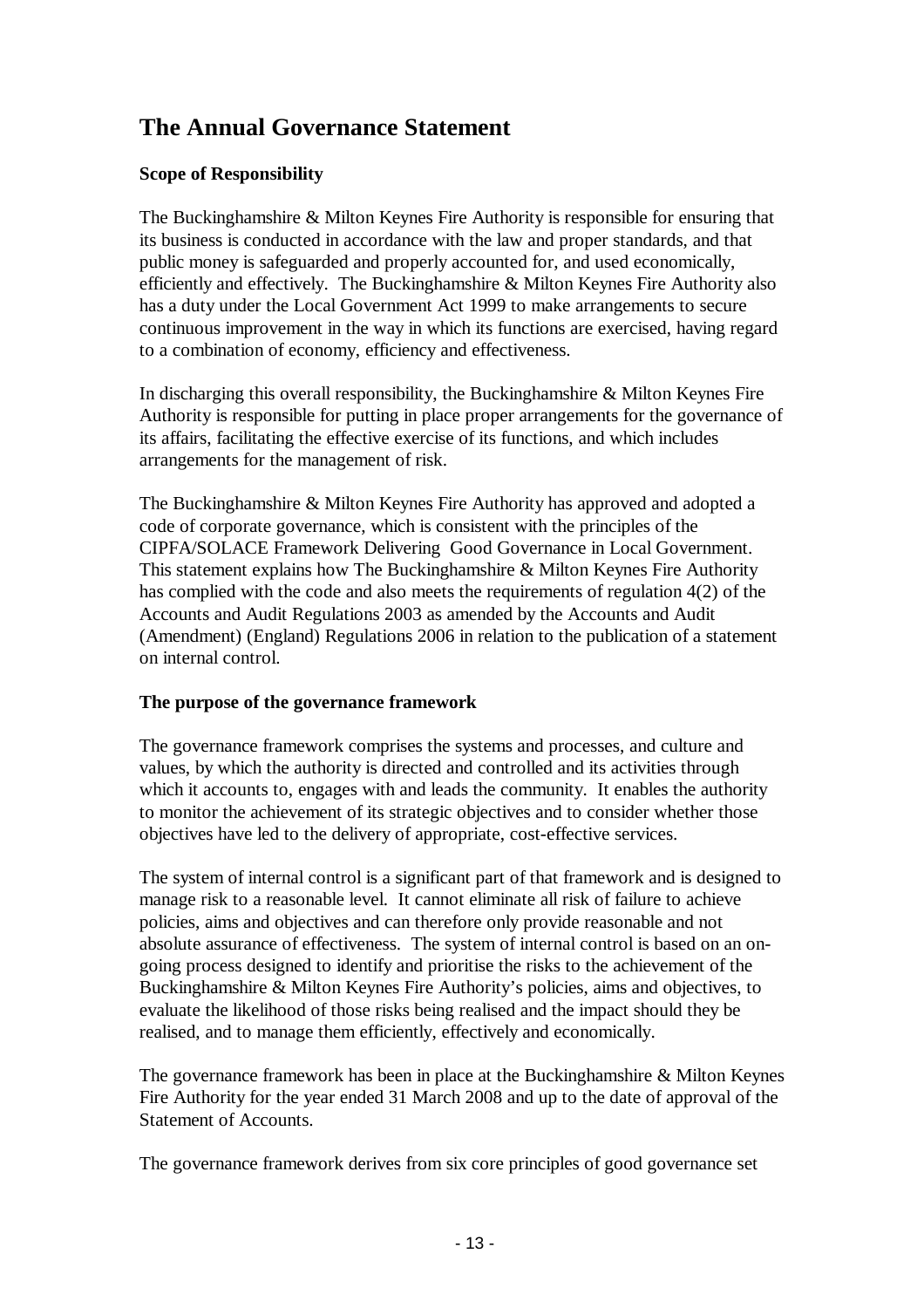## **The Annual Governance Statement**

## **Scope of Responsibility**

The Buckinghamshire & Milton Keynes Fire Authority is responsible for ensuring that its business is conducted in accordance with the law and proper standards, and that public money is safeguarded and properly accounted for, and used economically, efficiently and effectively. The Buckinghamshire & Milton Keynes Fire Authority also has a duty under the Local Government Act 1999 to make arrangements to secure continuous improvement in the way in which its functions are exercised, having regard to a combination of economy, efficiency and effectiveness.

In discharging this overall responsibility, the Buckinghamshire & Milton Keynes Fire Authority is responsible for putting in place proper arrangements for the governance of its affairs, facilitating the effective exercise of its functions, and which includes arrangements for the management of risk.

The Buckinghamshire & Milton Keynes Fire Authority has approved and adopted a code of corporate governance, which is consistent with the principles of the CIPFA/SOLACE Framework Delivering Good Governance in Local Government. This statement explains how The Buckinghamshire & Milton Keynes Fire Authority has complied with the code and also meets the requirements of regulation 4(2) of the Accounts and Audit Regulations 2003 as amended by the Accounts and Audit (Amendment) (England) Regulations 2006 in relation to the publication of a statement on internal control.

## **The purpose of the governance framework**

The governance framework comprises the systems and processes, and culture and values, by which the authority is directed and controlled and its activities through which it accounts to, engages with and leads the community. It enables the authority to monitor the achievement of its strategic objectives and to consider whether those objectives have led to the delivery of appropriate, cost-effective services.

The system of internal control is a significant part of that framework and is designed to manage risk to a reasonable level. It cannot eliminate all risk of failure to achieve policies, aims and objectives and can therefore only provide reasonable and not absolute assurance of effectiveness. The system of internal control is based on an ongoing process designed to identify and prioritise the risks to the achievement of the Buckinghamshire & Milton Keynes Fire Authority's policies, aims and objectives, to evaluate the likelihood of those risks being realised and the impact should they be realised, and to manage them efficiently, effectively and economically.

The governance framework has been in place at the Buckinghamshire & Milton Keynes Fire Authority for the year ended 31 March 2008 and up to the date of approval of the Statement of Accounts.

The governance framework derives from six core principles of good governance set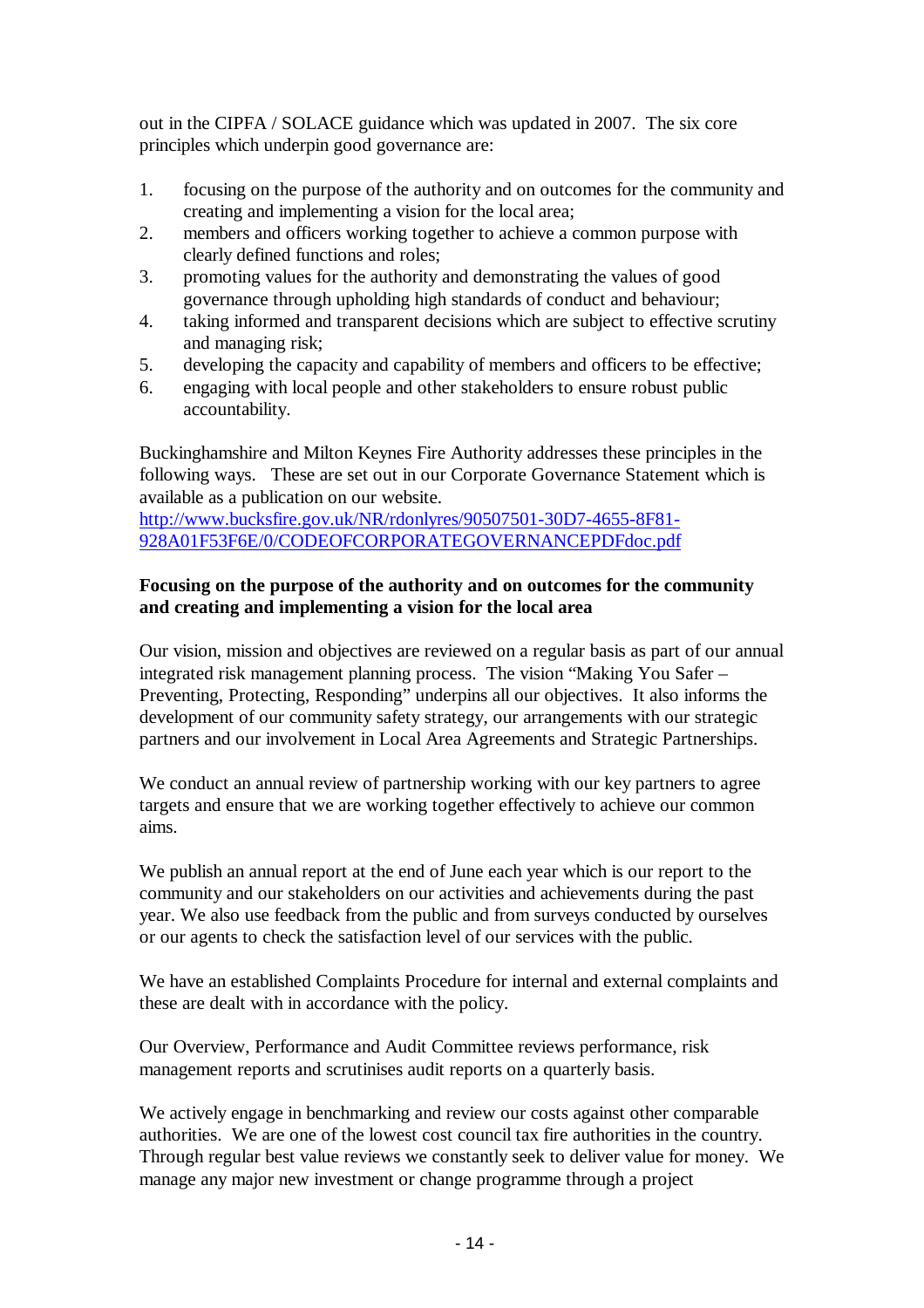out in the CIPFA / SOLACE guidance which was updated in 2007. The six core principles which underpin good governance are:

- 1. focusing on the purpose of the authority and on outcomes for the community and creating and implementing a vision for the local area;
- 2. members and officers working together to achieve a common purpose with clearly defined functions and roles;
- 3. promoting values for the authority and demonstrating the values of good governance through upholding high standards of conduct and behaviour;
- 4. taking informed and transparent decisions which are subject to effective scrutiny and managing risk;
- 5. developing the capacity and capability of members and officers to be effective;
- 6. engaging with local people and other stakeholders to ensure robust public accountability.

Buckinghamshire and Milton Keynes Fire Authority addresses these principles in the following ways. These are set out in our Corporate Governance Statement which is available as a publication on our website.

http://www.bucksfire.gov.uk/NR/rdonlyres/90507501-30D7-4655-8F81- 928A01F53F6E/0/CODEOFCORPORATEGOVERNANCEPDFdoc.pdf

### **Focusing on the purpose of the authority and on outcomes for the community and creating and implementing a vision for the local area**

Our vision, mission and objectives are reviewed on a regular basis as part of our annual integrated risk management planning process. The vision "Making You Safer – Preventing, Protecting, Responding" underpins all our objectives. It also informs the development of our community safety strategy, our arrangements with our strategic partners and our involvement in Local Area Agreements and Strategic Partnerships.

We conduct an annual review of partnership working with our key partners to agree targets and ensure that we are working together effectively to achieve our common aims.

We publish an annual report at the end of June each year which is our report to the community and our stakeholders on our activities and achievements during the past year. We also use feedback from the public and from surveys conducted by ourselves or our agents to check the satisfaction level of our services with the public.

We have an established Complaints Procedure for internal and external complaints and these are dealt with in accordance with the policy.

Our Overview, Performance and Audit Committee reviews performance, risk management reports and scrutinises audit reports on a quarterly basis.

We actively engage in benchmarking and review our costs against other comparable authorities. We are one of the lowest cost council tax fire authorities in the country. Through regular best value reviews we constantly seek to deliver value for money. We manage any major new investment or change programme through a project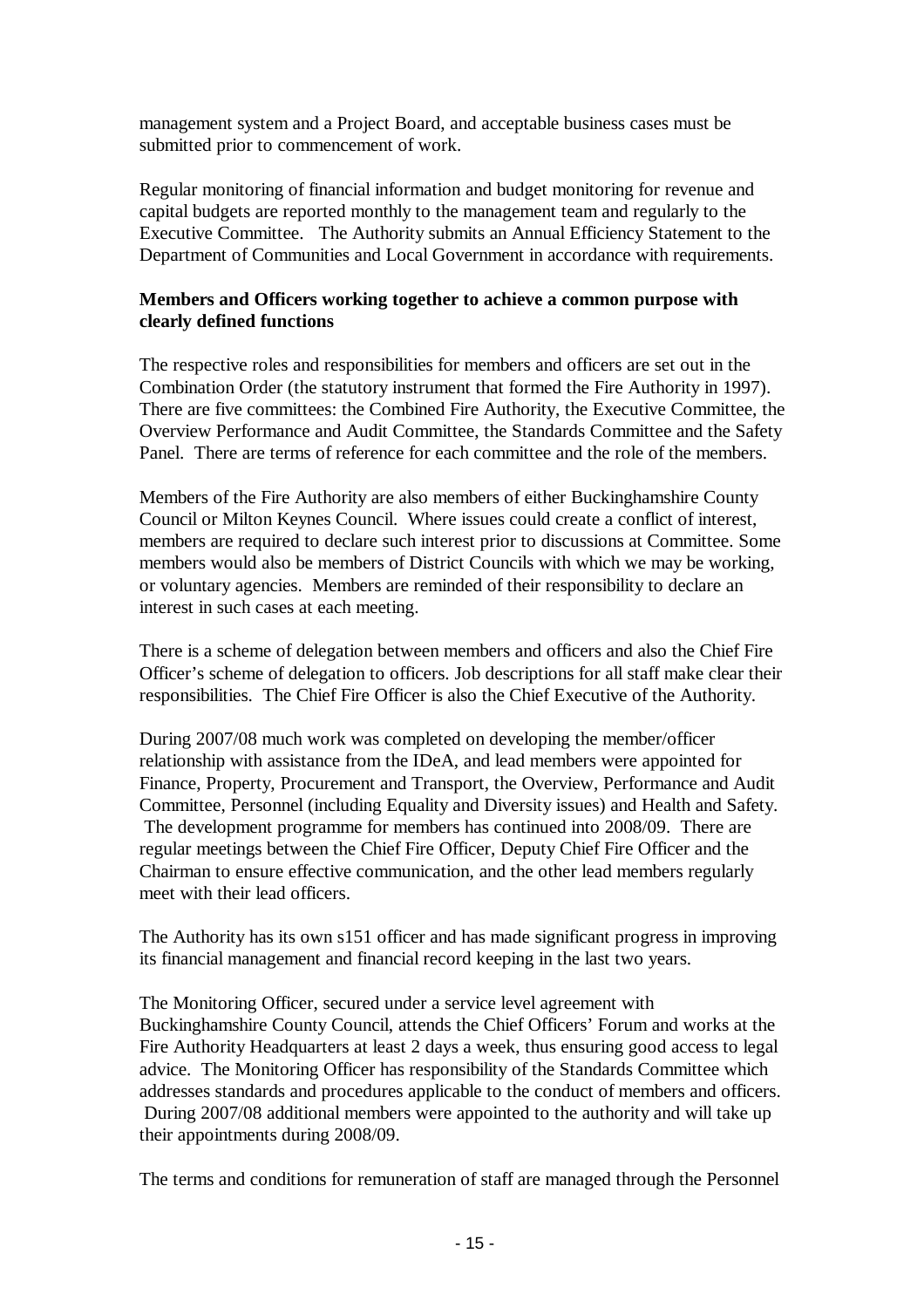management system and a Project Board, and acceptable business cases must be submitted prior to commencement of work.

Regular monitoring of financial information and budget monitoring for revenue and capital budgets are reported monthly to the management team and regularly to the Executive Committee. The Authority submits an Annual Efficiency Statement to the Department of Communities and Local Government in accordance with requirements.

## **Members and Officers working together to achieve a common purpose with clearly defined functions**

The respective roles and responsibilities for members and officers are set out in the Combination Order (the statutory instrument that formed the Fire Authority in 1997). There are five committees: the Combined Fire Authority, the Executive Committee, the Overview Performance and Audit Committee, the Standards Committee and the Safety Panel. There are terms of reference for each committee and the role of the members.

Members of the Fire Authority are also members of either Buckinghamshire County Council or Milton Keynes Council. Where issues could create a conflict of interest, members are required to declare such interest prior to discussions at Committee. Some members would also be members of District Councils with which we may be working, or voluntary agencies. Members are reminded of their responsibility to declare an interest in such cases at each meeting.

There is a scheme of delegation between members and officers and also the Chief Fire Officer's scheme of delegation to officers. Job descriptions for all staff make clear their responsibilities. The Chief Fire Officer is also the Chief Executive of the Authority.

During 2007/08 much work was completed on developing the member/officer relationship with assistance from the IDeA, and lead members were appointed for Finance, Property, Procurement and Transport, the Overview, Performance and Audit Committee, Personnel (including Equality and Diversity issues) and Health and Safety. The development programme for members has continued into 2008/09. There are regular meetings between the Chief Fire Officer, Deputy Chief Fire Officer and the Chairman to ensure effective communication, and the other lead members regularly meet with their lead officers.

The Authority has its own s151 officer and has made significant progress in improving its financial management and financial record keeping in the last two years.

The Monitoring Officer, secured under a service level agreement with Buckinghamshire County Council, attends the Chief Officers' Forum and works at the Fire Authority Headquarters at least 2 days a week, thus ensuring good access to legal advice. The Monitoring Officer has responsibility of the Standards Committee which addresses standards and procedures applicable to the conduct of members and officers. During 2007/08 additional members were appointed to the authority and will take up their appointments during 2008/09.

The terms and conditions for remuneration of staff are managed through the Personnel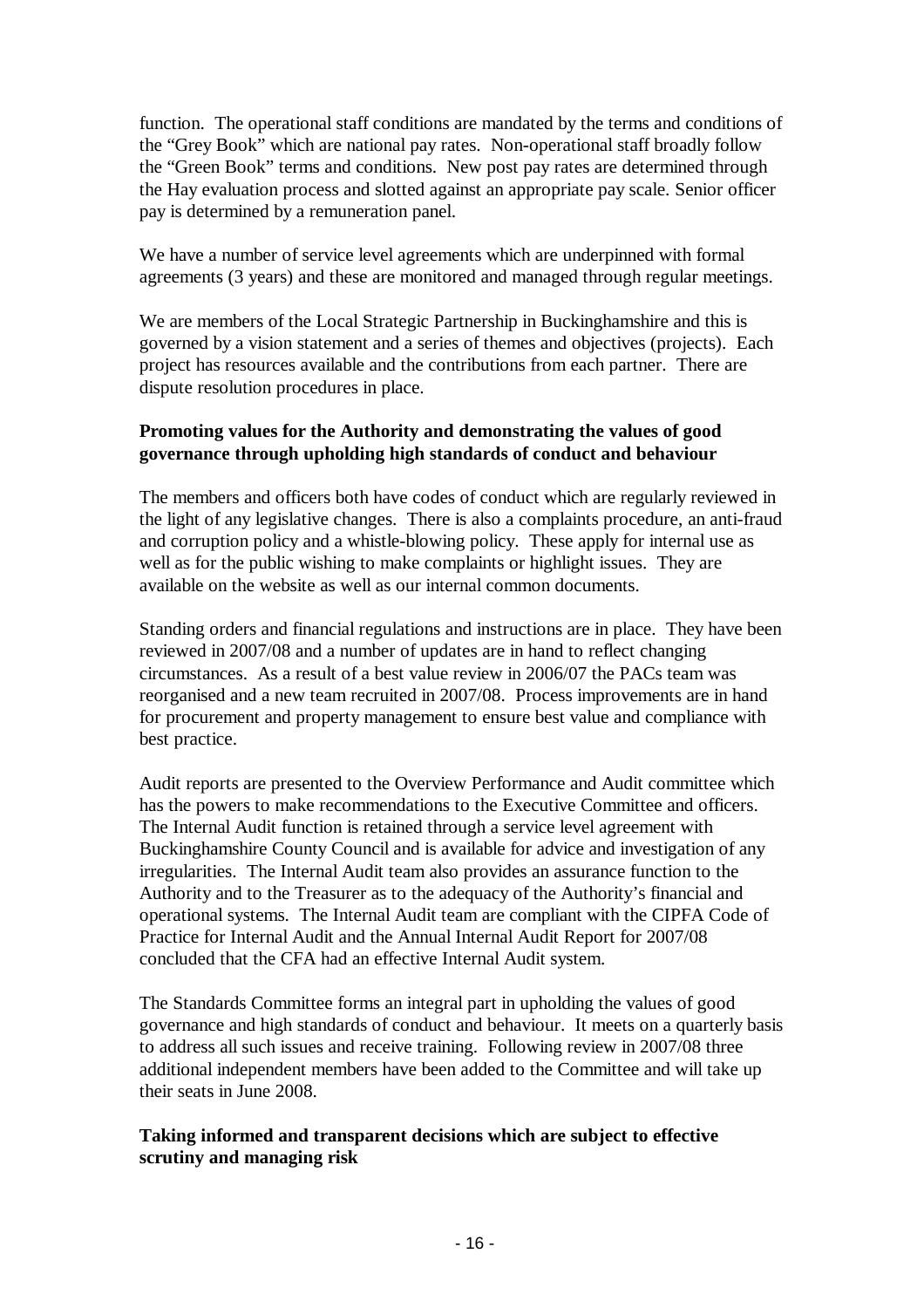function. The operational staff conditions are mandated by the terms and conditions of the "Grey Book" which are national pay rates. Non-operational staff broadly follow the "Green Book" terms and conditions. New post pay rates are determined through the Hay evaluation process and slotted against an appropriate pay scale. Senior officer pay is determined by a remuneration panel.

We have a number of service level agreements which are underpinned with formal agreements (3 years) and these are monitored and managed through regular meetings.

We are members of the Local Strategic Partnership in Buckinghamshire and this is governed by a vision statement and a series of themes and objectives (projects). Each project has resources available and the contributions from each partner. There are dispute resolution procedures in place.

### **Promoting values for the Authority and demonstrating the values of good governance through upholding high standards of conduct and behaviour**

The members and officers both have codes of conduct which are regularly reviewed in the light of any legislative changes. There is also a complaints procedure, an anti-fraud and corruption policy and a whistle-blowing policy. These apply for internal use as well as for the public wishing to make complaints or highlight issues. They are available on the website as well as our internal common documents.

Standing orders and financial regulations and instructions are in place. They have been reviewed in 2007/08 and a number of updates are in hand to reflect changing circumstances. As a result of a best value review in 2006/07 the PACs team was reorganised and a new team recruited in 2007/08. Process improvements are in hand for procurement and property management to ensure best value and compliance with best practice.

Audit reports are presented to the Overview Performance and Audit committee which has the powers to make recommendations to the Executive Committee and officers. The Internal Audit function is retained through a service level agreement with Buckinghamshire County Council and is available for advice and investigation of any irregularities. The Internal Audit team also provides an assurance function to the Authority and to the Treasurer as to the adequacy of the Authority's financial and operational systems. The Internal Audit team are compliant with the CIPFA Code of Practice for Internal Audit and the Annual Internal Audit Report for 2007/08 concluded that the CFA had an effective Internal Audit system.

The Standards Committee forms an integral part in upholding the values of good governance and high standards of conduct and behaviour. It meets on a quarterly basis to address all such issues and receive training. Following review in 2007/08 three additional independent members have been added to the Committee and will take up their seats in June 2008.

## **Taking informed and transparent decisions which are subject to effective scrutiny and managing risk**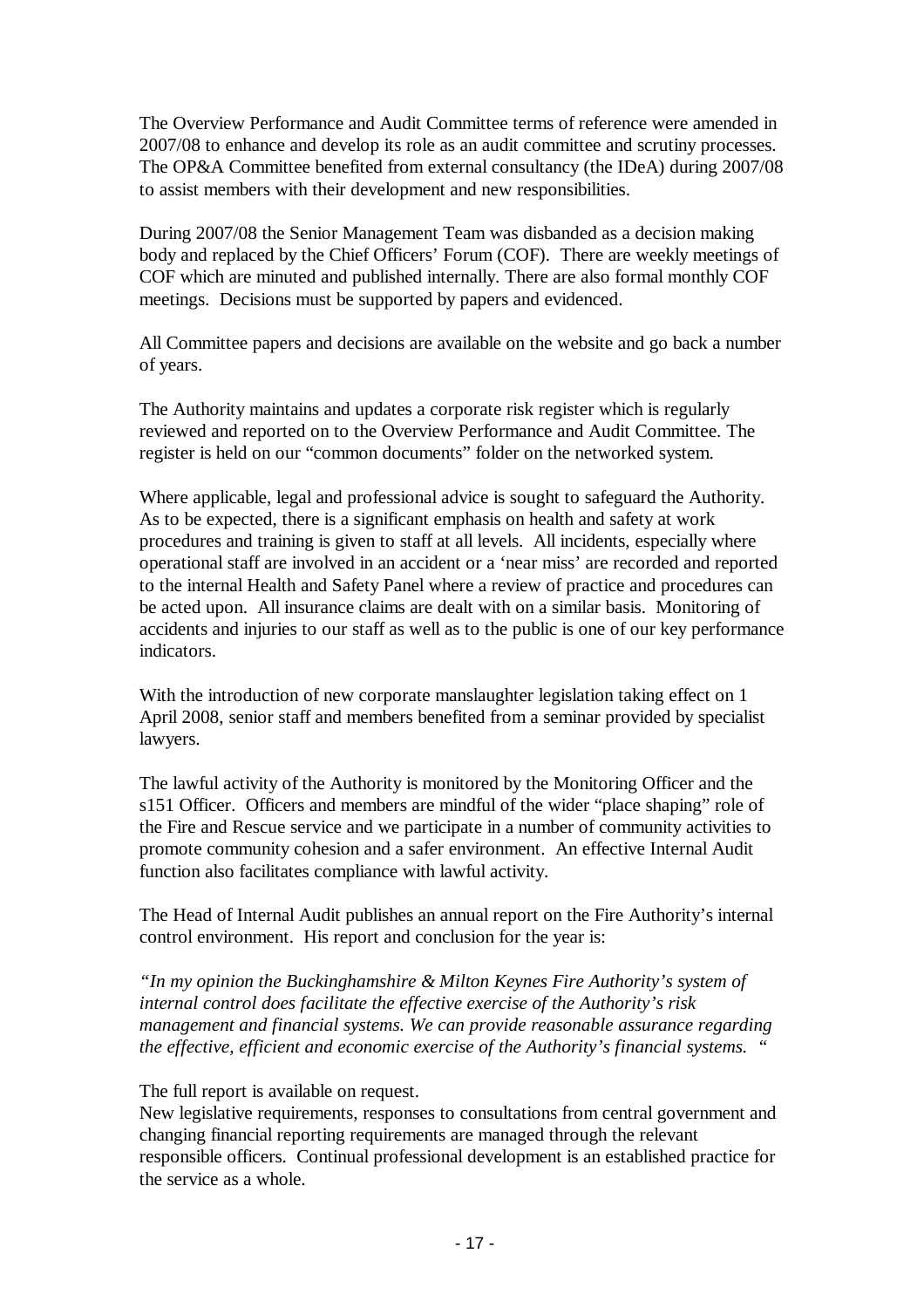The Overview Performance and Audit Committee terms of reference were amended in 2007/08 to enhance and develop its role as an audit committee and scrutiny processes. The OP&A Committee benefited from external consultancy (the IDeA) during 2007/08 to assist members with their development and new responsibilities.

During 2007/08 the Senior Management Team was disbanded as a decision making body and replaced by the Chief Officers' Forum (COF). There are weekly meetings of COF which are minuted and published internally. There are also formal monthly COF meetings. Decisions must be supported by papers and evidenced.

All Committee papers and decisions are available on the website and go back a number of years.

The Authority maintains and updates a corporate risk register which is regularly reviewed and reported on to the Overview Performance and Audit Committee. The register is held on our "common documents" folder on the networked system.

Where applicable, legal and professional advice is sought to safeguard the Authority. As to be expected, there is a significant emphasis on health and safety at work procedures and training is given to staff at all levels. All incidents, especially where operational staff are involved in an accident or a 'near miss' are recorded and reported to the internal Health and Safety Panel where a review of practice and procedures can be acted upon. All insurance claims are dealt with on a similar basis. Monitoring of accidents and injuries to our staff as well as to the public is one of our key performance indicators.

With the introduction of new corporate manslaughter legislation taking effect on 1 April 2008, senior staff and members benefited from a seminar provided by specialist lawyers.

The lawful activity of the Authority is monitored by the Monitoring Officer and the s151 Officer. Officers and members are mindful of the wider "place shaping" role of the Fire and Rescue service and we participate in a number of community activities to promote community cohesion and a safer environment. An effective Internal Audit function also facilitates compliance with lawful activity.

The Head of Internal Audit publishes an annual report on the Fire Authority's internal control environment. His report and conclusion for the year is:

*"In my opinion the Buckinghamshire & Milton Keynes Fire Authority's system of internal control does facilitate the effective exercise of the Authority's risk management and financial systems. We can provide reasonable assurance regarding the effective, efficient and economic exercise of the Authority's financial systems. "* 

The full report is available on request.

New legislative requirements, responses to consultations from central government and changing financial reporting requirements are managed through the relevant responsible officers. Continual professional development is an established practice for the service as a whole.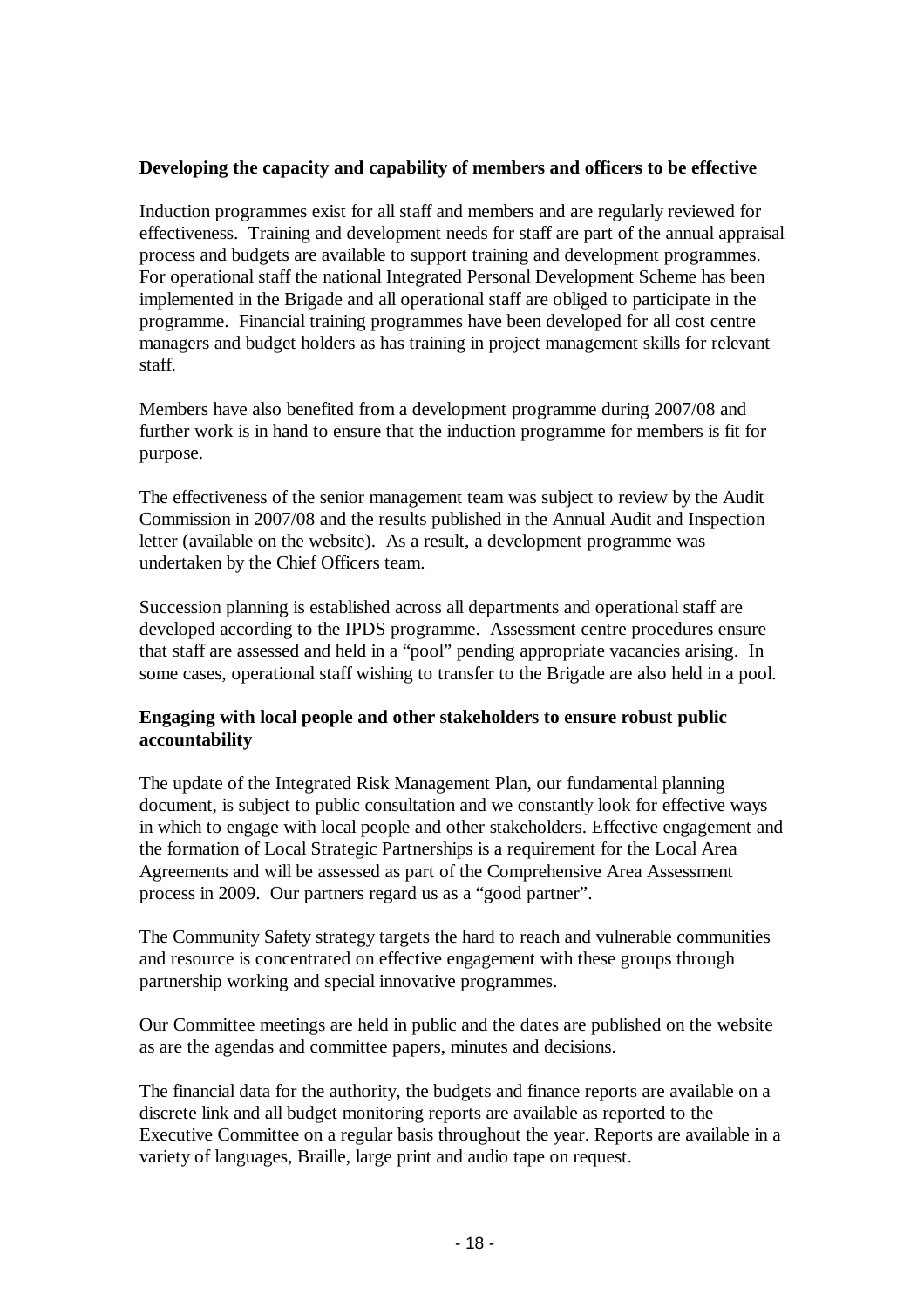## **Developing the capacity and capability of members and officers to be effective**

Induction programmes exist for all staff and members and are regularly reviewed for effectiveness. Training and development needs for staff are part of the annual appraisal process and budgets are available to support training and development programmes. For operational staff the national Integrated Personal Development Scheme has been implemented in the Brigade and all operational staff are obliged to participate in the programme. Financial training programmes have been developed for all cost centre managers and budget holders as has training in project management skills for relevant staff.

Members have also benefited from a development programme during 2007/08 and further work is in hand to ensure that the induction programme for members is fit for purpose.

The effectiveness of the senior management team was subject to review by the Audit Commission in 2007/08 and the results published in the Annual Audit and Inspection letter (available on the website). As a result, a development programme was undertaken by the Chief Officers team.

Succession planning is established across all departments and operational staff are developed according to the IPDS programme. Assessment centre procedures ensure that staff are assessed and held in a "pool" pending appropriate vacancies arising. In some cases, operational staff wishing to transfer to the Brigade are also held in a pool.

## **Engaging with local people and other stakeholders to ensure robust public accountability**

The update of the Integrated Risk Management Plan, our fundamental planning document, is subject to public consultation and we constantly look for effective ways in which to engage with local people and other stakeholders. Effective engagement and the formation of Local Strategic Partnerships is a requirement for the Local Area Agreements and will be assessed as part of the Comprehensive Area Assessment process in 2009. Our partners regard us as a "good partner".

The Community Safety strategy targets the hard to reach and vulnerable communities and resource is concentrated on effective engagement with these groups through partnership working and special innovative programmes.

Our Committee meetings are held in public and the dates are published on the website as are the agendas and committee papers, minutes and decisions.

The financial data for the authority, the budgets and finance reports are available on a discrete link and all budget monitoring reports are available as reported to the Executive Committee on a regular basis throughout the year. Reports are available in a variety of languages, Braille, large print and audio tape on request.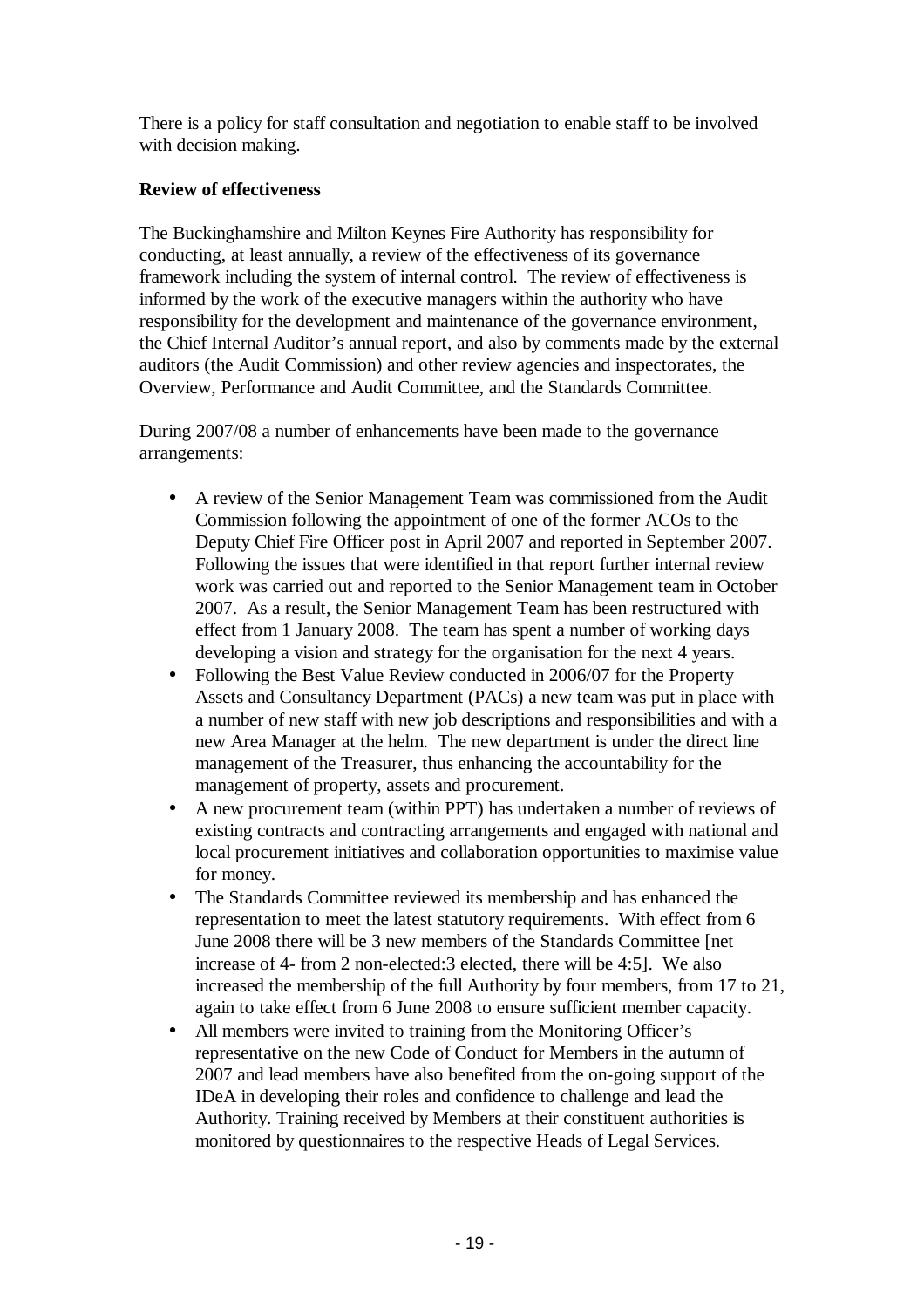There is a policy for staff consultation and negotiation to enable staff to be involved with decision making.

## **Review of effectiveness**

The Buckinghamshire and Milton Keynes Fire Authority has responsibility for conducting, at least annually, a review of the effectiveness of its governance framework including the system of internal control. The review of effectiveness is informed by the work of the executive managers within the authority who have responsibility for the development and maintenance of the governance environment, the Chief Internal Auditor's annual report, and also by comments made by the external auditors (the Audit Commission) and other review agencies and inspectorates, the Overview, Performance and Audit Committee, and the Standards Committee.

During 2007/08 a number of enhancements have been made to the governance arrangements:

- A review of the Senior Management Team was commissioned from the Audit Commission following the appointment of one of the former ACOs to the Deputy Chief Fire Officer post in April 2007 and reported in September 2007. Following the issues that were identified in that report further internal review work was carried out and reported to the Senior Management team in October 2007. As a result, the Senior Management Team has been restructured with effect from 1 January 2008. The team has spent a number of working days developing a vision and strategy for the organisation for the next 4 years.
- Following the Best Value Review conducted in 2006/07 for the Property Assets and Consultancy Department (PACs) a new team was put in place with a number of new staff with new job descriptions and responsibilities and with a new Area Manager at the helm. The new department is under the direct line management of the Treasurer, thus enhancing the accountability for the management of property, assets and procurement.
- A new procurement team (within PPT) has undertaken a number of reviews of existing contracts and contracting arrangements and engaged with national and local procurement initiatives and collaboration opportunities to maximise value for money.
- The Standards Committee reviewed its membership and has enhanced the representation to meet the latest statutory requirements. With effect from 6 June 2008 there will be 3 new members of the Standards Committee [net increase of 4- from 2 non-elected:3 elected, there will be 4:5]. We also increased the membership of the full Authority by four members, from 17 to 21, again to take effect from 6 June 2008 to ensure sufficient member capacity.
- All members were invited to training from the Monitoring Officer's representative on the new Code of Conduct for Members in the autumn of 2007 and lead members have also benefited from the on-going support of the IDeA in developing their roles and confidence to challenge and lead the Authority. Training received by Members at their constituent authorities is monitored by questionnaires to the respective Heads of Legal Services.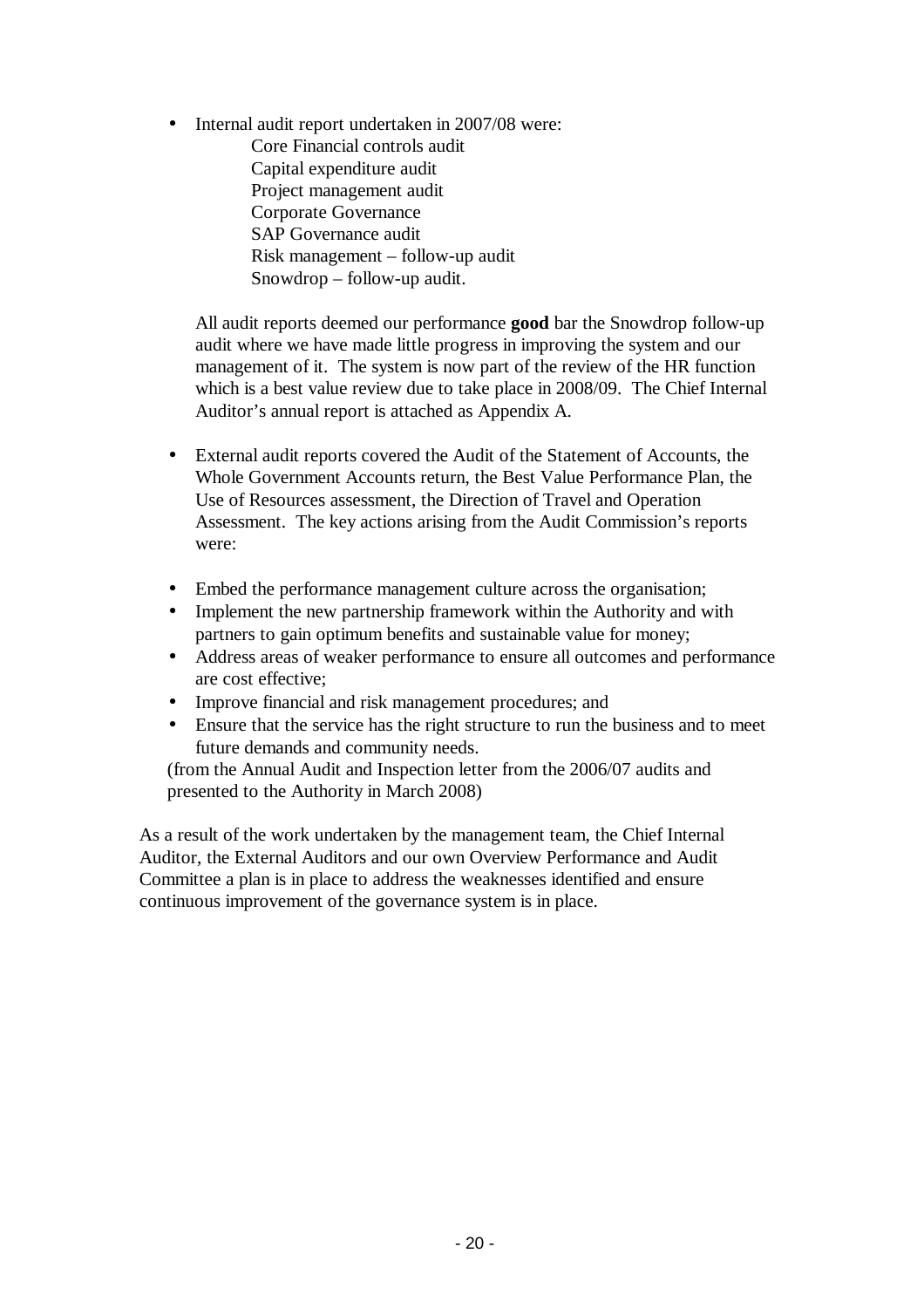Internal audit report undertaken in 2007/08 were:

Core Financial controls audit Capital expenditure audit Project management audit Corporate Governance SAP Governance audit Risk management – follow-up audit Snowdrop – follow-up audit.

All audit reports deemed our performance **good** bar the Snowdrop follow-up audit where we have made little progress in improving the system and our management of it. The system is now part of the review of the HR function which is a best value review due to take place in 2008/09. The Chief Internal Auditor's annual report is attached as Appendix A.

- External audit reports covered the Audit of the Statement of Accounts, the Whole Government Accounts return, the Best Value Performance Plan, the Use of Resources assessment, the Direction of Travel and Operation Assessment. The key actions arising from the Audit Commission's reports were:
- Embed the performance management culture across the organisation;
- Implement the new partnership framework within the Authority and with partners to gain optimum benefits and sustainable value for money;
- Address areas of weaker performance to ensure all outcomes and performance are cost effective;
- Improve financial and risk management procedures; and
- Ensure that the service has the right structure to run the business and to meet future demands and community needs.

(from the Annual Audit and Inspection letter from the 2006/07 audits and presented to the Authority in March 2008)

As a result of the work undertaken by the management team, the Chief Internal Auditor, the External Auditors and our own Overview Performance and Audit Committee a plan is in place to address the weaknesses identified and ensure continuous improvement of the governance system is in place.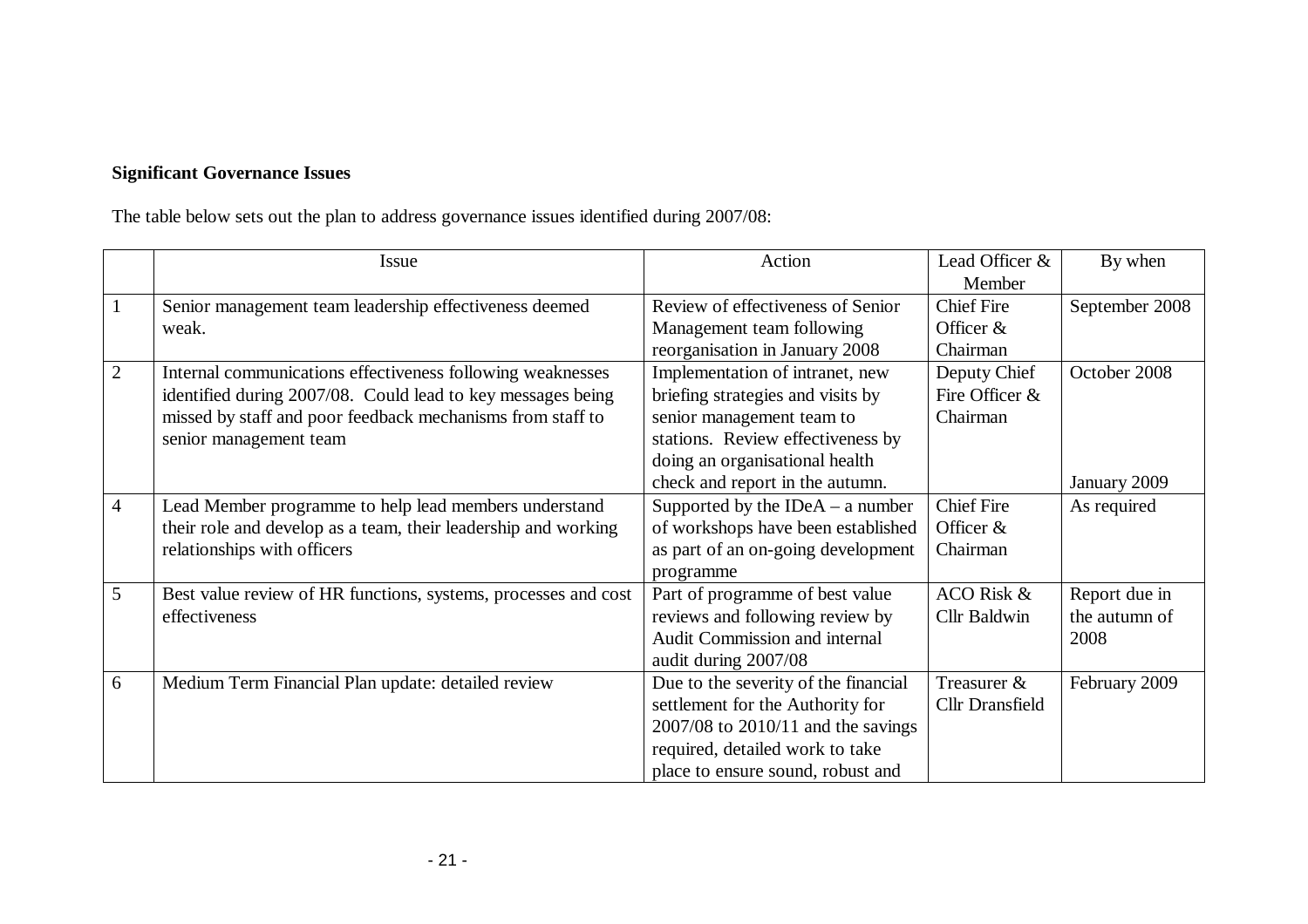## **Significant Governance Issues**

The table below sets out the plan to address governance issues identified during 2007/08:

|                | Issue                                                          | Action                               | Lead Officer &         | By when        |
|----------------|----------------------------------------------------------------|--------------------------------------|------------------------|----------------|
|                |                                                                |                                      | Member                 |                |
|                | Senior management team leadership effectiveness deemed         | Review of effectiveness of Senior    | <b>Chief Fire</b>      | September 2008 |
|                | weak.                                                          | Management team following            | Officer $&$            |                |
|                |                                                                | reorganisation in January 2008       | Chairman               |                |
| $\overline{2}$ | Internal communications effectiveness following weaknesses     | Implementation of intranet, new      | Deputy Chief           | October 2008   |
|                | identified during 2007/08. Could lead to key messages being    | briefing strategies and visits by    | Fire Officer &         |                |
|                | missed by staff and poor feedback mechanisms from staff to     | senior management team to            | Chairman               |                |
|                | senior management team                                         | stations. Review effectiveness by    |                        |                |
|                |                                                                | doing an organisational health       |                        |                |
|                |                                                                | check and report in the autumn.      |                        | January 2009   |
| 4              | Lead Member programme to help lead members understand          | Supported by the $IDEA - a$ number   | <b>Chief Fire</b>      | As required    |
|                | their role and develop as a team, their leadership and working | of workshops have been established   | Officer $&$            |                |
|                | relationships with officers                                    | as part of an on-going development   | Chairman               |                |
|                |                                                                | programme                            |                        |                |
| 5              | Best value review of HR functions, systems, processes and cost | Part of programme of best value      | ACO Risk &             | Report due in  |
|                | effectiveness                                                  | reviews and following review by      | Cllr Baldwin           | the autumn of  |
|                |                                                                | Audit Commission and internal        |                        | 2008           |
|                |                                                                | audit during 2007/08                 |                        |                |
| 6              | Medium Term Financial Plan update: detailed review             | Due to the severity of the financial | Treasurer &            | February 2009  |
|                |                                                                | settlement for the Authority for     | <b>Cllr</b> Dransfield |                |
|                |                                                                | 2007/08 to 2010/11 and the savings   |                        |                |
|                |                                                                | required, detailed work to take      |                        |                |
|                |                                                                | place to ensure sound, robust and    |                        |                |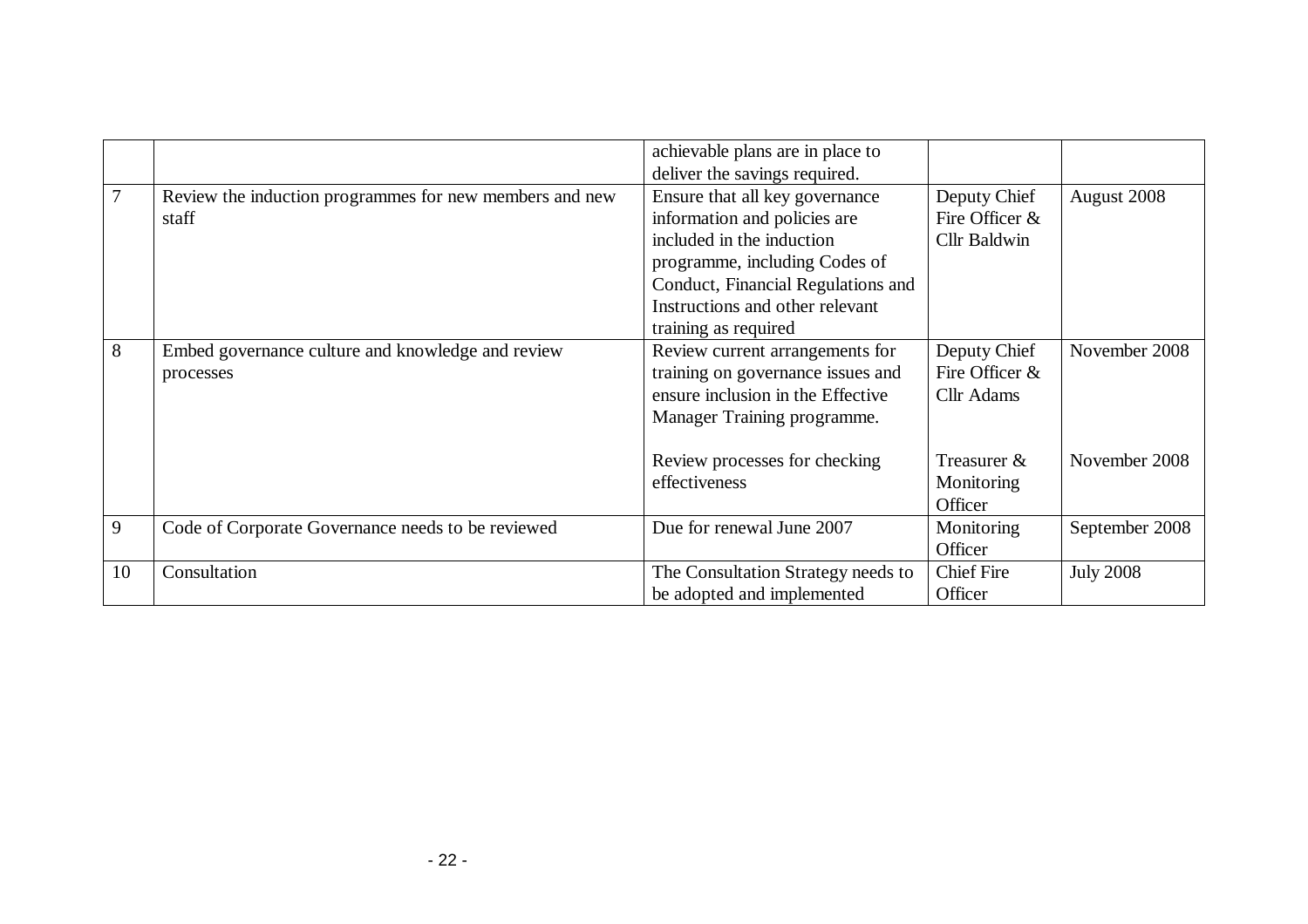|    |                                                                  | achievable plans are in place to<br>deliver the savings required.                                                                                                                                                             |                                                       |                  |
|----|------------------------------------------------------------------|-------------------------------------------------------------------------------------------------------------------------------------------------------------------------------------------------------------------------------|-------------------------------------------------------|------------------|
| 7  | Review the induction programmes for new members and new<br>staff | Ensure that all key governance<br>information and policies are<br>included in the induction<br>programme, including Codes of<br>Conduct, Financial Regulations and<br>Instructions and other relevant<br>training as required | Deputy Chief<br>Fire Officer &<br><b>Cllr Baldwin</b> | August 2008      |
| 8  | Embed governance culture and knowledge and review<br>processes   | Review current arrangements for<br>training on governance issues and<br>ensure inclusion in the Effective<br>Manager Training programme.                                                                                      | Deputy Chief<br>Fire Officer &<br><b>Cllr</b> Adams   | November 2008    |
|    |                                                                  | Review processes for checking<br>effectiveness                                                                                                                                                                                | Treasurer &<br>Monitoring<br>Officer                  | November 2008    |
| 9  | Code of Corporate Governance needs to be reviewed                | Due for renewal June 2007                                                                                                                                                                                                     | Monitoring<br>Officer                                 | September 2008   |
| 10 | Consultation                                                     | The Consultation Strategy needs to<br>be adopted and implemented                                                                                                                                                              | <b>Chief Fire</b><br>Officer                          | <b>July 2008</b> |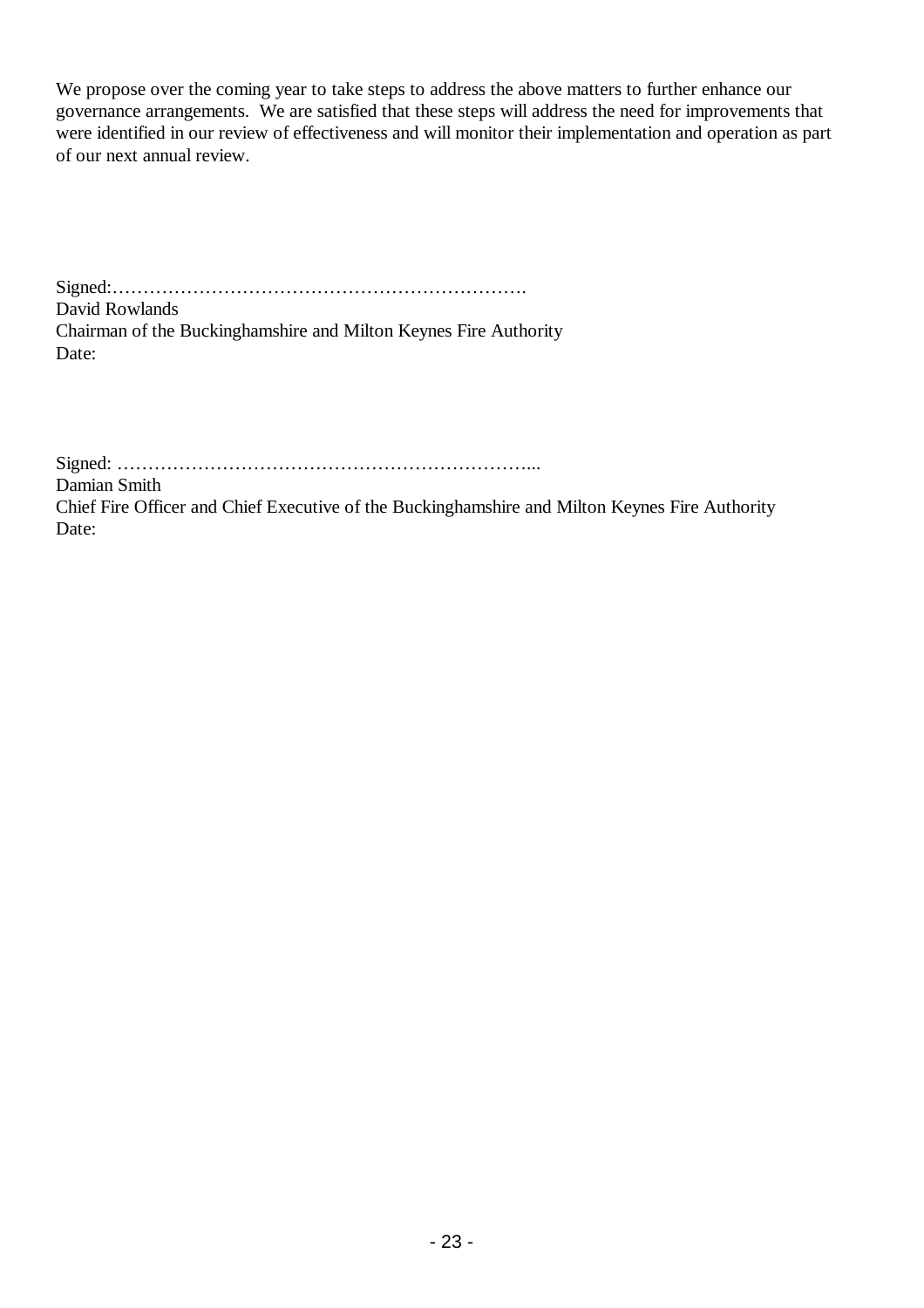We propose over the coming year to take steps to address the above matters to further enhance our governance arrangements. We are satisfied that these steps will address the need for improvements that were identified in our review of effectiveness and will monitor their implementation and operation as part of our next annual review.

Signed:…………………………………………………………. David Rowlands Chairman of the Buckinghamshire and Milton Keynes Fire Authority Date:

Signed: …………………………………………………………... Damian Smith Chief Fire Officer and Chief Executive of the Buckinghamshire and Milton Keynes Fire Authority Date: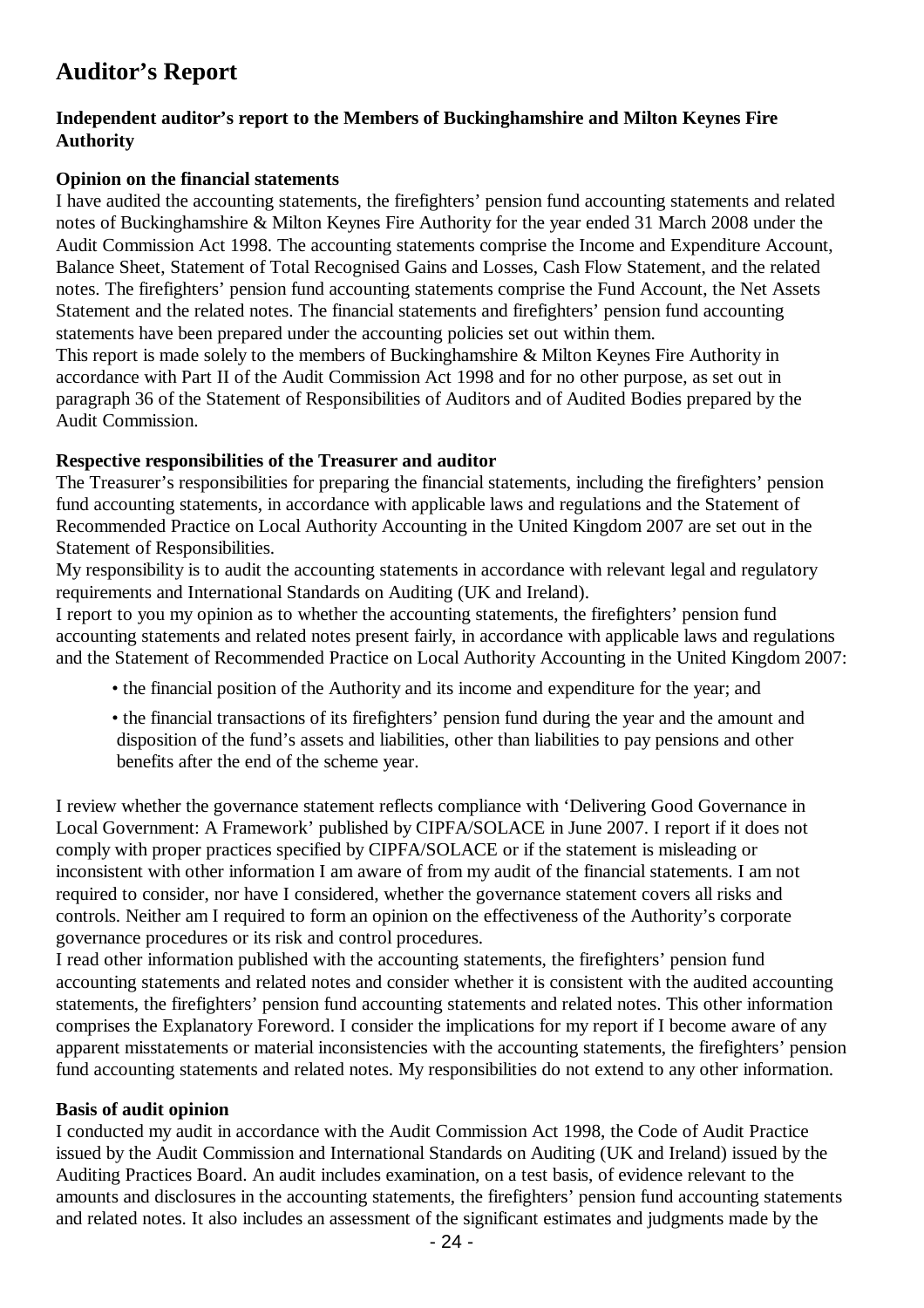## **Auditor's Report**

## **Independent auditor's report to the Members of Buckinghamshire and Milton Keynes Fire Authority**

## **Opinion on the financial statements**

I have audited the accounting statements, the firefighters' pension fund accounting statements and related notes of Buckinghamshire & Milton Keynes Fire Authority for the year ended 31 March 2008 under the Audit Commission Act 1998. The accounting statements comprise the Income and Expenditure Account, Balance Sheet, Statement of Total Recognised Gains and Losses, Cash Flow Statement, and the related notes. The firefighters' pension fund accounting statements comprise the Fund Account, the Net Assets Statement and the related notes. The financial statements and firefighters' pension fund accounting statements have been prepared under the accounting policies set out within them.

This report is made solely to the members of Buckinghamshire & Milton Keynes Fire Authority in accordance with Part II of the Audit Commission Act 1998 and for no other purpose, as set out in paragraph 36 of the Statement of Responsibilities of Auditors and of Audited Bodies prepared by the Audit Commission.

## **Respective responsibilities of the Treasurer and auditor**

The Treasurer's responsibilities for preparing the financial statements, including the firefighters' pension fund accounting statements, in accordance with applicable laws and regulations and the Statement of Recommended Practice on Local Authority Accounting in the United Kingdom 2007 are set out in the Statement of Responsibilities.

My responsibility is to audit the accounting statements in accordance with relevant legal and regulatory requirements and International Standards on Auditing (UK and Ireland).

I report to you my opinion as to whether the accounting statements, the firefighters' pension fund accounting statements and related notes present fairly, in accordance with applicable laws and regulations and the Statement of Recommended Practice on Local Authority Accounting in the United Kingdom 2007:

- the financial position of the Authority and its income and expenditure for the year; and
- the financial transactions of its firefighters' pension fund during the year and the amount and disposition of the fund's assets and liabilities, other than liabilities to pay pensions and other benefits after the end of the scheme year.

I review whether the governance statement reflects compliance with 'Delivering Good Governance in Local Government: A Framework' published by CIPFA/SOLACE in June 2007. I report if it does not comply with proper practices specified by CIPFA/SOLACE or if the statement is misleading or inconsistent with other information I am aware of from my audit of the financial statements. I am not required to consider, nor have I considered, whether the governance statement covers all risks and controls. Neither am I required to form an opinion on the effectiveness of the Authority's corporate governance procedures or its risk and control procedures.

I read other information published with the accounting statements, the firefighters' pension fund accounting statements and related notes and consider whether it is consistent with the audited accounting statements, the firefighters' pension fund accounting statements and related notes. This other information comprises the Explanatory Foreword. I consider the implications for my report if I become aware of any apparent misstatements or material inconsistencies with the accounting statements, the firefighters' pension fund accounting statements and related notes. My responsibilities do not extend to any other information.

## **Basis of audit opinion**

I conducted my audit in accordance with the Audit Commission Act 1998, the Code of Audit Practice issued by the Audit Commission and International Standards on Auditing (UK and Ireland) issued by the Auditing Practices Board. An audit includes examination, on a test basis, of evidence relevant to the amounts and disclosures in the accounting statements, the firefighters' pension fund accounting statements and related notes. It also includes an assessment of the significant estimates and judgments made by the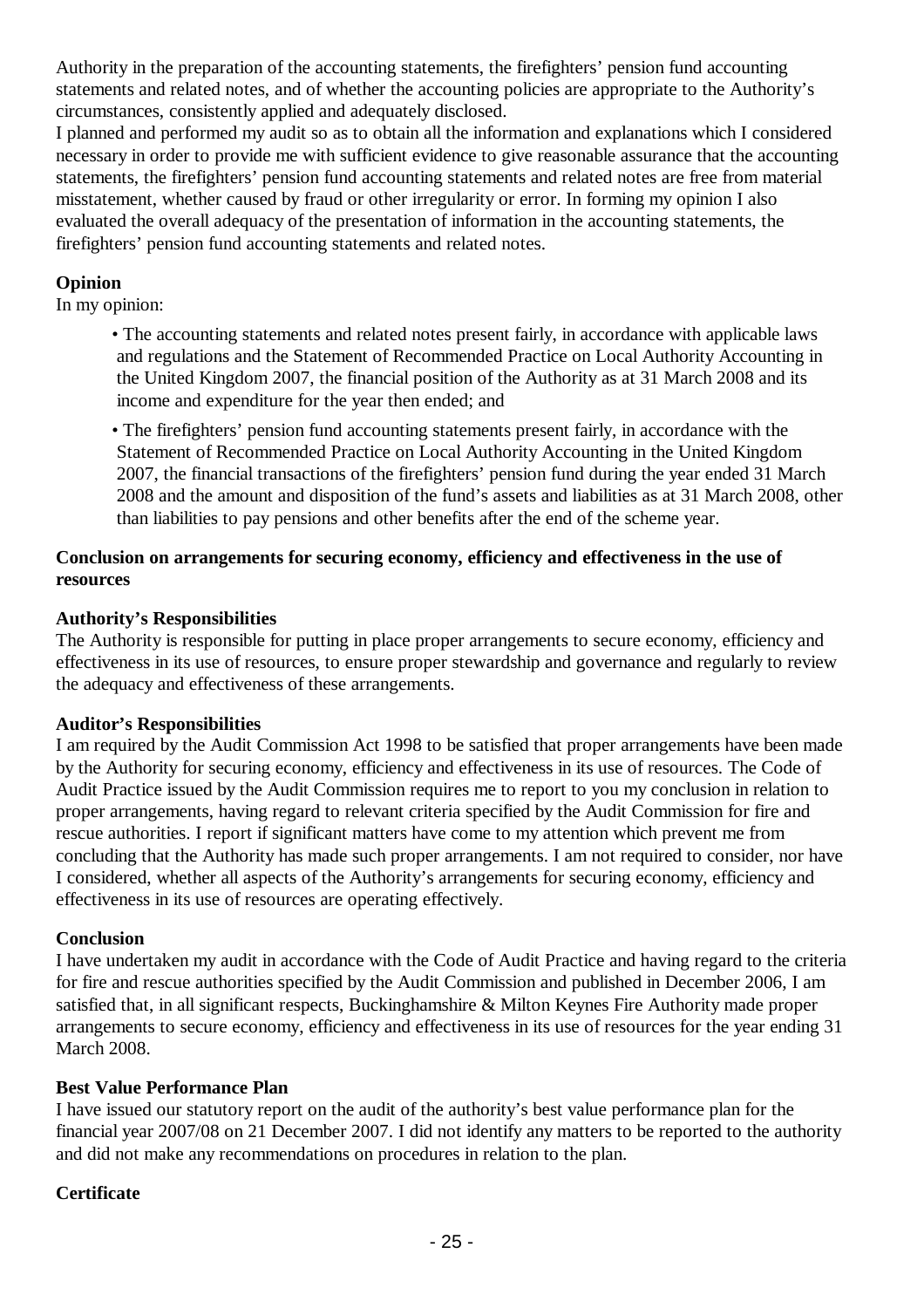Authority in the preparation of the accounting statements, the firefighters' pension fund accounting statements and related notes, and of whether the accounting policies are appropriate to the Authority's circumstances, consistently applied and adequately disclosed.

I planned and performed my audit so as to obtain all the information and explanations which I considered necessary in order to provide me with sufficient evidence to give reasonable assurance that the accounting statements, the firefighters' pension fund accounting statements and related notes are free from material misstatement, whether caused by fraud or other irregularity or error. In forming my opinion I also evaluated the overall adequacy of the presentation of information in the accounting statements, the firefighters' pension fund accounting statements and related notes.

## **Opinion**

In my opinion:

• The accounting statements and related notes present fairly, in accordance with applicable laws and regulations and the Statement of Recommended Practice on Local Authority Accounting in the United Kingdom 2007, the financial position of the Authority as at 31 March 2008 and its income and expenditure for the year then ended; and

• The firefighters' pension fund accounting statements present fairly, in accordance with the Statement of Recommended Practice on Local Authority Accounting in the United Kingdom 2007, the financial transactions of the firefighters' pension fund during the year ended 31 March 2008 and the amount and disposition of the fund's assets and liabilities as at 31 March 2008, other than liabilities to pay pensions and other benefits after the end of the scheme year.

## **Conclusion on arrangements for securing economy, efficiency and effectiveness in the use of resources**

## **Authority's Responsibilities**

The Authority is responsible for putting in place proper arrangements to secure economy, efficiency and effectiveness in its use of resources, to ensure proper stewardship and governance and regularly to review the adequacy and effectiveness of these arrangements.

## **Auditor's Responsibilities**

I am required by the Audit Commission Act 1998 to be satisfied that proper arrangements have been made by the Authority for securing economy, efficiency and effectiveness in its use of resources. The Code of Audit Practice issued by the Audit Commission requires me to report to you my conclusion in relation to proper arrangements, having regard to relevant criteria specified by the Audit Commission for fire and rescue authorities. I report if significant matters have come to my attention which prevent me from concluding that the Authority has made such proper arrangements. I am not required to consider, nor have I considered, whether all aspects of the Authority's arrangements for securing economy, efficiency and effectiveness in its use of resources are operating effectively.

## **Conclusion**

I have undertaken my audit in accordance with the Code of Audit Practice and having regard to the criteria for fire and rescue authorities specified by the Audit Commission and published in December 2006, I am satisfied that, in all significant respects, Buckinghamshire & Milton Keynes Fire Authority made proper arrangements to secure economy, efficiency and effectiveness in its use of resources for the year ending 31 March 2008.

## **Best Value Performance Plan**

I have issued our statutory report on the audit of the authority's best value performance plan for the financial year 2007/08 on 21 December 2007. I did not identify any matters to be reported to the authority and did not make any recommendations on procedures in relation to the plan.

## **Certificate**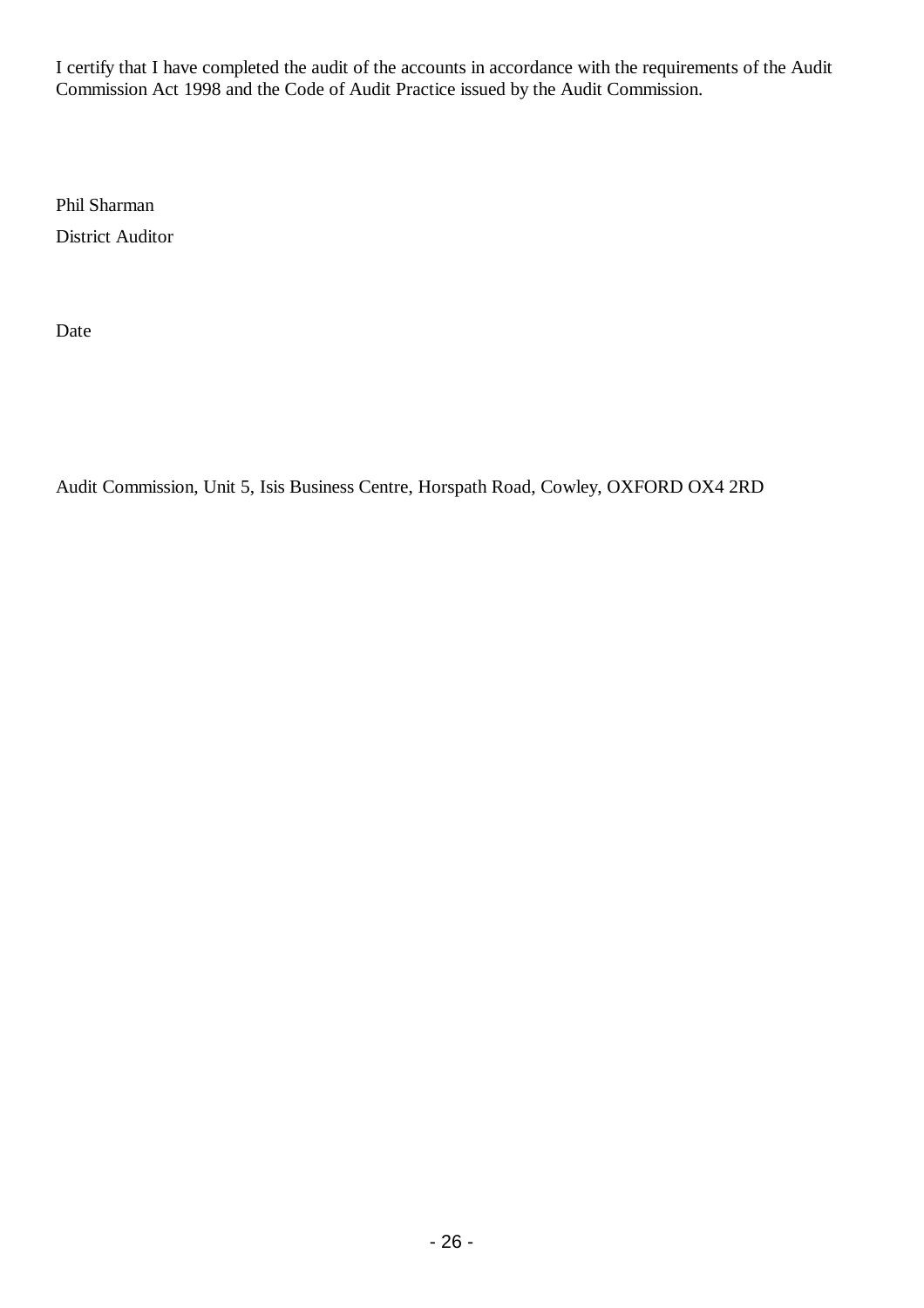I certify that I have completed the audit of the accounts in accordance with the requirements of the Audit Commission Act 1998 and the Code of Audit Practice issued by the Audit Commission.

Phil Sharman District Auditor

Date

Audit Commission, Unit 5, Isis Business Centre, Horspath Road, Cowley, OXFORD OX4 2RD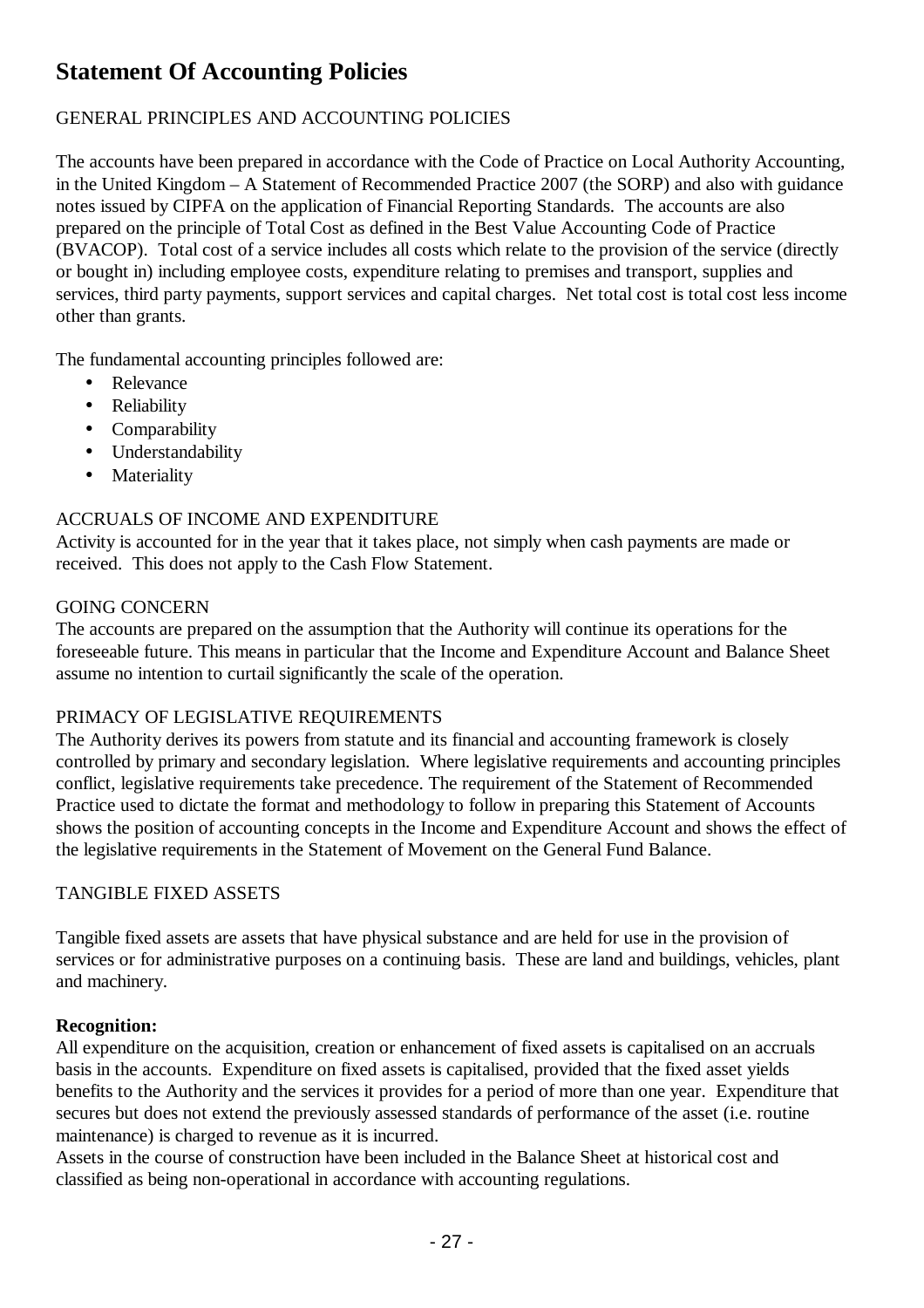## **Statement Of Accounting Policies**

## GENERAL PRINCIPLES AND ACCOUNTING POLICIES

The accounts have been prepared in accordance with the Code of Practice on Local Authority Accounting, in the United Kingdom – A Statement of Recommended Practice 2007 (the SORP) and also with guidance notes issued by CIPFA on the application of Financial Reporting Standards. The accounts are also prepared on the principle of Total Cost as defined in the Best Value Accounting Code of Practice (BVACOP). Total cost of a service includes all costs which relate to the provision of the service (directly or bought in) including employee costs, expenditure relating to premises and transport, supplies and services, third party payments, support services and capital charges. Net total cost is total cost less income other than grants.

The fundamental accounting principles followed are:

- Relevance
- Reliability
- Comparability
- Understandability
- Materiality

## ACCRUALS OF INCOME AND EXPENDITURE

Activity is accounted for in the year that it takes place, not simply when cash payments are made or received. This does not apply to the Cash Flow Statement.

## GOING CONCERN

The accounts are prepared on the assumption that the Authority will continue its operations for the foreseeable future. This means in particular that the Income and Expenditure Account and Balance Sheet assume no intention to curtail significantly the scale of the operation.

## PRIMACY OF LEGISLATIVE REQUIREMENTS

The Authority derives its powers from statute and its financial and accounting framework is closely controlled by primary and secondary legislation. Where legislative requirements and accounting principles conflict, legislative requirements take precedence. The requirement of the Statement of Recommended Practice used to dictate the format and methodology to follow in preparing this Statement of Accounts shows the position of accounting concepts in the Income and Expenditure Account and shows the effect of the legislative requirements in the Statement of Movement on the General Fund Balance.

## TANGIBLE FIXED ASSETS

Tangible fixed assets are assets that have physical substance and are held for use in the provision of services or for administrative purposes on a continuing basis. These are land and buildings, vehicles, plant and machinery.

## **Recognition:**

All expenditure on the acquisition, creation or enhancement of fixed assets is capitalised on an accruals basis in the accounts. Expenditure on fixed assets is capitalised, provided that the fixed asset yields benefits to the Authority and the services it provides for a period of more than one year. Expenditure that secures but does not extend the previously assessed standards of performance of the asset (i.e. routine maintenance) is charged to revenue as it is incurred.

Assets in the course of construction have been included in the Balance Sheet at historical cost and classified as being non-operational in accordance with accounting regulations.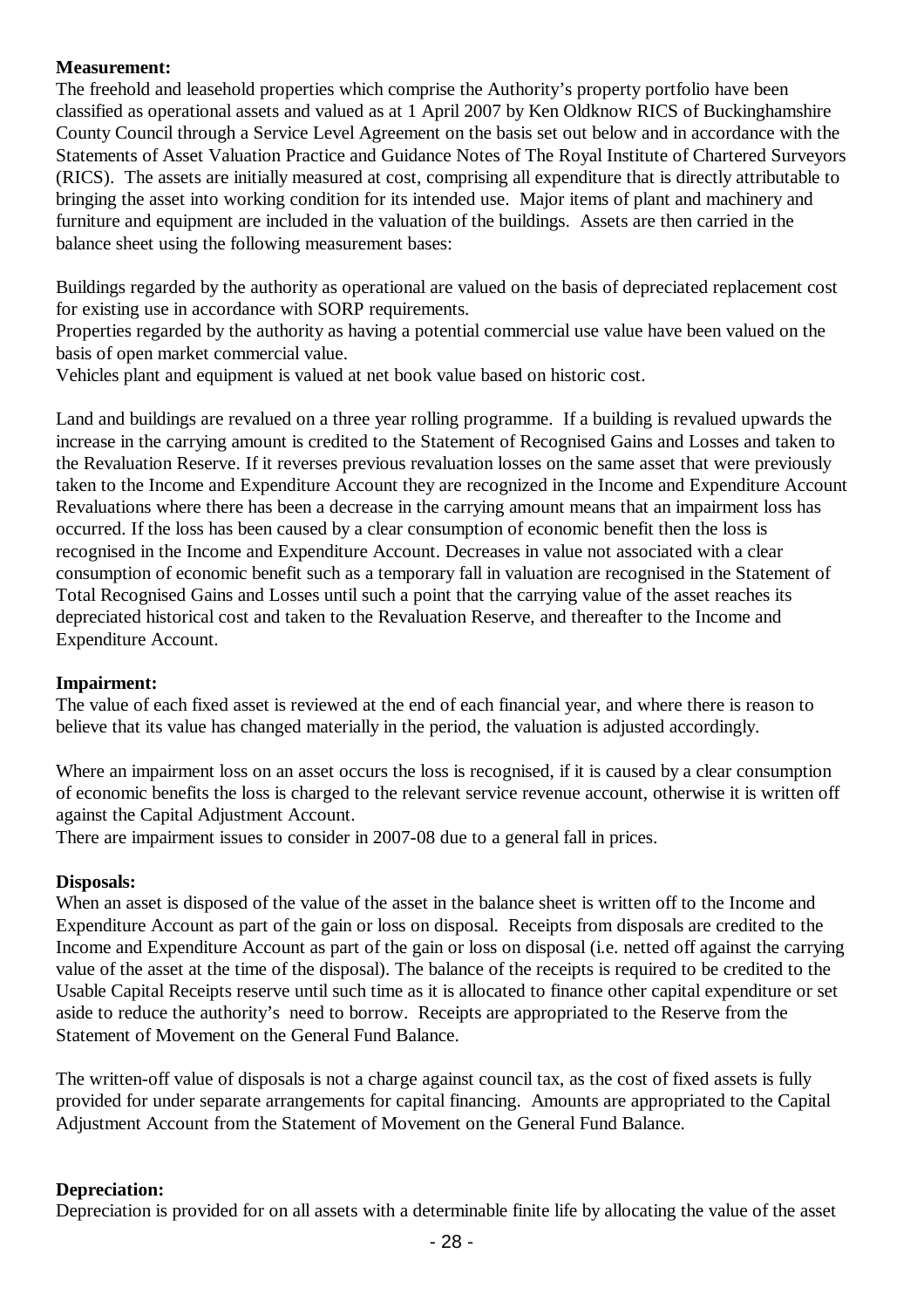## **Measurement:**

The freehold and leasehold properties which comprise the Authority's property portfolio have been classified as operational assets and valued as at 1 April 2007 by Ken Oldknow RICS of Buckinghamshire County Council through a Service Level Agreement on the basis set out below and in accordance with the Statements of Asset Valuation Practice and Guidance Notes of The Royal Institute of Chartered Surveyors (RICS). The assets are initially measured at cost, comprising all expenditure that is directly attributable to bringing the asset into working condition for its intended use. Major items of plant and machinery and furniture and equipment are included in the valuation of the buildings. Assets are then carried in the balance sheet using the following measurement bases:

Buildings regarded by the authority as operational are valued on the basis of depreciated replacement cost for existing use in accordance with SORP requirements.

Properties regarded by the authority as having a potential commercial use value have been valued on the basis of open market commercial value.

Vehicles plant and equipment is valued at net book value based on historic cost.

Land and buildings are revalued on a three year rolling programme. If a building is revalued upwards the increase in the carrying amount is credited to the Statement of Recognised Gains and Losses and taken to the Revaluation Reserve. If it reverses previous revaluation losses on the same asset that were previously taken to the Income and Expenditure Account they are recognized in the Income and Expenditure Account Revaluations where there has been a decrease in the carrying amount means that an impairment loss has occurred. If the loss has been caused by a clear consumption of economic benefit then the loss is recognised in the Income and Expenditure Account. Decreases in value not associated with a clear consumption of economic benefit such as a temporary fall in valuation are recognised in the Statement of Total Recognised Gains and Losses until such a point that the carrying value of the asset reaches its depreciated historical cost and taken to the Revaluation Reserve, and thereafter to the Income and Expenditure Account.

#### **Impairment:**

The value of each fixed asset is reviewed at the end of each financial year, and where there is reason to believe that its value has changed materially in the period, the valuation is adjusted accordingly.

Where an impairment loss on an asset occurs the loss is recognised, if it is caused by a clear consumption of economic benefits the loss is charged to the relevant service revenue account, otherwise it is written off against the Capital Adjustment Account.

There are impairment issues to consider in 2007-08 due to a general fall in prices.

#### **Disposals:**

When an asset is disposed of the value of the asset in the balance sheet is written off to the Income and Expenditure Account as part of the gain or loss on disposal. Receipts from disposals are credited to the Income and Expenditure Account as part of the gain or loss on disposal (i.e. netted off against the carrying value of the asset at the time of the disposal). The balance of the receipts is required to be credited to the Usable Capital Receipts reserve until such time as it is allocated to finance other capital expenditure or set aside to reduce the authority's need to borrow. Receipts are appropriated to the Reserve from the Statement of Movement on the General Fund Balance.

The written-off value of disposals is not a charge against council tax, as the cost of fixed assets is fully provided for under separate arrangements for capital financing. Amounts are appropriated to the Capital Adjustment Account from the Statement of Movement on the General Fund Balance.

#### **Depreciation:**

Depreciation is provided for on all assets with a determinable finite life by allocating the value of the asset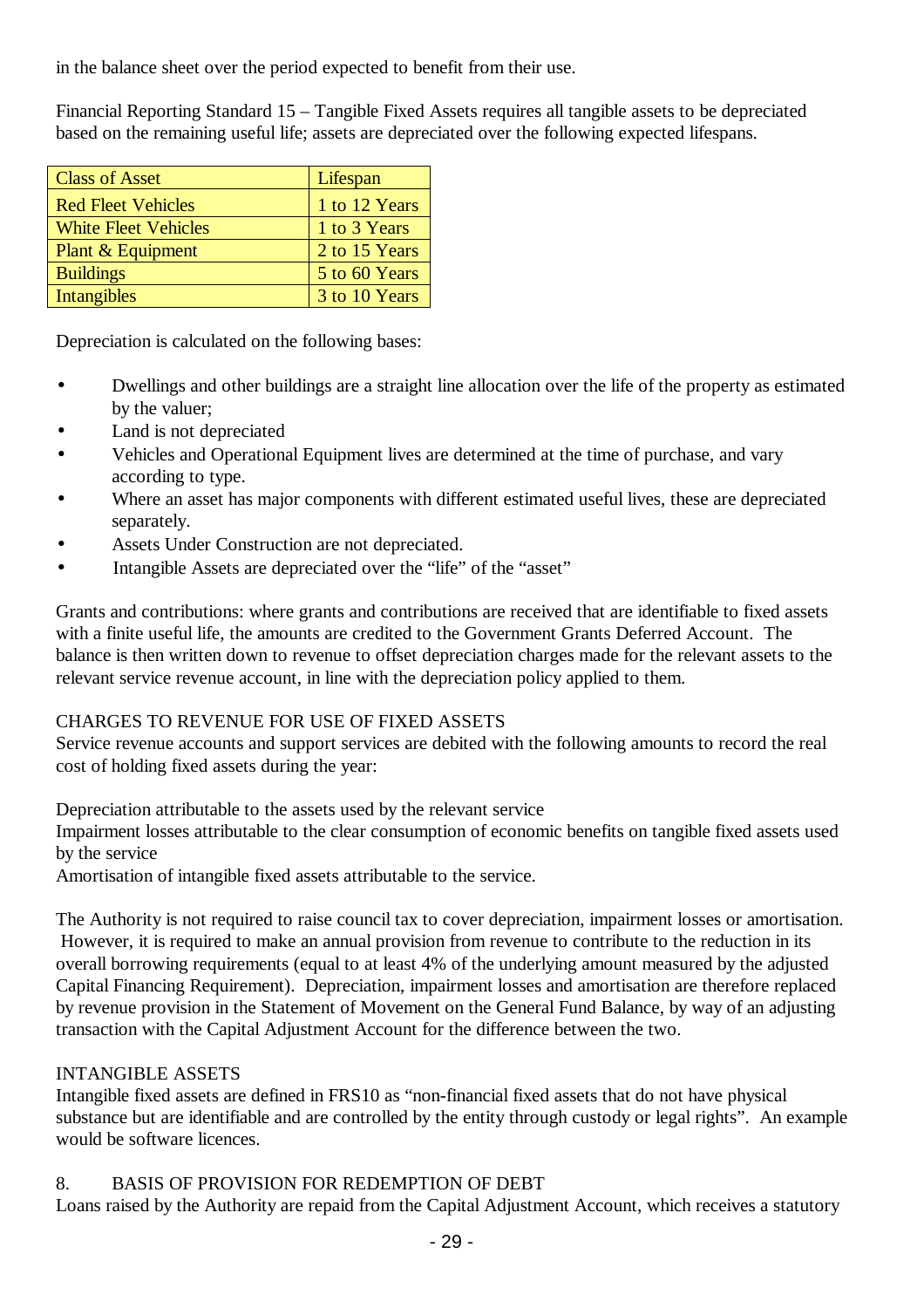in the balance sheet over the period expected to benefit from their use.

Financial Reporting Standard 15 – Tangible Fixed Assets requires all tangible assets to be depreciated based on the remaining useful life; assets are depreciated over the following expected lifespans.

| <b>Class of Asset</b>       | Lifespan      |
|-----------------------------|---------------|
| <b>Red Fleet Vehicles</b>   | 1 to 12 Years |
| <b>White Fleet Vehicles</b> | 1 to 3 Years  |
| Plant & Equipment           | 2 to 15 Years |
| <b>Buildings</b>            | 5 to 60 Years |
| Intangibles                 | 3 to 10 Years |

Depreciation is calculated on the following bases:

- Dwellings and other buildings are a straight line allocation over the life of the property as estimated by the valuer;
- Land is not depreciated
- Vehicles and Operational Equipment lives are determined at the time of purchase, and vary according to type.
- Where an asset has major components with different estimated useful lives, these are depreciated separately.
- Assets Under Construction are not depreciated.
- Intangible Assets are depreciated over the "life" of the "asset"

Grants and contributions: where grants and contributions are received that are identifiable to fixed assets with a finite useful life, the amounts are credited to the Government Grants Deferred Account. The balance is then written down to revenue to offset depreciation charges made for the relevant assets to the relevant service revenue account, in line with the depreciation policy applied to them.

## CHARGES TO REVENUE FOR USE OF FIXED ASSETS

Service revenue accounts and support services are debited with the following amounts to record the real cost of holding fixed assets during the year:

Depreciation attributable to the assets used by the relevant service

Impairment losses attributable to the clear consumption of economic benefits on tangible fixed assets used by the service

Amortisation of intangible fixed assets attributable to the service.

The Authority is not required to raise council tax to cover depreciation, impairment losses or amortisation. However, it is required to make an annual provision from revenue to contribute to the reduction in its overall borrowing requirements (equal to at least 4% of the underlying amount measured by the adjusted Capital Financing Requirement). Depreciation, impairment losses and amortisation are therefore replaced by revenue provision in the Statement of Movement on the General Fund Balance, by way of an adjusting transaction with the Capital Adjustment Account for the difference between the two.

## INTANGIBLE ASSETS

Intangible fixed assets are defined in FRS10 as "non-financial fixed assets that do not have physical substance but are identifiable and are controlled by the entity through custody or legal rights". An example would be software licences.

## 8. BASIS OF PROVISION FOR REDEMPTION OF DEBT

Loans raised by the Authority are repaid from the Capital Adjustment Account, which receives a statutory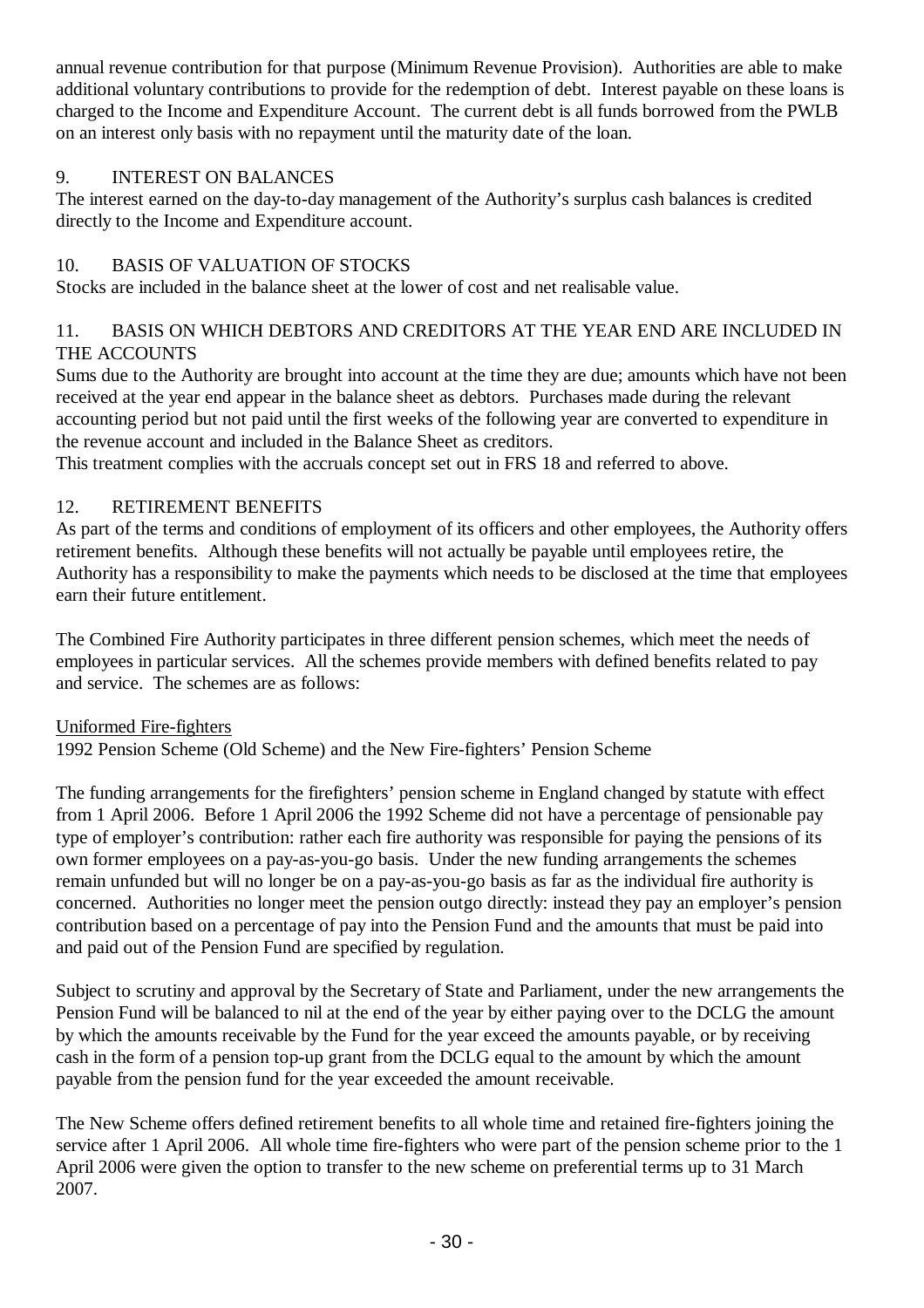annual revenue contribution for that purpose (Minimum Revenue Provision). Authorities are able to make additional voluntary contributions to provide for the redemption of debt. Interest payable on these loans is charged to the Income and Expenditure Account. The current debt is all funds borrowed from the PWLB on an interest only basis with no repayment until the maturity date of the loan.

## 9. INTEREST ON BALANCES

The interest earned on the day-to-day management of the Authority's surplus cash balances is credited directly to the Income and Expenditure account.

## 10. BASIS OF VALUATION OF STOCKS

Stocks are included in the balance sheet at the lower of cost and net realisable value.

## 11. BASIS ON WHICH DEBTORS AND CREDITORS AT THE YEAR END ARE INCLUDED IN THE ACCOUNTS

Sums due to the Authority are brought into account at the time they are due; amounts which have not been received at the year end appear in the balance sheet as debtors. Purchases made during the relevant accounting period but not paid until the first weeks of the following year are converted to expenditure in the revenue account and included in the Balance Sheet as creditors.

This treatment complies with the accruals concept set out in FRS 18 and referred to above.

## 12. RETIREMENT BENEFITS

As part of the terms and conditions of employment of its officers and other employees, the Authority offers retirement benefits. Although these benefits will not actually be payable until employees retire, the Authority has a responsibility to make the payments which needs to be disclosed at the time that employees earn their future entitlement.

The Combined Fire Authority participates in three different pension schemes, which meet the needs of employees in particular services. All the schemes provide members with defined benefits related to pay and service. The schemes are as follows:

## Uniformed Fire-fighters

1992 Pension Scheme (Old Scheme) and the New Fire-fighters' Pension Scheme

The funding arrangements for the firefighters' pension scheme in England changed by statute with effect from 1 April 2006. Before 1 April 2006 the 1992 Scheme did not have a percentage of pensionable pay type of employer's contribution: rather each fire authority was responsible for paying the pensions of its own former employees on a pay-as-you-go basis. Under the new funding arrangements the schemes remain unfunded but will no longer be on a pay-as-you-go basis as far as the individual fire authority is concerned. Authorities no longer meet the pension outgo directly: instead they pay an employer's pension contribution based on a percentage of pay into the Pension Fund and the amounts that must be paid into and paid out of the Pension Fund are specified by regulation.

Subject to scrutiny and approval by the Secretary of State and Parliament, under the new arrangements the Pension Fund will be balanced to nil at the end of the year by either paying over to the DCLG the amount by which the amounts receivable by the Fund for the year exceed the amounts payable, or by receiving cash in the form of a pension top-up grant from the DCLG equal to the amount by which the amount payable from the pension fund for the year exceeded the amount receivable.

The New Scheme offers defined retirement benefits to all whole time and retained fire-fighters joining the service after 1 April 2006. All whole time fire-fighters who were part of the pension scheme prior to the 1 April 2006 were given the option to transfer to the new scheme on preferential terms up to 31 March 2007.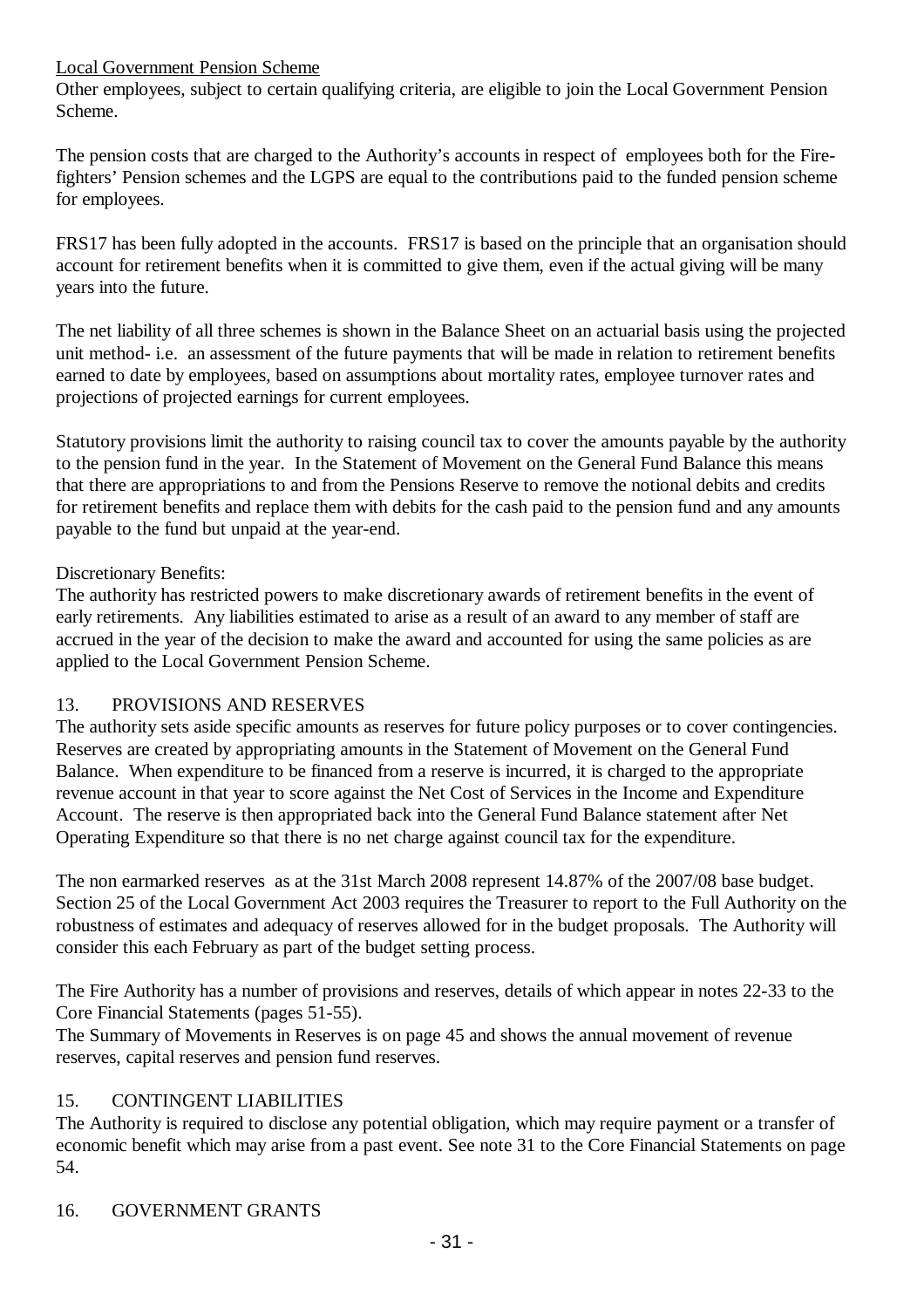## Local Government Pension Scheme

Other employees, subject to certain qualifying criteria, are eligible to join the Local Government Pension Scheme.

The pension costs that are charged to the Authority's accounts in respect of employees both for the Firefighters' Pension schemes and the LGPS are equal to the contributions paid to the funded pension scheme for employees.

FRS17 has been fully adopted in the accounts. FRS17 is based on the principle that an organisation should account for retirement benefits when it is committed to give them, even if the actual giving will be many years into the future.

The net liability of all three schemes is shown in the Balance Sheet on an actuarial basis using the projected unit method- i.e. an assessment of the future payments that will be made in relation to retirement benefits earned to date by employees, based on assumptions about mortality rates, employee turnover rates and projections of projected earnings for current employees.

Statutory provisions limit the authority to raising council tax to cover the amounts payable by the authority to the pension fund in the year. In the Statement of Movement on the General Fund Balance this means that there are appropriations to and from the Pensions Reserve to remove the notional debits and credits for retirement benefits and replace them with debits for the cash paid to the pension fund and any amounts payable to the fund but unpaid at the year-end.

## Discretionary Benefits:

The authority has restricted powers to make discretionary awards of retirement benefits in the event of early retirements. Any liabilities estimated to arise as a result of an award to any member of staff are accrued in the year of the decision to make the award and accounted for using the same policies as are applied to the Local Government Pension Scheme.

## 13. PROVISIONS AND RESERVES

The authority sets aside specific amounts as reserves for future policy purposes or to cover contingencies. Reserves are created by appropriating amounts in the Statement of Movement on the General Fund Balance. When expenditure to be financed from a reserve is incurred, it is charged to the appropriate revenue account in that year to score against the Net Cost of Services in the Income and Expenditure Account. The reserve is then appropriated back into the General Fund Balance statement after Net Operating Expenditure so that there is no net charge against council tax for the expenditure.

The non earmarked reserves as at the 31st March 2008 represent 14.87% of the 2007/08 base budget. Section 25 of the Local Government Act 2003 requires the Treasurer to report to the Full Authority on the robustness of estimates and adequacy of reserves allowed for in the budget proposals. The Authority will consider this each February as part of the budget setting process.

The Fire Authority has a number of provisions and reserves, details of which appear in notes 22-33 to the Core Financial Statements (pages 51-55).

The Summary of Movements in Reserves is on page 45 and shows the annual movement of revenue reserves, capital reserves and pension fund reserves.

## 15. CONTINGENT LIABILITIES

The Authority is required to disclose any potential obligation, which may require payment or a transfer of economic benefit which may arise from a past event. See note 31 to the Core Financial Statements on page 54.

## 16. GOVERNMENT GRANTS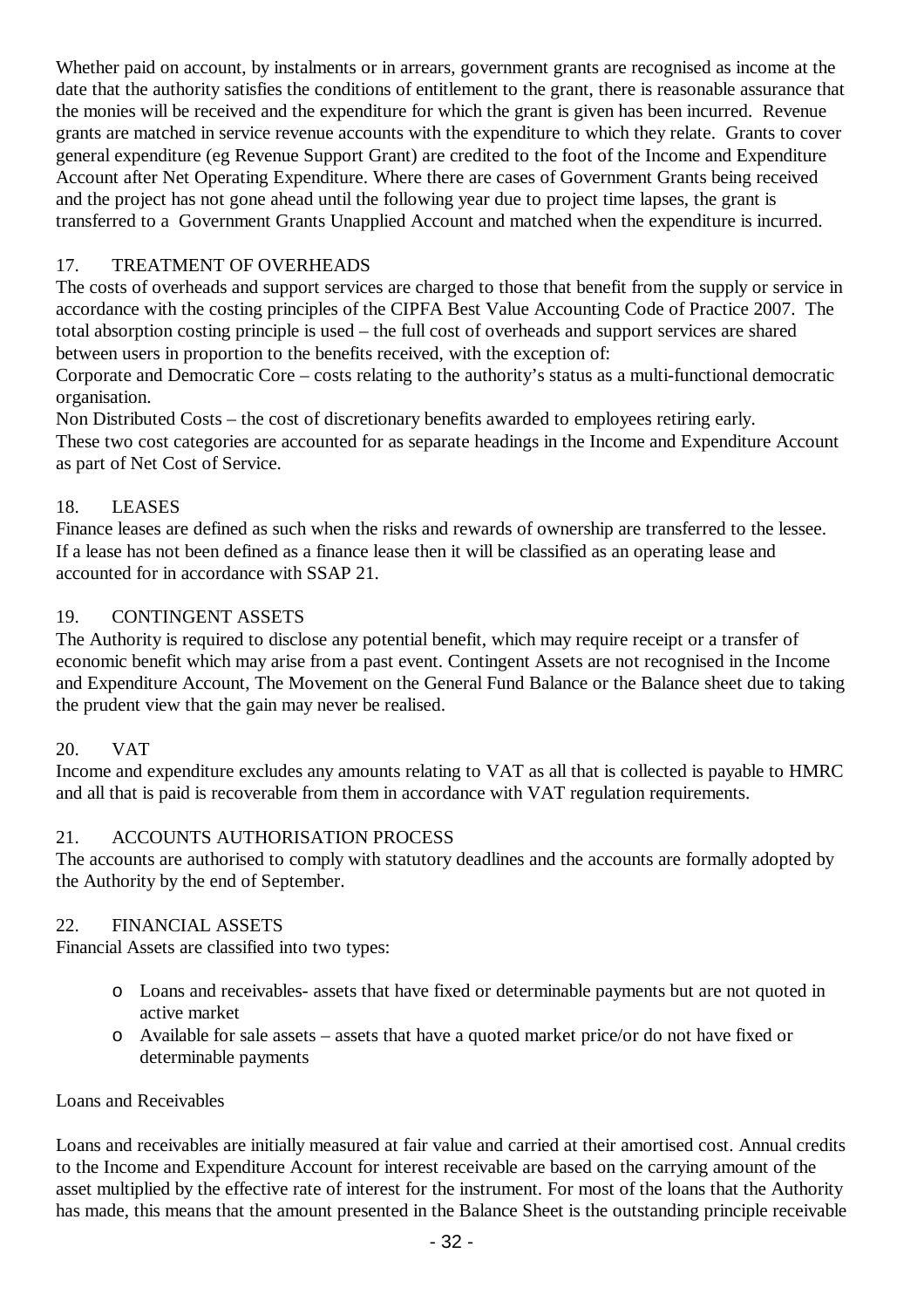Whether paid on account, by instalments or in arrears, government grants are recognised as income at the date that the authority satisfies the conditions of entitlement to the grant, there is reasonable assurance that the monies will be received and the expenditure for which the grant is given has been incurred. Revenue grants are matched in service revenue accounts with the expenditure to which they relate. Grants to cover general expenditure (eg Revenue Support Grant) are credited to the foot of the Income and Expenditure Account after Net Operating Expenditure. Where there are cases of Government Grants being received and the project has not gone ahead until the following year due to project time lapses, the grant is transferred to a Government Grants Unapplied Account and matched when the expenditure is incurred.

## 17. TREATMENT OF OVERHEADS

The costs of overheads and support services are charged to those that benefit from the supply or service in accordance with the costing principles of the CIPFA Best Value Accounting Code of Practice 2007. The total absorption costing principle is used – the full cost of overheads and support services are shared between users in proportion to the benefits received, with the exception of:

Corporate and Democratic Core – costs relating to the authority's status as a multi-functional democratic organisation.

Non Distributed Costs – the cost of discretionary benefits awarded to employees retiring early. These two cost categories are accounted for as separate headings in the Income and Expenditure Account as part of Net Cost of Service.

## 18. LEASES

Finance leases are defined as such when the risks and rewards of ownership are transferred to the lessee. If a lease has not been defined as a finance lease then it will be classified as an operating lease and accounted for in accordance with SSAP 21.

## 19. CONTINGENT ASSETS

The Authority is required to disclose any potential benefit, which may require receipt or a transfer of economic benefit which may arise from a past event. Contingent Assets are not recognised in the Income and Expenditure Account, The Movement on the General Fund Balance or the Balance sheet due to taking the prudent view that the gain may never be realised.

## 20. VAT

Income and expenditure excludes any amounts relating to VAT as all that is collected is payable to HMRC and all that is paid is recoverable from them in accordance with VAT regulation requirements.

## 21. ACCOUNTS AUTHORISATION PROCESS

The accounts are authorised to comply with statutory deadlines and the accounts are formally adopted by the Authority by the end of September.

## 22. FINANCIAL ASSETS

Financial Assets are classified into two types:

- o Loans and receivables- assets that have fixed or determinable payments but are not quoted in active market
- o Available for sale assets assets that have a quoted market price/or do not have fixed or determinable payments

## Loans and Receivables

Loans and receivables are initially measured at fair value and carried at their amortised cost. Annual credits to the Income and Expenditure Account for interest receivable are based on the carrying amount of the asset multiplied by the effective rate of interest for the instrument. For most of the loans that the Authority has made, this means that the amount presented in the Balance Sheet is the outstanding principle receivable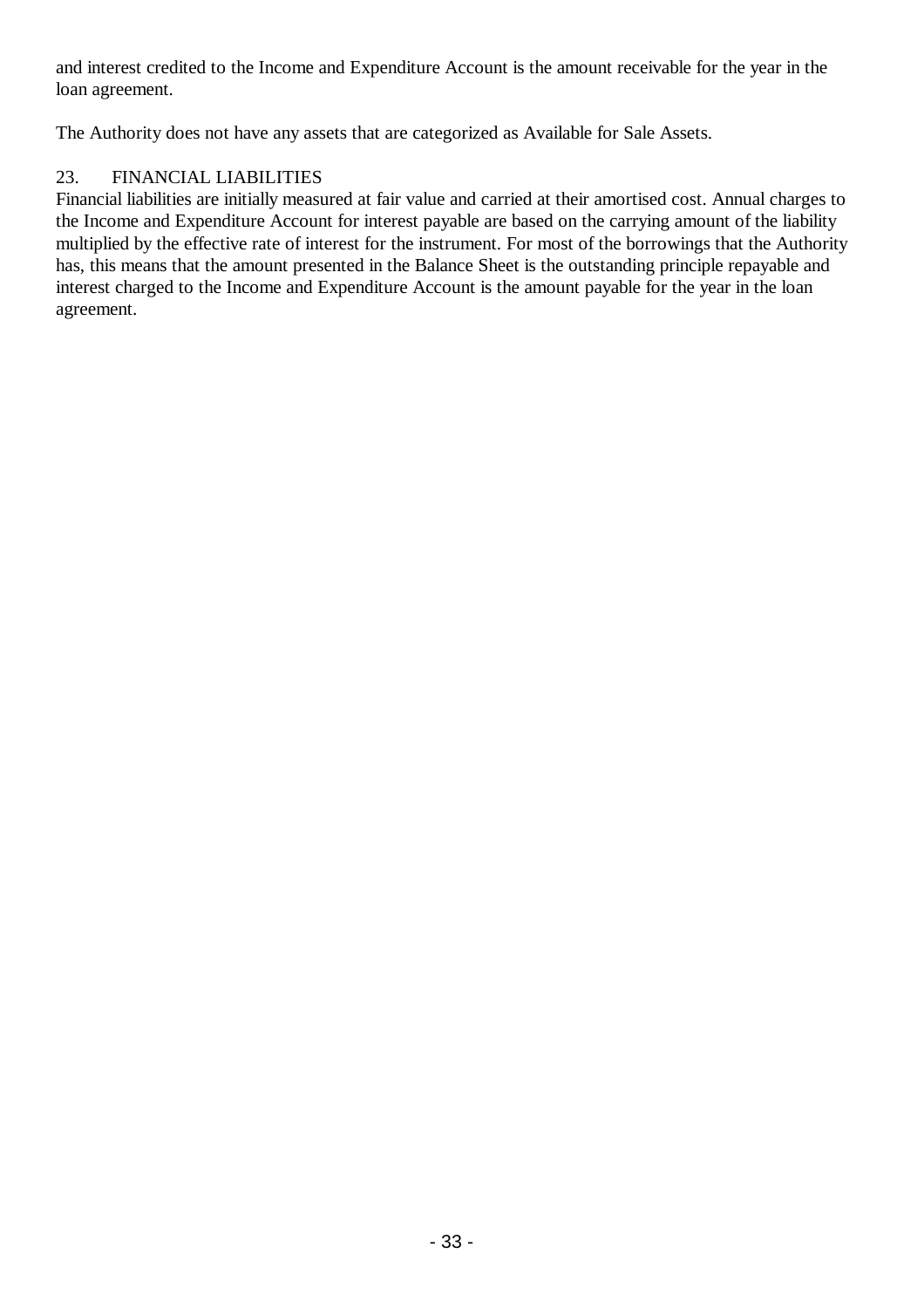and interest credited to the Income and Expenditure Account is the amount receivable for the year in the loan agreement.

The Authority does not have any assets that are categorized as Available for Sale Assets.

## 23. FINANCIAL LIABILITIES

Financial liabilities are initially measured at fair value and carried at their amortised cost. Annual charges to the Income and Expenditure Account for interest payable are based on the carrying amount of the liability multiplied by the effective rate of interest for the instrument. For most of the borrowings that the Authority has, this means that the amount presented in the Balance Sheet is the outstanding principle repayable and interest charged to the Income and Expenditure Account is the amount payable for the year in the loan agreement.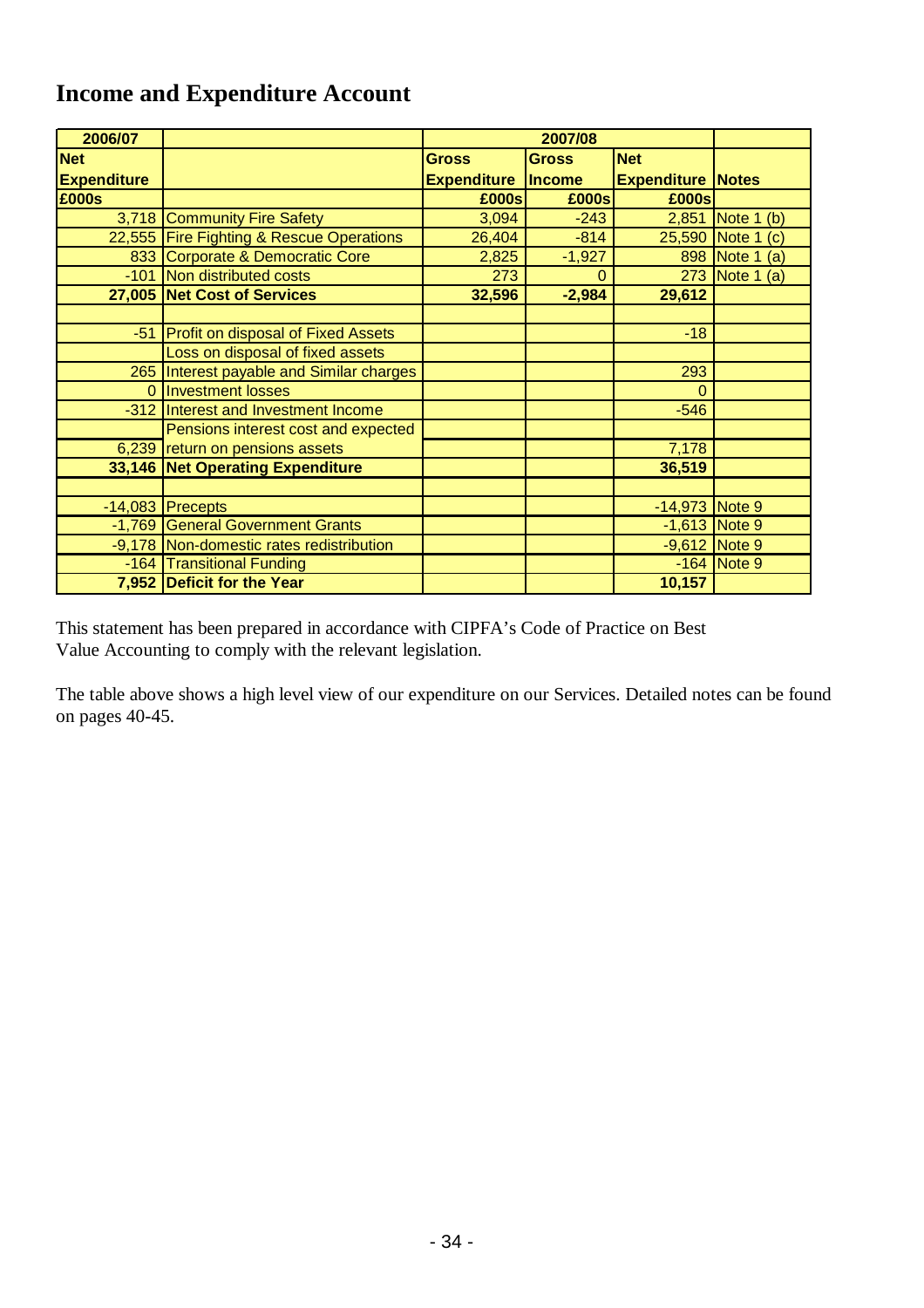## **Income and Expenditure Account**

| 2006/07            |                                          |                           | 2007/08      |                          |                   |
|--------------------|------------------------------------------|---------------------------|--------------|--------------------------|-------------------|
| <b>Net</b>         |                                          | <b>Gross</b>              | <b>Gross</b> | <b>Net</b>               |                   |
| <b>Expenditure</b> |                                          | <b>Expenditure Income</b> |              | <b>Expenditure Notes</b> |                   |
| £000s              |                                          | £000s                     | £000s        | £000s                    |                   |
|                    | 3,718 Community Fire Safety              | 3,094                     | $-243$       |                          | 2,851 Note 1 (b)  |
|                    | 22,555 Fire Fighting & Rescue Operations | 26,404                    | $-814$       |                          | 25,590 Note 1 (c) |
|                    | 833 Corporate & Democratic Core          | 2,825                     | $-1,927$     |                          | 898 Note 1<br>(a) |
|                    | -101 Non distributed costs               | 273                       | $\Omega$     |                          | 273 Note 1<br>(a) |
|                    | 27,005 Net Cost of Services              | 32,596                    | $-2,984$     | 29,612                   |                   |
|                    |                                          |                           |              |                          |                   |
|                    | -51 Profit on disposal of Fixed Assets   |                           |              | $-18$                    |                   |
|                    | Loss on disposal of fixed assets         |                           |              |                          |                   |
|                    | 265 Interest payable and Similar charges |                           |              | 293                      |                   |
| $\Omega$           | <b>Investment losses</b>                 |                           |              | $\Omega$                 |                   |
|                    | -312 Interest and Investment Income      |                           |              | $-546$                   |                   |
|                    | Pensions interest cost and expected      |                           |              |                          |                   |
|                    | 6,239 return on pensions assets          |                           |              | 7,178                    |                   |
|                    | 33,146 Net Operating Expenditure         |                           |              | 36,519                   |                   |
|                    |                                          |                           |              |                          |                   |
|                    | $-14,083$ Precepts                       |                           |              | -14,973 Note 9           |                   |
|                    | -1,769 General Government Grants         |                           |              | $-1,613$ Note 9          |                   |
|                    | -9,178 Non-domestic rates redistribution |                           |              | $-9,612$ Note 9          |                   |
|                    | -164 Transitional Funding                |                           |              |                          | $-164$ Note 9     |
|                    | 7,952 Deficit for the Year               |                           |              | 10,157                   |                   |

This statement has been prepared in accordance with CIPFA's Code of Practice on Best Value Accounting to comply with the relevant legislation.

The table above shows a high level view of our expenditure on our Services. Detailed notes can be found on pages 40-45.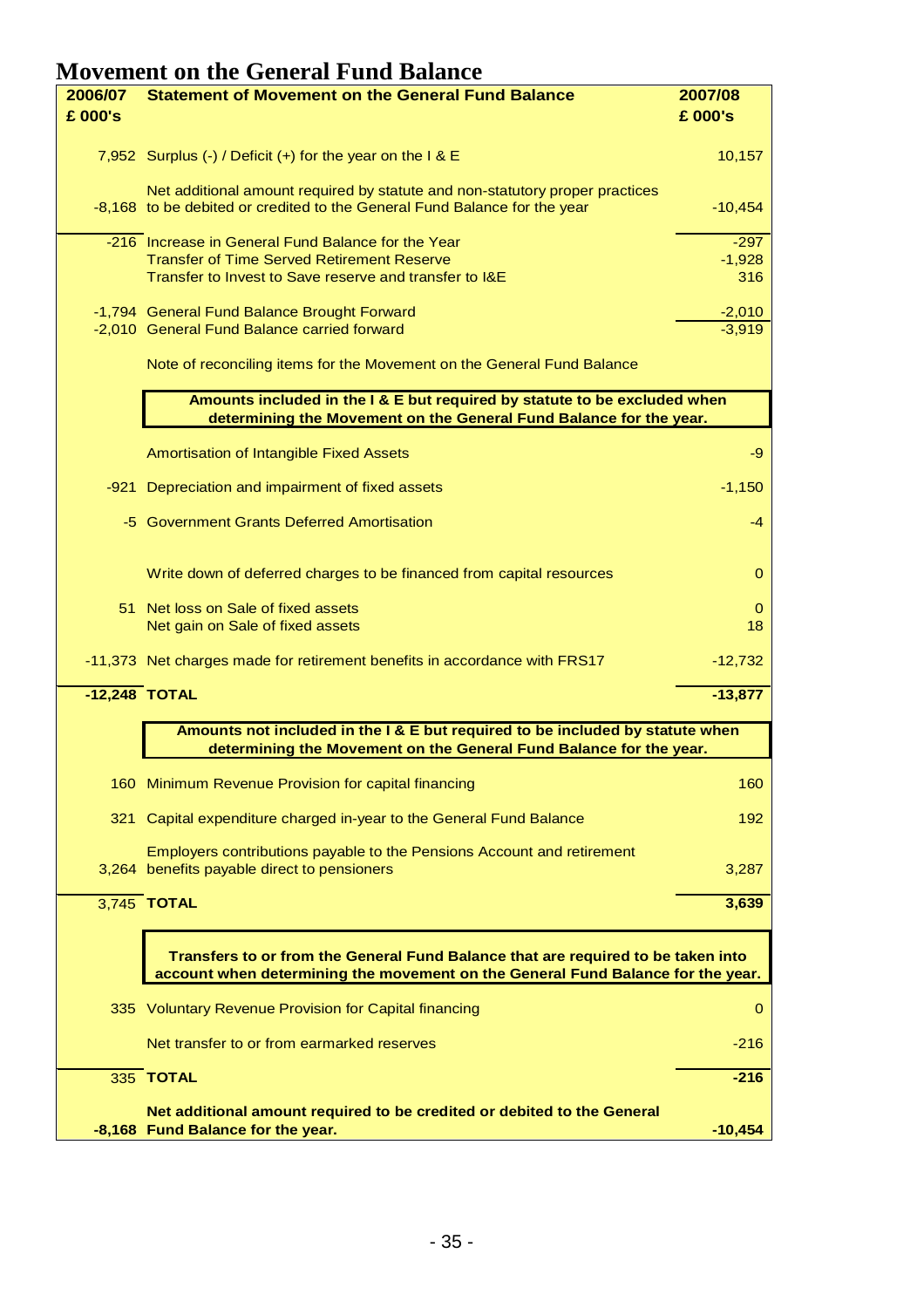## **Movement on the General Fund Balance**

| 2006/07 | <b>Statement of Movement on the General Fund Balance</b>                                                                                                            | 2007/08         |
|---------|---------------------------------------------------------------------------------------------------------------------------------------------------------------------|-----------------|
| £ 000's |                                                                                                                                                                     | £ 000's         |
|         | 7,952 Surplus (-) / Deficit (+) for the year on the $1 & 8 \text{ E}$                                                                                               | 10,157          |
|         | Net additional amount required by statute and non-statutory proper practices<br>-8,168 to be debited or credited to the General Fund Balance for the year           | $-10,454$       |
|         | -216 Increase in General Fund Balance for the Year                                                                                                                  | $-297$          |
|         | <b>Transfer of Time Served Retirement Reserve</b><br>Transfer to Invest to Save reserve and transfer to I&E                                                         | $-1,928$<br>316 |
|         |                                                                                                                                                                     |                 |
|         | -1,794 General Fund Balance Brought Forward                                                                                                                         | $-2,010$        |
|         | -2,010 General Fund Balance carried forward                                                                                                                         | $-3,919$        |
|         | Note of reconciling items for the Movement on the General Fund Balance                                                                                              |                 |
|         | Amounts included in the I & E but required by statute to be excluded when                                                                                           |                 |
|         | determining the Movement on the General Fund Balance for the year.                                                                                                  |                 |
|         | Amortisation of Intangible Fixed Assets                                                                                                                             | -9              |
|         | -921 Depreciation and impairment of fixed assets                                                                                                                    | $-1,150$        |
|         | -5 Government Grants Deferred Amortisation                                                                                                                          | $-4$            |
|         | Write down of deferred charges to be financed from capital resources                                                                                                | 0               |
|         | 51 Net loss on Sale of fixed assets                                                                                                                                 | 0               |
|         | Net gain on Sale of fixed assets                                                                                                                                    | 18              |
|         | -11,373 Net charges made for retirement benefits in accordance with FRS17                                                                                           | $-12,732$       |
|         | $-12,248$ TOTAL                                                                                                                                                     | $-13,877$       |
|         | Amounts not included in the I & E but required to be included by statute when                                                                                       |                 |
|         | determining the Movement on the General Fund Balance for the year.                                                                                                  |                 |
|         | 160 Minimum Revenue Provision for capital financing                                                                                                                 | 160             |
|         | 321 Capital expenditure charged in-year to the General Fund Balance                                                                                                 | 192             |
|         | Employers contributions payable to the Pensions Account and retirement<br>3,264 benefits payable direct to pensioners                                               | 3,287           |
|         | 3,745 TOTAL                                                                                                                                                         | 3,639           |
|         | Transfers to or from the General Fund Balance that are required to be taken into<br>account when determining the movement on the General Fund Balance for the year. |                 |
|         |                                                                                                                                                                     |                 |
|         | 335 Voluntary Revenue Provision for Capital financing                                                                                                               | $\mathbf{O}$    |
|         | Net transfer to or from earmarked reserves                                                                                                                          | $-216$          |
|         | 335 TOTAL                                                                                                                                                           | $-216$          |
|         | Net additional amount required to be credited or debited to the General                                                                                             |                 |
|         | -8,168 Fund Balance for the year.                                                                                                                                   | $-10,454$       |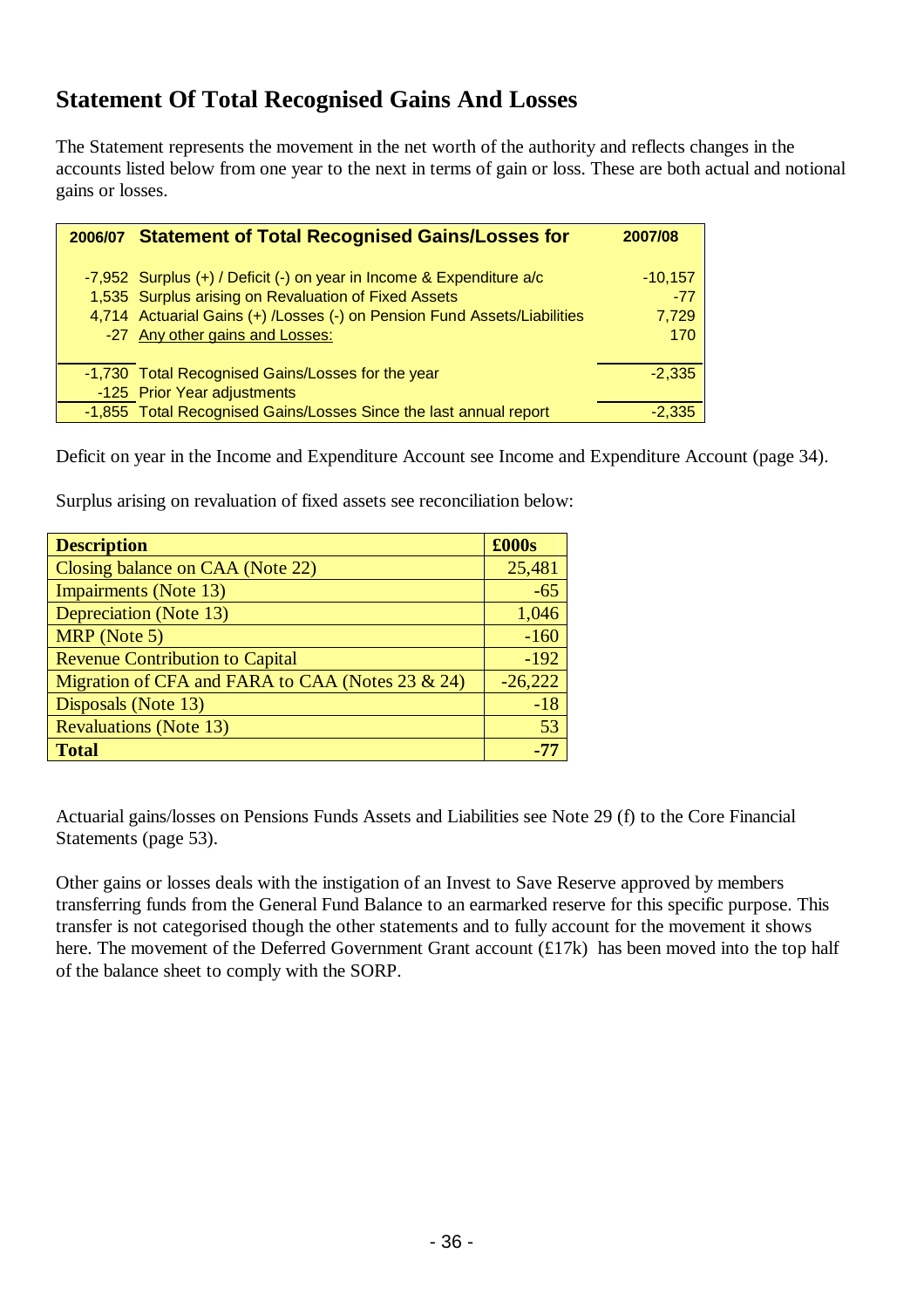## **Statement Of Total Recognised Gains And Losses**

The Statement represents the movement in the net worth of the authority and reflects changes in the accounts listed below from one year to the next in terms of gain or loss. These are both actual and notional gains or losses.

| 2006/07 Statement of Total Recognised Gains/Losses for                   | 2007/08   |
|--------------------------------------------------------------------------|-----------|
|                                                                          |           |
| -7,952 Surplus $(+)$ / Deficit $(-)$ on year in Income & Expenditure a/c | $-10.157$ |
| 1,535 Surplus arising on Revaluation of Fixed Assets                     | $-77$     |
| 4,714 Actuarial Gains (+) /Losses (-) on Pension Fund Assets/Liabilities | 7,729     |
| -27 Any other gains and Losses:                                          | 170       |
|                                                                          |           |
| -1,730 Total Recognised Gains/Losses for the year                        | $-2.335$  |
| -125 Prior Year adjustments                                              |           |
| -1,855 Total Recognised Gains/Losses Since the last annual report        | -2 335    |

Deficit on year in the Income and Expenditure Account see Income and Expenditure Account (page 34).

Surplus arising on revaluation of fixed assets see reconciliation below:

| <b>Description</b>                               | £000s     |
|--------------------------------------------------|-----------|
| Closing balance on CAA (Note 22)                 | 25,481    |
| <b>Impairments</b> (Note 13)                     | $-65$     |
| <b>Depreciation</b> (Note 13)                    | 1,046     |
| MRP (Note 5)                                     | $-160$    |
| <b>Revenue Contribution to Capital</b>           | $-192$    |
| Migration of CFA and FARA to CAA (Notes 23 & 24) | $-26,222$ |
| Disposals (Note 13)                              | $-18$     |
| <b>Revaluations (Note 13)</b>                    | 53        |
| <b>Total</b>                                     |           |

Actuarial gains/losses on Pensions Funds Assets and Liabilities see Note 29 (f) to the Core Financial Statements (page 53).

Other gains or losses deals with the instigation of an Invest to Save Reserve approved by members transferring funds from the General Fund Balance to an earmarked reserve for this specific purpose. This transfer is not categorised though the other statements and to fully account for the movement it shows here. The movement of the Deferred Government Grant account (£17k) has been moved into the top half of the balance sheet to comply with the SORP.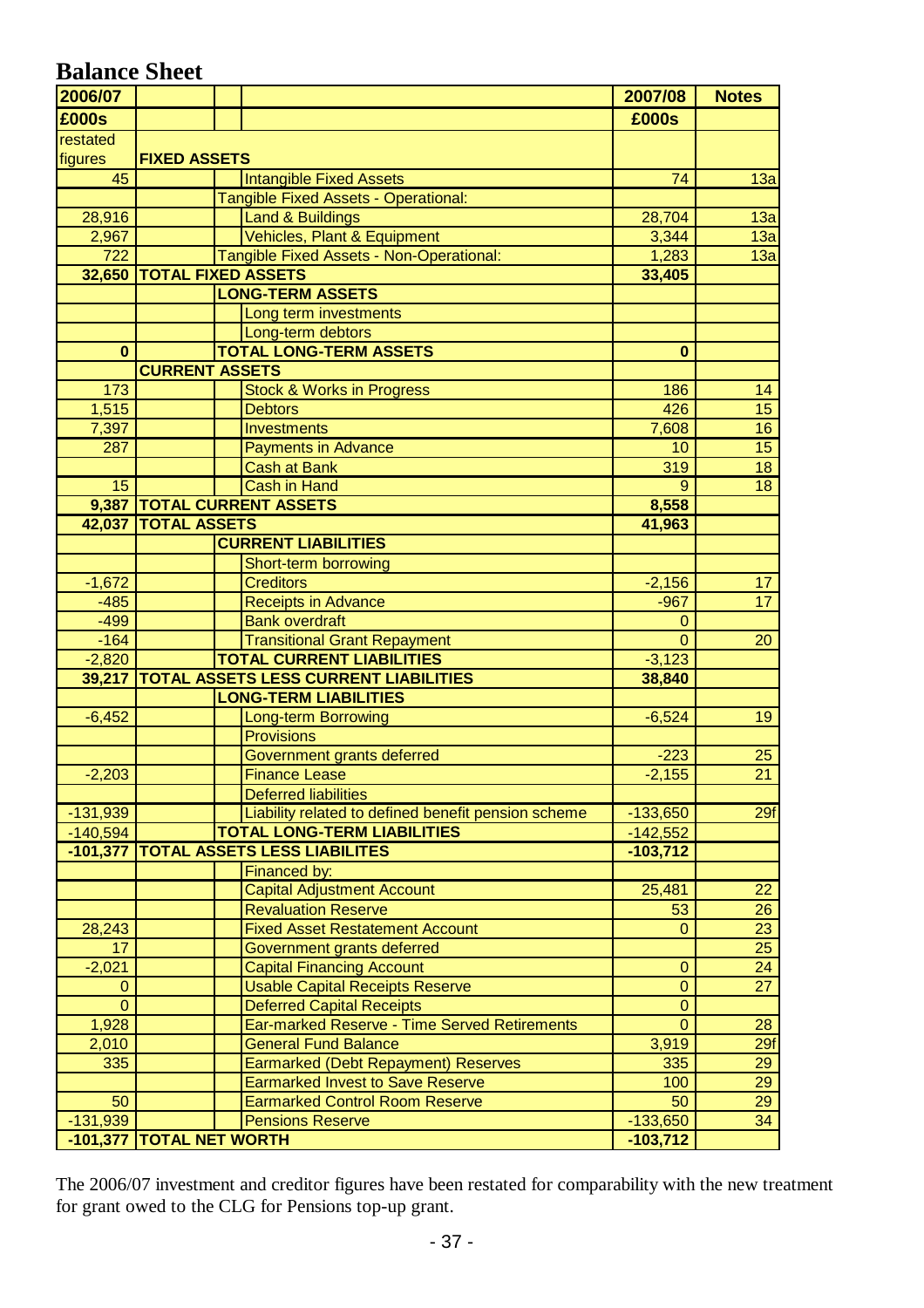## **Balance Sheet**

| 2006/07                                                                                                 | 2007/08        | <b>Notes</b>     |
|---------------------------------------------------------------------------------------------------------|----------------|------------------|
| £000s                                                                                                   | £000s          |                  |
| restated                                                                                                |                |                  |
| figures<br><b>FIXED ASSETS</b>                                                                          |                |                  |
| 45<br><b>Intangible Fixed Assets</b>                                                                    | 74             | 13a              |
| <b>Tangible Fixed Assets - Operational:</b>                                                             |                |                  |
| <b>Land &amp; Buildings</b><br>28,916                                                                   | 28,704         | 13a              |
| Vehicles, Plant & Equipment<br>2,967                                                                    | 3,344          | 13a              |
| 722<br>Tangible Fixed Assets - Non-Operational:                                                         | 1,283          | 13a              |
| 32,650 TOTAL FIXED ASSETS                                                                               | 33,405         |                  |
| <b>LONG-TERM ASSETS</b>                                                                                 |                |                  |
| Long term investments                                                                                   |                |                  |
| Long-term debtors                                                                                       |                |                  |
| <b>TOTAL LONG-TERM ASSETS</b><br>$\mathbf{0}$                                                           | $\bf{0}$       |                  |
| <b>CURRENT ASSETS</b>                                                                                   |                |                  |
| 173<br><b>Stock &amp; Works in Progress</b>                                                             | 186            | 14               |
| 1,515<br><b>Debtors</b>                                                                                 | 426            | 15 <sub>15</sub> |
| $\overline{7,}397$<br>Investments                                                                       | 7,608          | 16               |
| 287<br><b>Payments in Advance</b>                                                                       | 10             | $\overline{15}$  |
| <b>Cash at Bank</b>                                                                                     | 319            | 18               |
| 15<br><b>Cash in Hand</b>                                                                               | 9              | $\overline{18}$  |
| 9,387   TOTAL CURRENT ASSETS                                                                            | 8,558          |                  |
| 42,037   TOTAL ASSETS                                                                                   | 41,963         |                  |
| <b>CURRENT LIABILITIES</b>                                                                              |                |                  |
| Short-term borrowing                                                                                    |                |                  |
| $-1,672$<br><b>Creditors</b>                                                                            | $-2,156$       | 17               |
| $-485$<br><b>Receipts in Advance</b>                                                                    | $-967$         | 17               |
| $-499$<br><b>Bank overdraft</b>                                                                         | $\Omega$       |                  |
| <b>Transitional Grant Repayment</b><br>$-164$                                                           | $\overline{0}$ | 20               |
| <b>TOTAL CURRENT LIABILITIES</b><br>$-2,820$                                                            | $-3,123$       |                  |
| <b>TOTAL ASSETS LESS CURRENT LIABILITIES</b><br>39,217                                                  | 38,840         |                  |
| <b>LONG-TERM LIABILITIES</b>                                                                            |                |                  |
| $-6,452$<br><b>Long-term Borrowing</b>                                                                  | $-6,524$       | 19               |
| <b>Provisions</b>                                                                                       |                |                  |
| Government grants deferred                                                                              | $-223$         | 25               |
| $-2,203$<br><b>Finance Lease</b>                                                                        | $-2,155$       | $\overline{21}$  |
| <b>Deferred liabilities</b>                                                                             |                |                  |
| Liability related to defined benefit pension scheme<br>$-131,939$<br><b>TOTAL LONG-TERM LIABILITIES</b> | $-133,650$     | 29f              |
| $-140,594$<br><b>TOTAL ASSETS LESS LIABILITES</b>                                                       | $-142,552$     |                  |
| $-101,377$<br>Financed by:                                                                              | $-103,712$     |                  |
| <b>Capital Adjustment Account</b>                                                                       |                |                  |
| <b>Revaluation Reserve</b>                                                                              | 25,481<br>53   | 22<br>26         |
| <b>Fixed Asset Restatement Account</b><br>28,243                                                        | $\overline{0}$ | $\overline{23}$  |
| $\overline{17}$<br>Government grants deferred                                                           |                | $\overline{25}$  |
| $-2,021$<br><b>Capital Financing Account</b>                                                            | $\mathbf 0$    | 24               |
| <b>Usable Capital Receipts Reserve</b><br>0                                                             | $\mathbf 0$    | 27               |
| $\overline{0}$<br><b>Deferred Capital Receipts</b>                                                      | $\mathbf{0}$   |                  |
| Ear-marked Reserve - Time Served Retirements<br>1,928                                                   | $\mathbf{0}$   | 28               |
| <b>General Fund Balance</b><br>2,010                                                                    | 3,919          | 29f              |
| 335<br>Earmarked (Debt Repayment) Reserves                                                              | 335            | 29               |
| <b>Earmarked Invest to Save Reserve</b>                                                                 | 100            | $\overline{29}$  |
| 50<br><b>Earmarked Control Room Reserve</b>                                                             | 50             | 29               |
| <b>Pensions Reserve</b><br>$-131,939$                                                                   | $-133,650$     | 34               |
| -101,377 TOTAL NET WORTH                                                                                | $-103,712$     |                  |

The 2006/07 investment and creditor figures have been restated for comparability with the new treatment for grant owed to the CLG for Pensions top-up grant.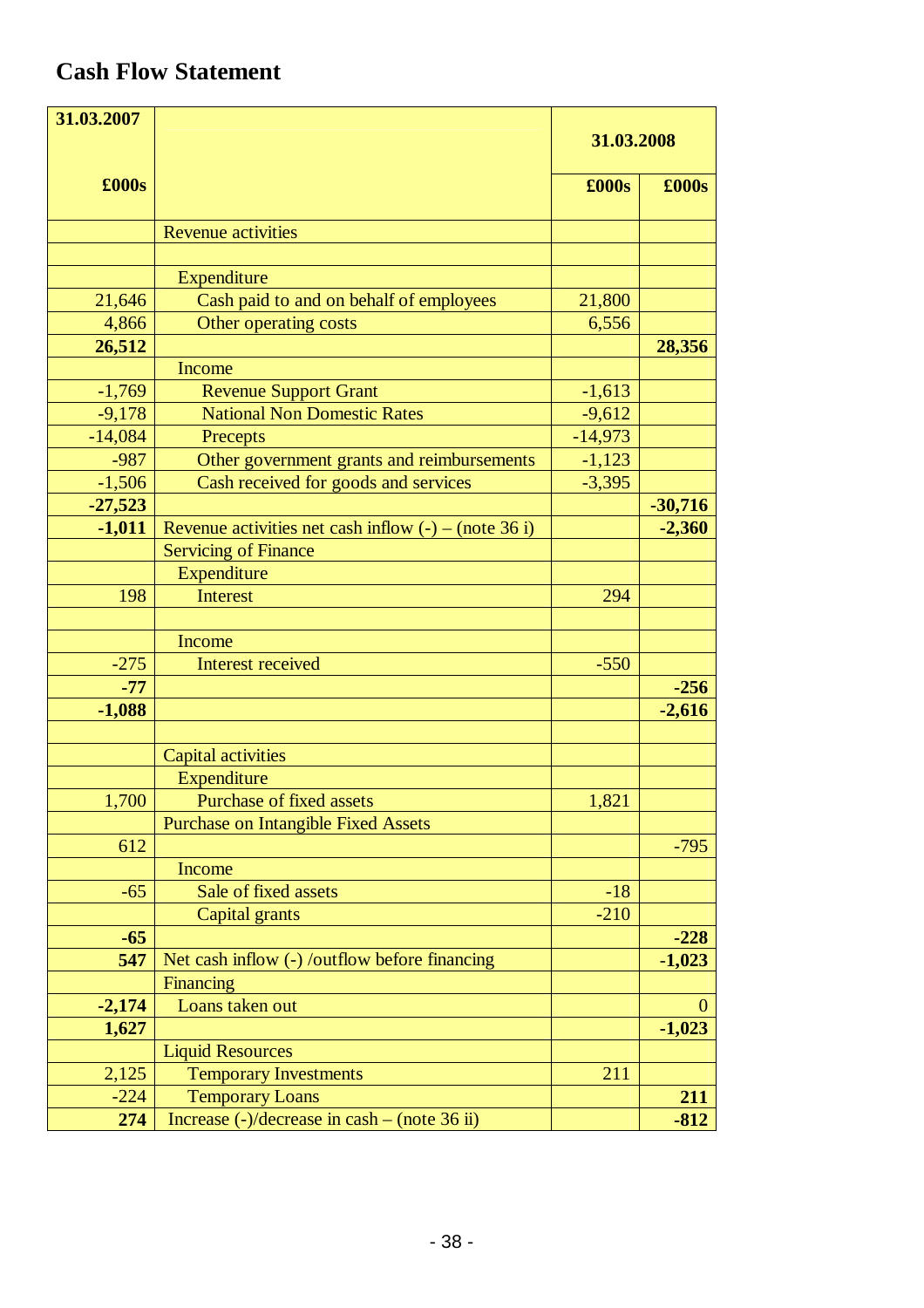## **Cash Flow Statement**

| 31.03.2007 |                                                            |            |               |
|------------|------------------------------------------------------------|------------|---------------|
|            |                                                            | 31.03.2008 |               |
| £000s      |                                                            | £000s      | $\pounds000s$ |
|            |                                                            |            |               |
|            | <b>Revenue activities</b>                                  |            |               |
|            |                                                            |            |               |
|            | Expenditure                                                |            |               |
| 21,646     | Cash paid to and on behalf of employees                    | 21,800     |               |
| 4,866      | Other operating costs                                      | 6,556      |               |
| 26,512     |                                                            |            | 28,356        |
|            | Income                                                     |            |               |
| $-1,769$   | <b>Revenue Support Grant</b>                               | $-1,613$   |               |
| $-9,178$   | <b>National Non Domestic Rates</b>                         | $-9,612$   |               |
| $-14,084$  | Precepts                                                   | $-14,973$  |               |
| $-987$     | Other government grants and reimbursements                 | $-1,123$   |               |
| $-1,506$   | Cash received for goods and services                       | $-3,395$   |               |
| $-27,523$  |                                                            |            | $-30,716$     |
| $-1,011$   | Revenue activities net cash inflow $(-)$ – (note 36 i)     |            | $-2,360$      |
|            | <b>Servicing of Finance</b>                                |            |               |
|            | Expenditure                                                |            |               |
| 198        | <b>Interest</b>                                            | 294        |               |
|            |                                                            |            |               |
|            | Income                                                     |            |               |
| $-275$     | <b>Interest received</b>                                   | $-550$     |               |
| $-77$      |                                                            |            | $-256$        |
| $-1,088$   |                                                            |            | $-2,616$      |
|            |                                                            |            |               |
|            | <b>Capital activities</b>                                  |            |               |
|            | Expenditure                                                |            |               |
| 1,700      | Purchase of fixed assets                                   | 1,821      |               |
|            | <b>Purchase on Intangible Fixed Assets</b>                 |            |               |
| 612        |                                                            |            | $-795$        |
|            | Income                                                     |            |               |
| $-65$      | Sale of fixed assets                                       | $-18$      |               |
|            | Capital grants                                             | $-210$     |               |
| $-65$      |                                                            |            | $-228$        |
| 547        | Net cash inflow (-) /outflow before financing              |            | $-1,023$      |
|            | Financing                                                  |            |               |
| $-2,174$   | Loans taken out                                            |            | $\theta$      |
| 1,627      |                                                            |            | $-1,023$      |
|            | <b>Liquid Resources</b>                                    |            |               |
| 2,125      | <b>Temporary Investments</b>                               | 211        |               |
| $-224$     | <b>Temporary Loans</b>                                     |            | 211           |
| 274        | Increase $\left(-\right)/$ decrease in cash – (note 36 ii) |            | $-812$        |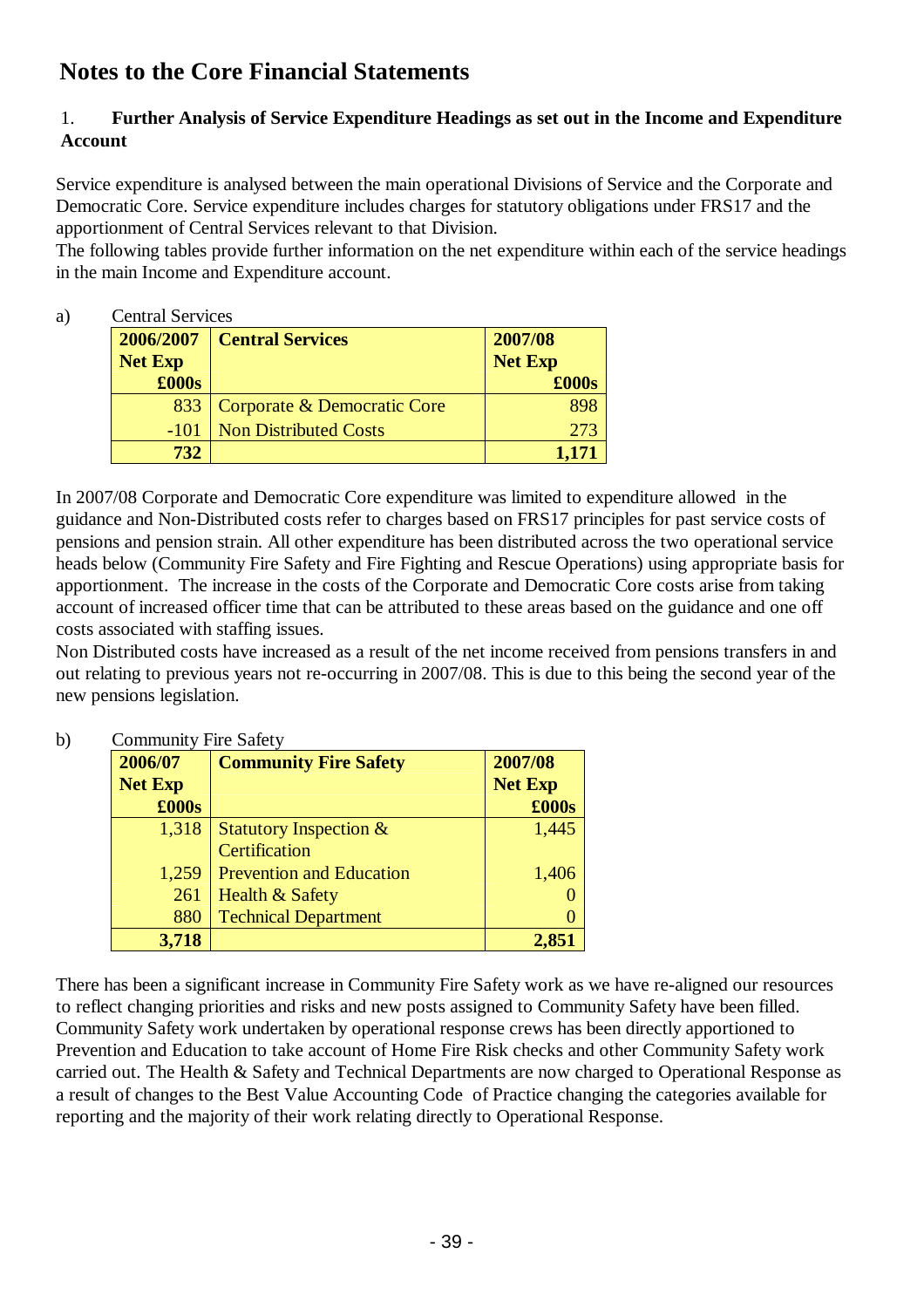## **Notes to the Core Financial Statements**

## 1. **Further Analysis of Service Expenditure Headings as set out in the Income and Expenditure Account**

Service expenditure is analysed between the main operational Divisions of Service and the Corporate and Democratic Core. Service expenditure includes charges for statutory obligations under FRS17 and the apportionment of Central Services relevant to that Division.

The following tables provide further information on the net expenditure within each of the service headings in the main Income and Expenditure account.

## a) Central Services

| 2006/2007      | <b>Central Services</b>      | 2007/08        |
|----------------|------------------------------|----------------|
| <b>Net Exp</b> |                              | <b>Net Exp</b> |
| £000s          |                              | £000s          |
| 833            | Corporate & Democratic Core  |                |
| $-101$         | <b>Non Distributed Costs</b> | 273            |
| 732            |                              | 1.17           |

In 2007/08 Corporate and Democratic Core expenditure was limited to expenditure allowed in the guidance and Non-Distributed costs refer to charges based on FRS17 principles for past service costs of pensions and pension strain. All other expenditure has been distributed across the two operational service heads below (Community Fire Safety and Fire Fighting and Rescue Operations) using appropriate basis for apportionment. The increase in the costs of the Corporate and Democratic Core costs arise from taking account of increased officer time that can be attributed to these areas based on the guidance and one off costs associated with staffing issues.

Non Distributed costs have increased as a result of the net income received from pensions transfers in and out relating to previous years not re-occurring in 2007/08. This is due to this being the second year of the new pensions legislation.

#### **2006/07 Net Exp Community Fire Safety 2007/08 Net Exp £000s £000s** 1,318 Statutory Inspection & **Certification** 1,445 1,259 Prevention and Education 1,406  $261$  Health & Safety  $0$ 880 Technical Department 200 **3,718 2,851**

## b) Community Fire Safety

There has been a significant increase in Community Fire Safety work as we have re-aligned our resources to reflect changing priorities and risks and new posts assigned to Community Safety have been filled. Community Safety work undertaken by operational response crews has been directly apportioned to Prevention and Education to take account of Home Fire Risk checks and other Community Safety work carried out. The Health & Safety and Technical Departments are now charged to Operational Response as a result of changes to the Best Value Accounting Code of Practice changing the categories available for reporting and the majority of their work relating directly to Operational Response.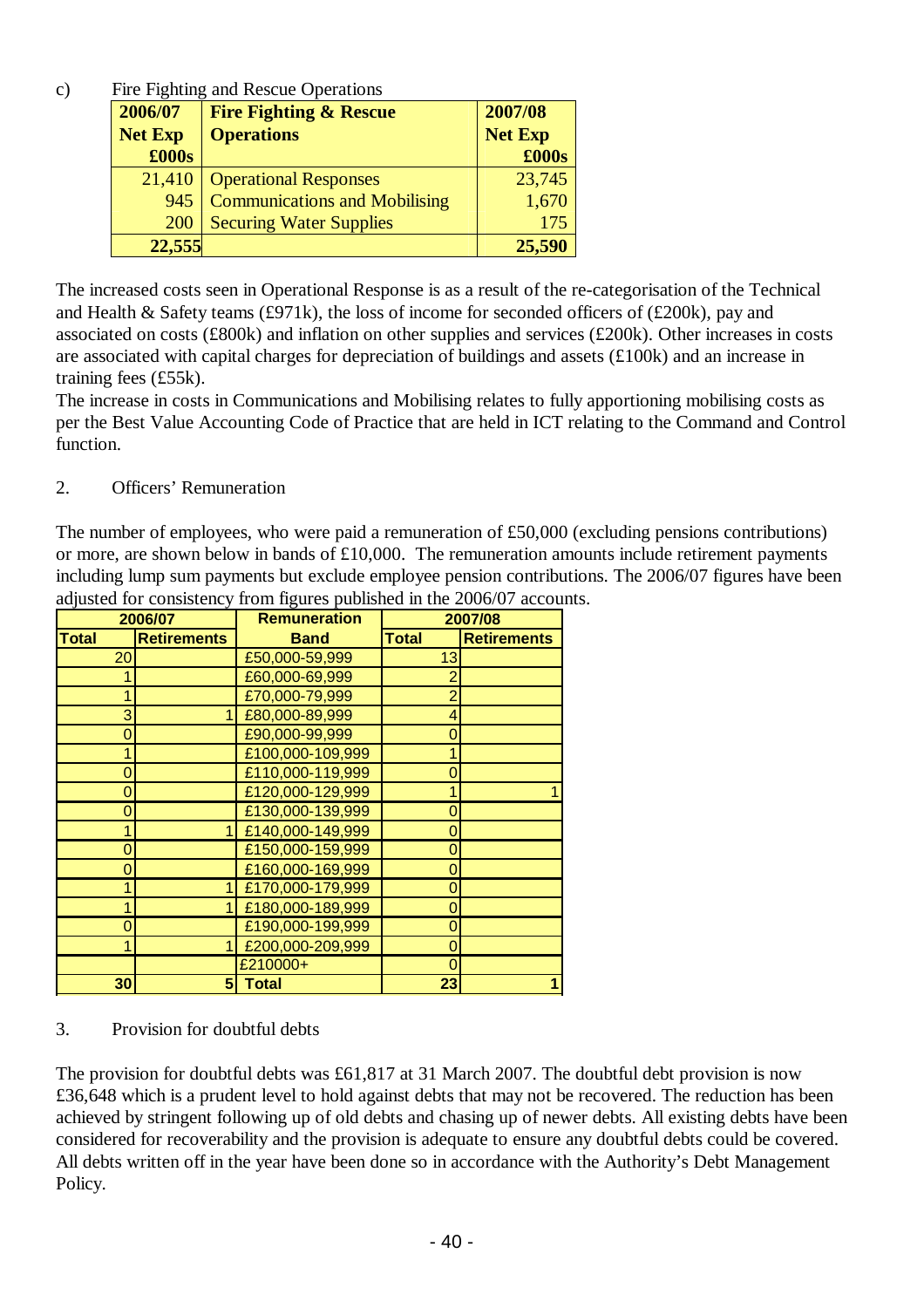c) Fire Fighting and Rescue Operations

| 2006/07        | <b>Fire Fighting &amp; Rescue</b>    | 2007/08        |
|----------------|--------------------------------------|----------------|
| <b>Net Exp</b> | <b>Operations</b>                    | <b>Net Exp</b> |
| £000s          |                                      | £000s          |
| 21,410         | <b>Operational Responses</b>         | 23,745         |
| 945            | <b>Communications and Mobilising</b> | 1,670          |
| 200            | <b>Securing Water Supplies</b>       | 175            |
| 22,555         |                                      | 25,590         |

The increased costs seen in Operational Response is as a result of the re-categorisation of the Technical and Health & Safety teams (£971k), the loss of income for seconded officers of (£200k), pay and associated on costs (£800k) and inflation on other supplies and services (£200k). Other increases in costs are associated with capital charges for depreciation of buildings and assets (£100k) and an increase in training fees (£55k).

The increase in costs in Communications and Mobilising relates to fully apportioning mobilising costs as per the Best Value Accounting Code of Practice that are held in ICT relating to the Command and Control function.

## 2. Officers' Remuneration

The number of employees, who were paid a remuneration of £50,000 (excluding pensions contributions) or more, are shown below in bands of £10,000. The remuneration amounts include retirement payments including lump sum payments but exclude employee pension contributions. The 2006/07 figures have been adjusted for consistency from figures published in the 2006/07 accounts.

| 2006/07        |                    | <b>Remuneration</b> | 2007/08        |                    |
|----------------|--------------------|---------------------|----------------|--------------------|
| <b>Total</b>   | <b>Retirements</b> | <b>Band</b>         | <b>Total</b>   | <b>Retirements</b> |
| 20             |                    | £50,000-59,999      | 13             |                    |
|                |                    | £60,000-69,999      | 2              |                    |
| 1              |                    | £70,000-79,999      | $\overline{2}$ |                    |
| 3              |                    | £80,000-89,999      | 4              |                    |
| 0              |                    | £90,000-99,999      | 0              |                    |
| 1              |                    | £100,000-109,999    | 1              |                    |
| 0              |                    | £110,000-119,999    | O              |                    |
| $\overline{0}$ |                    | £120,000-129,999    | 1              |                    |
| 0              |                    | £130,000-139,999    | 0              |                    |
| 1              |                    | £140,000-149,999    | 0              |                    |
| 0              |                    | £150,000-159,999    | 0              |                    |
| 0              |                    | £160,000-169,999    | 0              |                    |
|                |                    | £170,000-179,999    | 0              |                    |
| 1              |                    | £180,000-189,999    | 0              |                    |
| 0              |                    | £190,000-199,999    | 0              |                    |
| 1              |                    | £200,000-209,999    | 0              |                    |
|                |                    | £210000+            | 0              |                    |
| 30             |                    | <b>Total</b>        | 23             |                    |

## 3. Provision for doubtful debts

The provision for doubtful debts was £61,817 at 31 March 2007. The doubtful debt provision is now £36,648 which is a prudent level to hold against debts that may not be recovered. The reduction has been achieved by stringent following up of old debts and chasing up of newer debts. All existing debts have been considered for recoverability and the provision is adequate to ensure any doubtful debts could be covered. All debts written off in the year have been done so in accordance with the Authority's Debt Management Policy.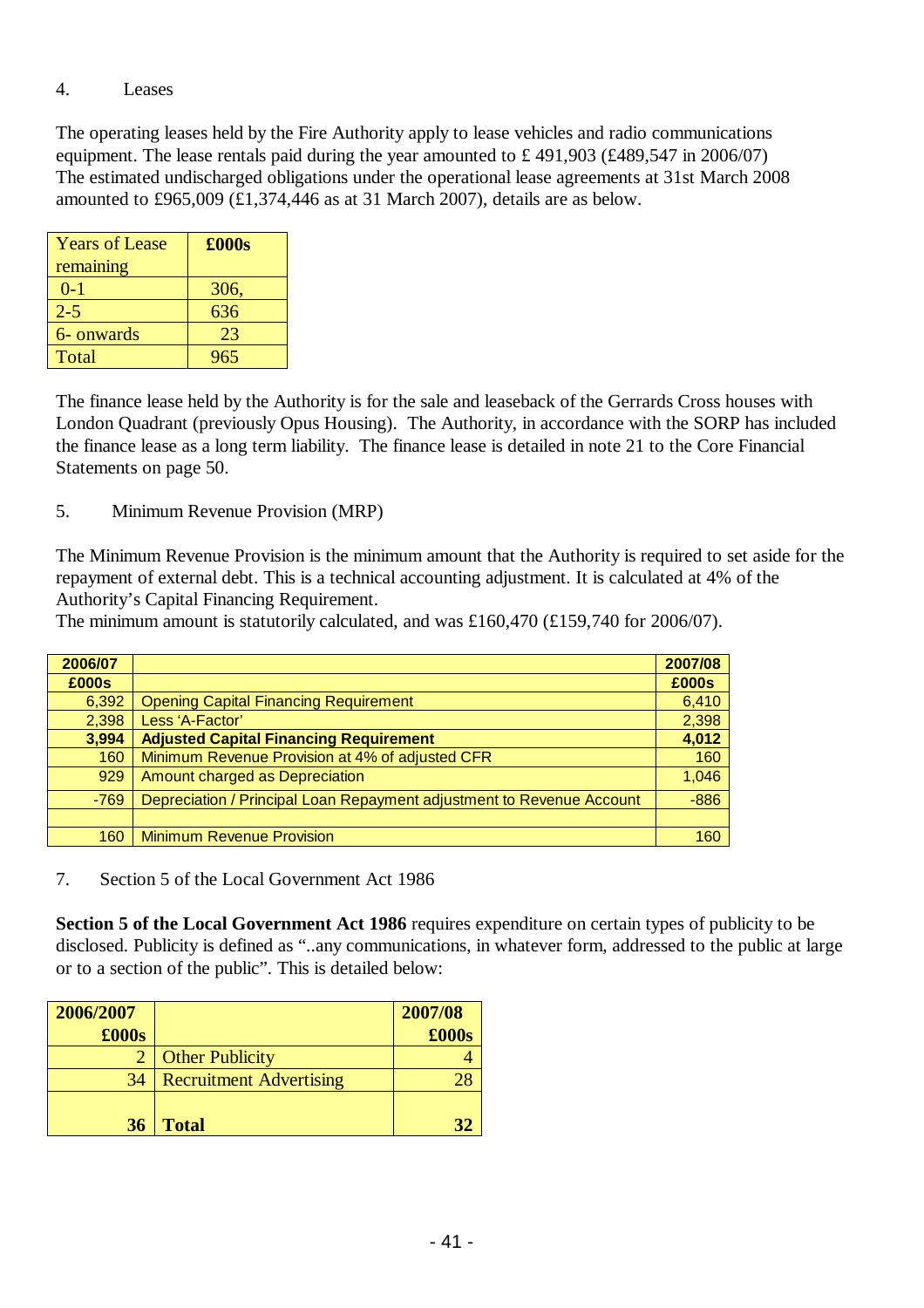### 4. Leases

The operating leases held by the Fire Authority apply to lease vehicles and radio communications equipment. The lease rentals paid during the year amounted to £ 491,903 (£489,547 in 2006/07) The estimated undischarged obligations under the operational lease agreements at 31st March 2008 amounted to £965,009 (£1,374,446 as at 31 March 2007), details are as below.

| <b>Years of Lease</b> | $\pounds000s$ |
|-----------------------|---------------|
| remaining             |               |
| $0 - 1$               | 306,          |
| $2 - 5$               | 636           |
| 6- onwards            | 23            |
| Total                 | 965           |

The finance lease held by the Authority is for the sale and leaseback of the Gerrards Cross houses with London Quadrant (previously Opus Housing). The Authority, in accordance with the SORP has included the finance lease as a long term liability. The finance lease is detailed in note 21 to the Core Financial Statements on page 50.

5. Minimum Revenue Provision (MRP)

The Minimum Revenue Provision is the minimum amount that the Authority is required to set aside for the repayment of external debt. This is a technical accounting adjustment. It is calculated at 4% of the Authority's Capital Financing Requirement.

The minimum amount is statutorily calculated, and was £160,470 (£159,740 for 2006/07).

| 2006/07 |                                                                       | 2007/08 |
|---------|-----------------------------------------------------------------------|---------|
| £000s   |                                                                       | £000s   |
| 6,392   | <b>Opening Capital Financing Requirement</b>                          | 6,410   |
| 2,398   | Less 'A-Factor'                                                       | 2,398   |
| 3,994   | <b>Adjusted Capital Financing Requirement</b>                         | 4,012   |
| 160     | Minimum Revenue Provision at 4% of adjusted CFR                       | 160     |
| 929     | Amount charged as Depreciation                                        | 1,046   |
| $-769$  | Depreciation / Principal Loan Repayment adjustment to Revenue Account | $-886$  |
|         |                                                                       |         |
| 160     | <b>Minimum Revenue Provision</b>                                      | 160     |

7. Section 5 of the Local Government Act 1986

**Section 5 of the Local Government Act 1986** requires expenditure on certain types of publicity to be disclosed. Publicity is defined as "..any communications, in whatever form, addressed to the public at large or to a section of the public". This is detailed below:

| 2006/2007 |                                | 2007/08 |
|-----------|--------------------------------|---------|
| £000s     |                                | £000s   |
|           | <b>Other Publicity</b>         |         |
| 34        | <b>Recruitment Advertising</b> |         |
|           |                                |         |
| 36        | <b>Total</b>                   |         |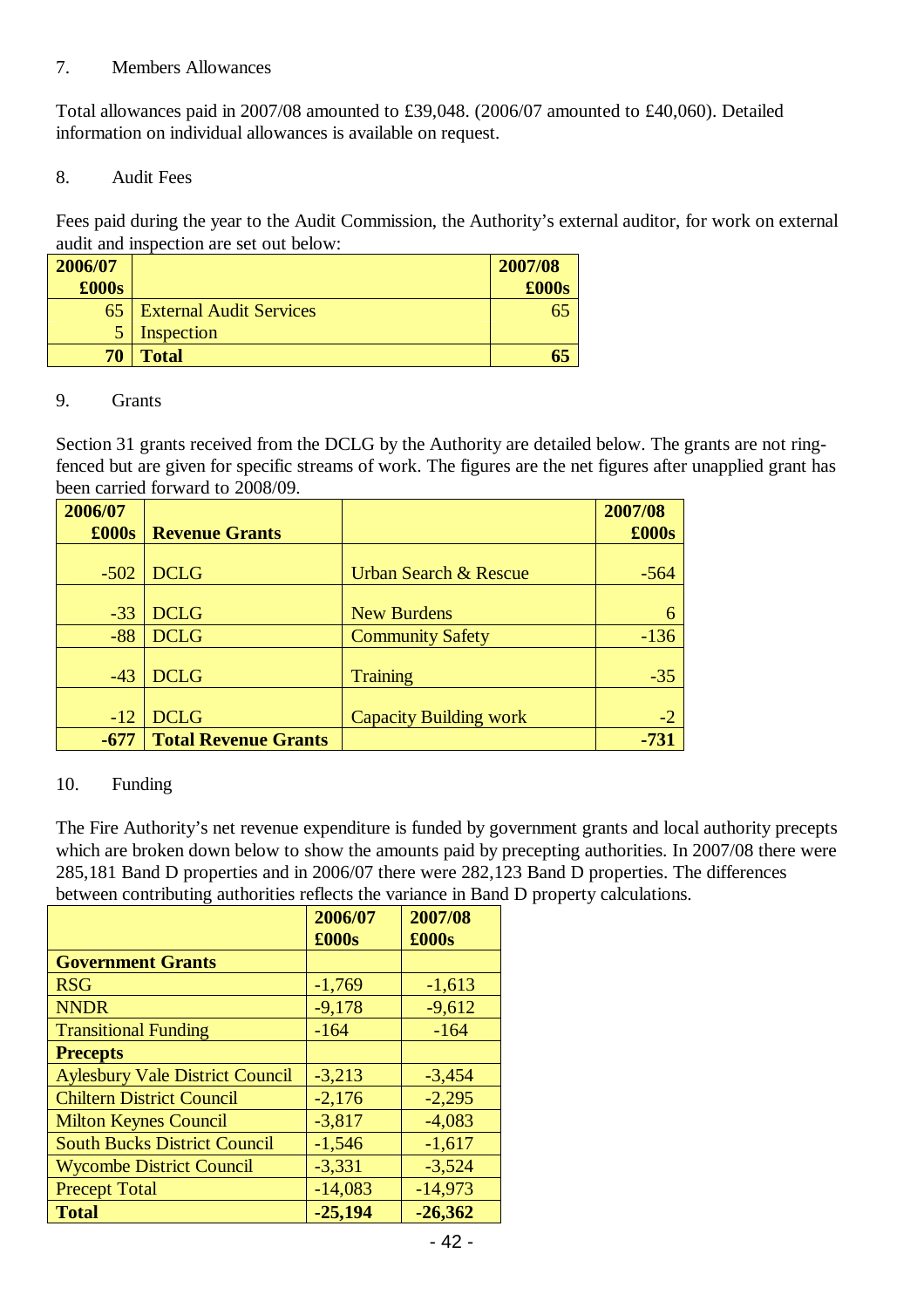### 7. Members Allowances

Total allowances paid in 2007/08 amounted to £39,048. (2006/07 amounted to £40,060). Detailed information on individual allowances is available on request.

8. Audit Fees

Fees paid during the year to the Audit Commission, the Authority's external auditor, for work on external audit and inspection are set out below:

| 2006/07 |                                | 2007/08 |
|---------|--------------------------------|---------|
| £000s   |                                | £000s   |
| 65      | <b>External Audit Services</b> | 65      |
|         | Inspection                     |         |
| 70      | <b>Total</b>                   | 65      |

#### 9. Grants

Section 31 grants received from the DCLG by the Authority are detailed below. The grants are not ringfenced but are given for specific streams of work. The figures are the net figures after unapplied grant has been carried forward to 2008/09.

| 2006/07       |                             |                                  | 2007/08 |
|---------------|-----------------------------|----------------------------------|---------|
| $\pounds000s$ | <b>Revenue Grants</b>       |                                  | £000s   |
|               |                             |                                  |         |
| $-502$        | <b>DCLG</b>                 | <b>Urban Search &amp; Rescue</b> | $-564$  |
|               |                             |                                  |         |
| $-33$         | <b>DCLG</b>                 | <b>New Burdens</b>               |         |
| $-88$         | <b>DCLG</b>                 | <b>Community Safety</b>          | $-136$  |
|               |                             |                                  |         |
| $-43$         | <b>DCLG</b>                 | <b>Training</b>                  | $-35$   |
|               |                             |                                  |         |
| $-12$         | <b>DCLG</b>                 | <b>Capacity Building work</b>    | $-2$    |
| -677          | <b>Total Revenue Grants</b> |                                  | -731    |

## 10. Funding

The Fire Authority's net revenue expenditure is funded by government grants and local authority precepts which are broken down below to show the amounts paid by precepting authorities. In 2007/08 there were 285,181 Band D properties and in 2006/07 there were 282,123 Band D properties. The differences between contributing authorities reflects the variance in Band D property calculations.

|                                        | 2006/07<br>£000s | 2007/08<br>£000s |
|----------------------------------------|------------------|------------------|
| <b>Government Grants</b>               |                  |                  |
| <b>RSG</b>                             | $-1,769$         | $-1,613$         |
| <b>NNDR</b>                            | $-9,178$         | $-9,612$         |
| <b>Transitional Funding</b>            | $-164$           | $-164$           |
| <b>Precepts</b>                        |                  |                  |
| <b>Aylesbury Vale District Council</b> | $-3,213$         | $-3,454$         |
| <b>Chiltern District Council</b>       | $-2,176$         | $-2,295$         |
| <b>Milton Keynes Council</b>           | $-3,817$         | $-4,083$         |
| <b>South Bucks District Council</b>    | $-1,546$         | $-1,617$         |
| <b>Wycombe District Council</b>        | $-3,331$         | $-3,524$         |
| <b>Precept Total</b>                   | $-14,083$        | $-14,973$        |
| <b>Total</b>                           | $-25,194$        | $-26,362$        |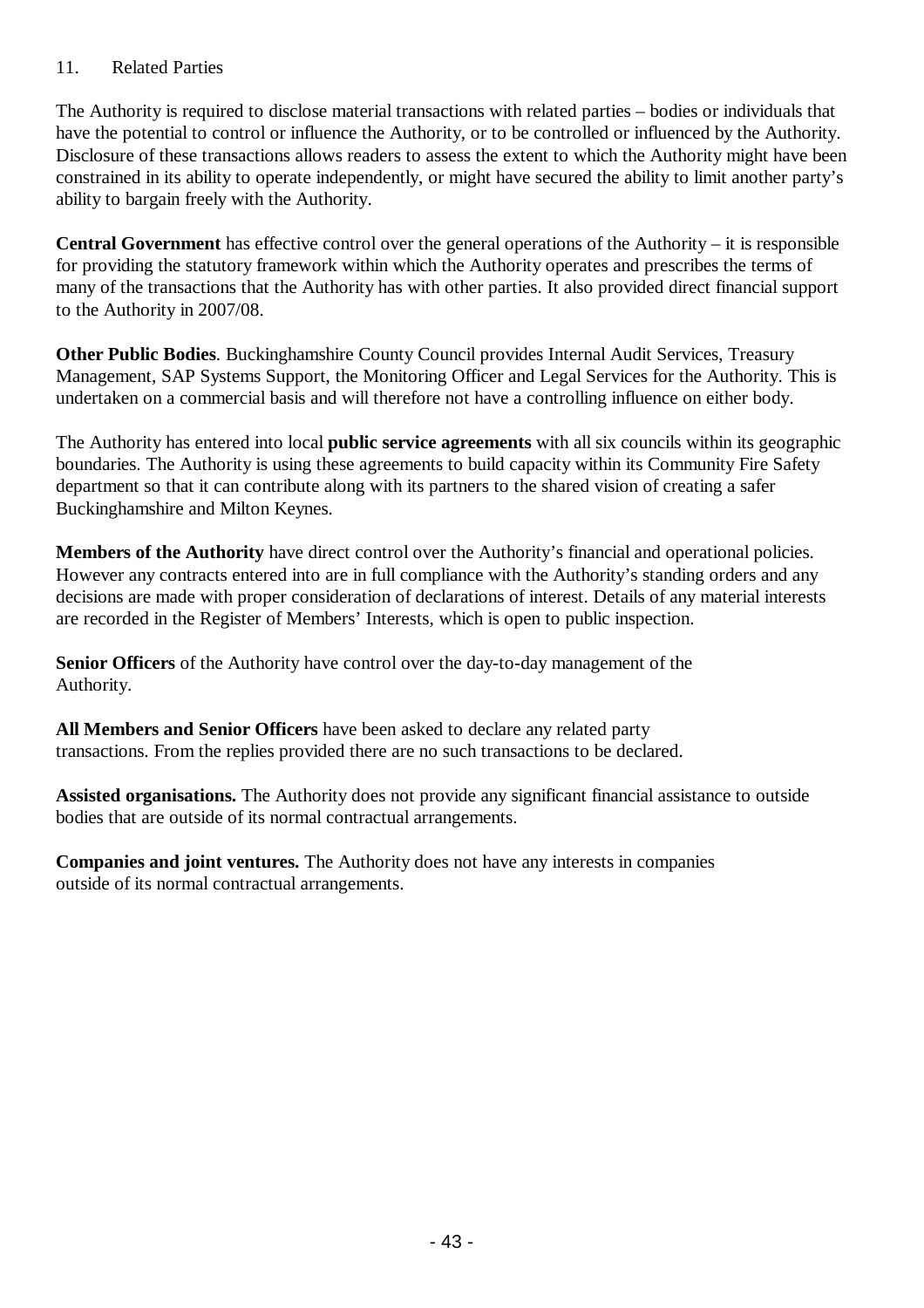## 11. Related Parties

The Authority is required to disclose material transactions with related parties – bodies or individuals that have the potential to control or influence the Authority, or to be controlled or influenced by the Authority. Disclosure of these transactions allows readers to assess the extent to which the Authority might have been constrained in its ability to operate independently, or might have secured the ability to limit another party's ability to bargain freely with the Authority.

**Central Government** has effective control over the general operations of the Authority – it is responsible for providing the statutory framework within which the Authority operates and prescribes the terms of many of the transactions that the Authority has with other parties. It also provided direct financial support to the Authority in 2007/08.

**Other Public Bodies**. Buckinghamshire County Council provides Internal Audit Services, Treasury Management, SAP Systems Support, the Monitoring Officer and Legal Services for the Authority. This is undertaken on a commercial basis and will therefore not have a controlling influence on either body.

The Authority has entered into local **public service agreements** with all six councils within its geographic boundaries. The Authority is using these agreements to build capacity within its Community Fire Safety department so that it can contribute along with its partners to the shared vision of creating a safer Buckinghamshire and Milton Keynes.

**Members of the Authority** have direct control over the Authority's financial and operational policies. However any contracts entered into are in full compliance with the Authority's standing orders and any decisions are made with proper consideration of declarations of interest. Details of any material interests are recorded in the Register of Members' Interests, which is open to public inspection.

**Senior Officers** of the Authority have control over the day-to-day management of the Authority.

**All Members and Senior Officers** have been asked to declare any related party transactions. From the replies provided there are no such transactions to be declared.

**Assisted organisations.** The Authority does not provide any significant financial assistance to outside bodies that are outside of its normal contractual arrangements.

**Companies and joint ventures.** The Authority does not have any interests in companies outside of its normal contractual arrangements.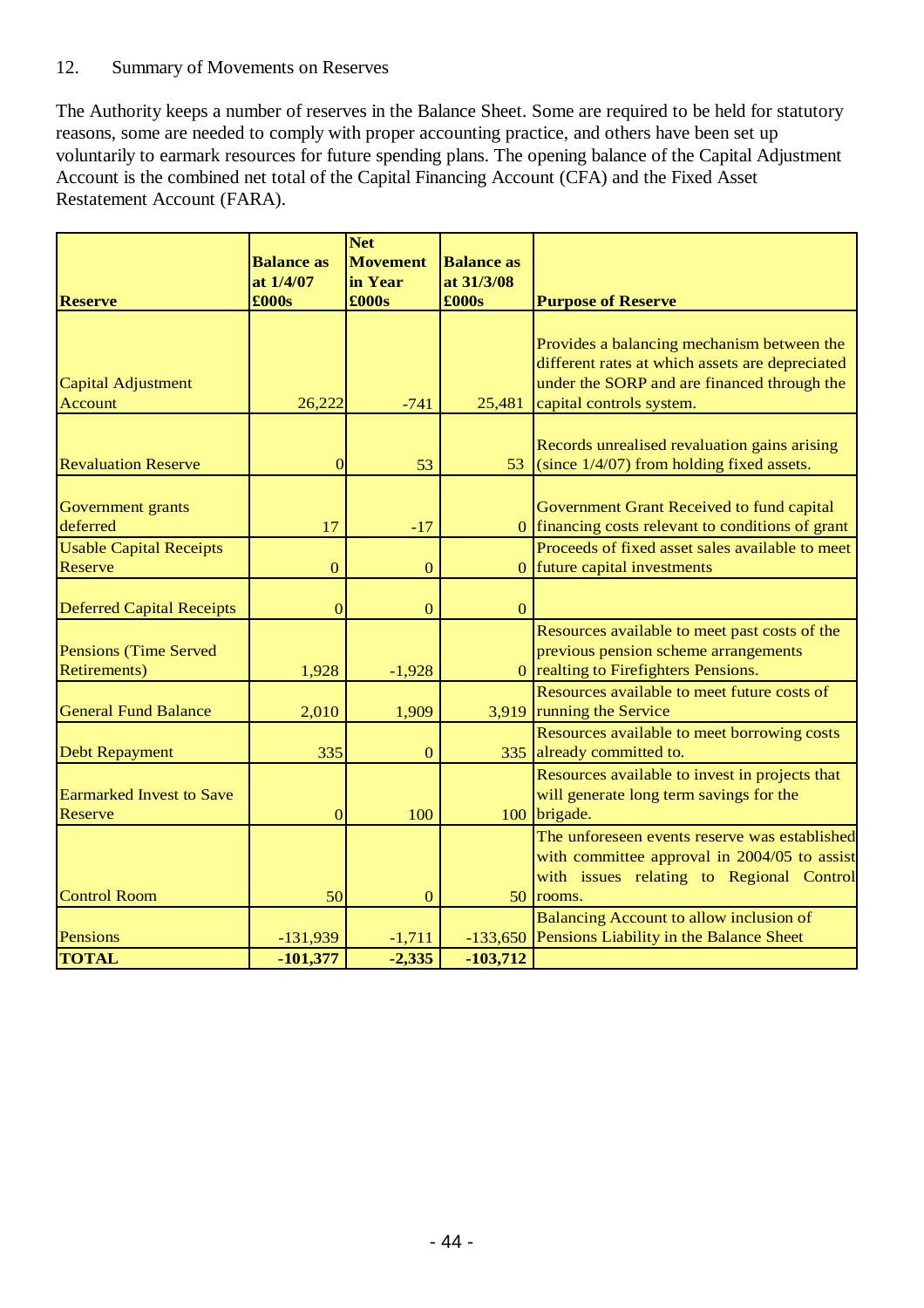## 12. Summary of Movements on Reserves

The Authority keeps a number of reserves in the Balance Sheet. Some are required to be held for statutory reasons, some are needed to comply with proper accounting practice, and others have been set up voluntarily to earmark resources for future spending plans. The opening balance of the Capital Adjustment Account is the combined net total of the Capital Financing Account (CFA) and the Fixed Asset Restatement Account (FARA).

|                                  | <b>Balance</b> as | <b>Net</b><br><b>Movement</b> | <b>Balance as</b> |                                                   |
|----------------------------------|-------------------|-------------------------------|-------------------|---------------------------------------------------|
|                                  | at 1/4/07         | in Year                       | at 31/3/08        |                                                   |
| <b>Reserve</b>                   | £000s             | £000s                         | £000s             | <b>Purpose of Reserve</b>                         |
|                                  |                   |                               |                   |                                                   |
|                                  |                   |                               |                   | Provides a balancing mechanism between the        |
|                                  |                   |                               |                   | different rates at which assets are depreciated   |
| <b>Capital Adjustment</b>        |                   |                               |                   | under the SORP and are financed through the       |
| Account                          | 26,222            | $-741$                        | 25,481            | capital controls system.                          |
|                                  |                   |                               |                   |                                                   |
|                                  |                   |                               |                   | Records unrealised revaluation gains arising      |
| <b>Revaluation Reserve</b>       | $\overline{0}$    | 53                            |                   | 53 (since $1/4/07$ ) from holding fixed assets.   |
|                                  |                   |                               |                   |                                                   |
| Government grants                |                   |                               |                   | Government Grant Received to fund capital         |
| deferred                         | 17                | $-17$                         |                   | 0 financing costs relevant to conditions of grant |
| <b>Usable Capital Receipts</b>   |                   |                               |                   | Proceeds of fixed asset sales available to meet   |
| Reserve                          | $\boldsymbol{0}$  | $\mathbf{0}$                  |                   | 0 future capital investments                      |
|                                  |                   |                               |                   |                                                   |
| <b>Deferred Capital Receipts</b> | $\mathbf{0}$      | $\mathbf{0}$                  | $\mathbf{0}$      |                                                   |
|                                  |                   |                               |                   | Resources available to meet past costs of the     |
| <b>Pensions (Time Served)</b>    |                   |                               |                   | previous pension scheme arrangements              |
| <b>Retirements</b> )             | 1,928             | $-1,928$                      |                   | 0 realting to Firefighters Pensions.              |
|                                  |                   |                               |                   | Resources available to meet future costs of       |
| <b>General Fund Balance</b>      | 2,010             | 1,909                         |                   | 3,919 running the Service                         |
|                                  |                   |                               |                   | Resources available to meet borrowing costs       |
| <b>Debt Repayment</b>            | 335               | $\Omega$                      | 335               | already committed to.                             |
|                                  |                   |                               |                   | Resources available to invest in projects that    |
| <b>Earmarked Invest to Save</b>  |                   |                               |                   | will generate long term savings for the           |
| <b>Reserve</b>                   | $\mathbf{0}$      | 100                           |                   | 100 brigade.                                      |
|                                  |                   |                               |                   | The unforeseen events reserve was established     |
|                                  |                   |                               |                   | with committee approval in 2004/05 to assist      |
|                                  |                   |                               |                   | with issues relating to Regional Control          |
| <b>Control Room</b>              | 50                | $\mathbf{0}$                  | 50                | rooms.                                            |
|                                  |                   |                               |                   | <b>Balancing Account to allow inclusion of</b>    |
| Pensions                         | $-131,939$        | $-1,711$                      | $-133,650$        | Pensions Liability in the Balance Sheet           |
| <b>TOTAL</b>                     | $-101,377$        | $-2,335$                      | $-103,712$        |                                                   |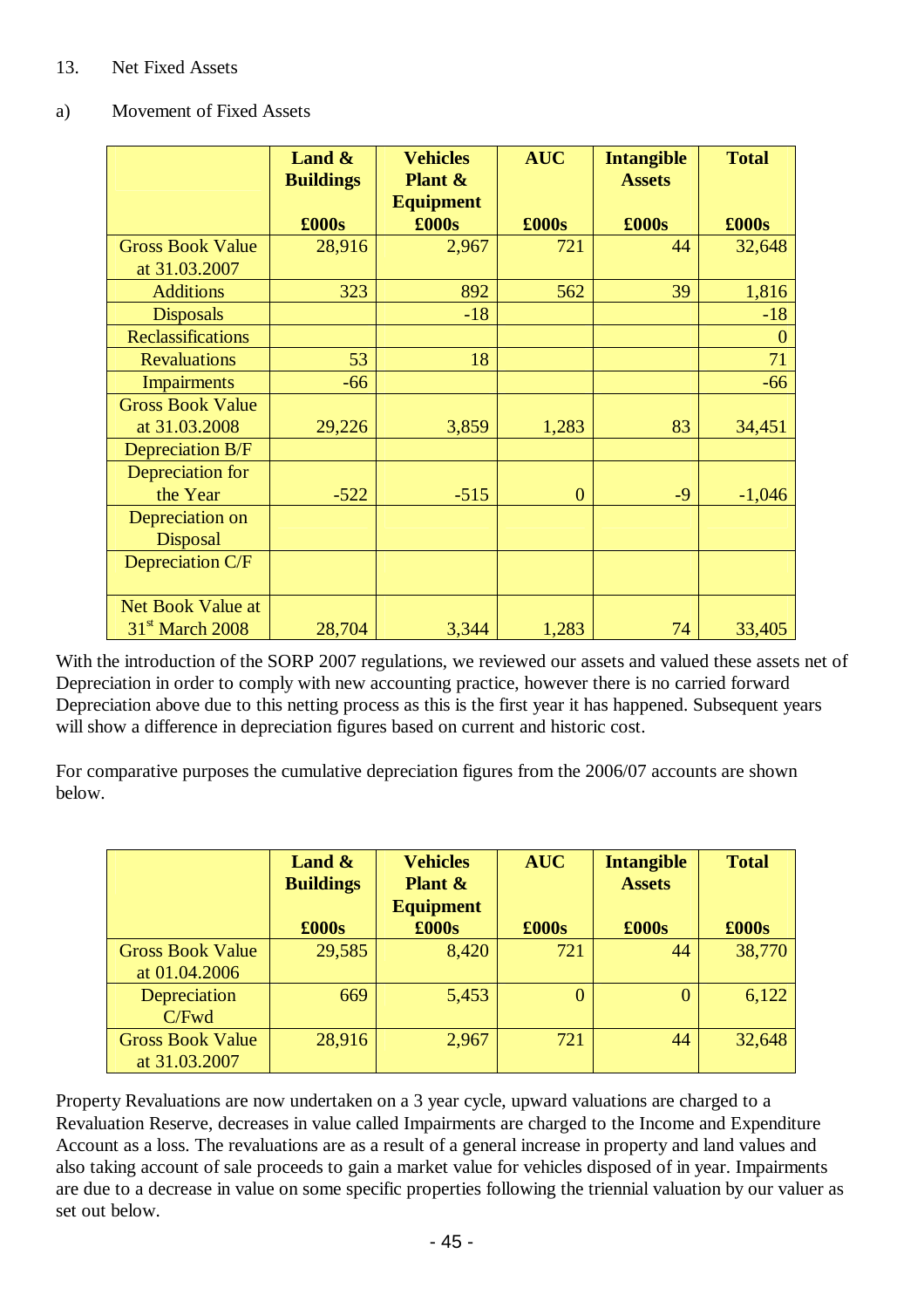## 13. Net Fixed Assets

### a) Movement of Fixed Assets

|                          | Land $\&$<br><b>Buildings</b> | <b>Vehicles</b><br><b>Plant &amp;</b><br><b>Equipment</b> | <b>AUC</b>     | <b>Intangible</b><br><b>Assets</b> | <b>Total</b>   |
|--------------------------|-------------------------------|-----------------------------------------------------------|----------------|------------------------------------|----------------|
|                          | £000s                         | £000s                                                     | £000s          | $\pounds000s$                      | £000s          |
| <b>Gross Book Value</b>  | 28,916                        | 2,967                                                     | 721            | 44                                 | 32,648         |
| at 31.03.2007            |                               |                                                           |                |                                    |                |
| <b>Additions</b>         | 323                           | 892                                                       | 562            | 39                                 | 1,816          |
| <b>Disposals</b>         |                               | $-18$                                                     |                |                                    | $-18$          |
| <b>Reclassifications</b> |                               |                                                           |                |                                    | $\overline{0}$ |
| <b>Revaluations</b>      | 53                            | 18                                                        |                |                                    | 71             |
| <b>Impairments</b>       | $-66$                         |                                                           |                |                                    | $-66$          |
| <b>Gross Book Value</b>  |                               |                                                           |                |                                    |                |
| at 31.03.2008            | 29,226                        | 3,859                                                     | 1,283          | 83                                 | 34,451         |
| <b>Depreciation B/F</b>  |                               |                                                           |                |                                    |                |
| Depreciation for         |                               |                                                           |                |                                    |                |
| the Year                 | $-522$                        | $-515$                                                    | $\overline{0}$ | $-9$                               | $-1,046$       |
| Depreciation on          |                               |                                                           |                |                                    |                |
| <b>Disposal</b>          |                               |                                                           |                |                                    |                |
| Depreciation C/F         |                               |                                                           |                |                                    |                |
|                          |                               |                                                           |                |                                    |                |
| <b>Net Book Value at</b> |                               |                                                           |                |                                    |                |
| $31st$ March 2008        | 28,704                        | 3,344                                                     | 1,283          | 74                                 | 33,405         |

With the introduction of the SORP 2007 regulations, we reviewed our assets and valued these assets net of Depreciation in order to comply with new accounting practice, however there is no carried forward Depreciation above due to this netting process as this is the first year it has happened. Subsequent years will show a difference in depreciation figures based on current and historic cost.

For comparative purposes the cumulative depreciation figures from the 2006/07 accounts are shown below.

|                         | Land $\&$        | <b>Vehicles</b>    | <b>AUC</b> | <b>Intangible</b> | <b>Total</b> |
|-------------------------|------------------|--------------------|------------|-------------------|--------------|
|                         | <b>Buildings</b> | <b>Plant &amp;</b> |            | <b>Assets</b>     |              |
|                         |                  | <b>Equipment</b>   |            |                   |              |
|                         | £000s            | £000s              | £000s      | $\pounds000s$     | £000s        |
| <b>Gross Book Value</b> | 29,585           | 8,420              | 721        | 44                | 38,770       |
| at 01.04.2006           |                  |                    |            |                   |              |
| Depreciation            | 669              | 5,453              |            | $\overline{0}$    | 6,122        |
| $C$ Fwd                 |                  |                    |            |                   |              |
| <b>Gross Book Value</b> | 28,916           | 2,967              | 721        | 44                | 32,648       |
| at 31.03.2007           |                  |                    |            |                   |              |

Property Revaluations are now undertaken on a 3 year cycle, upward valuations are charged to a Revaluation Reserve, decreases in value called Impairments are charged to the Income and Expenditure Account as a loss. The revaluations are as a result of a general increase in property and land values and also taking account of sale proceeds to gain a market value for vehicles disposed of in year. Impairments are due to a decrease in value on some specific properties following the triennial valuation by our valuer as set out below.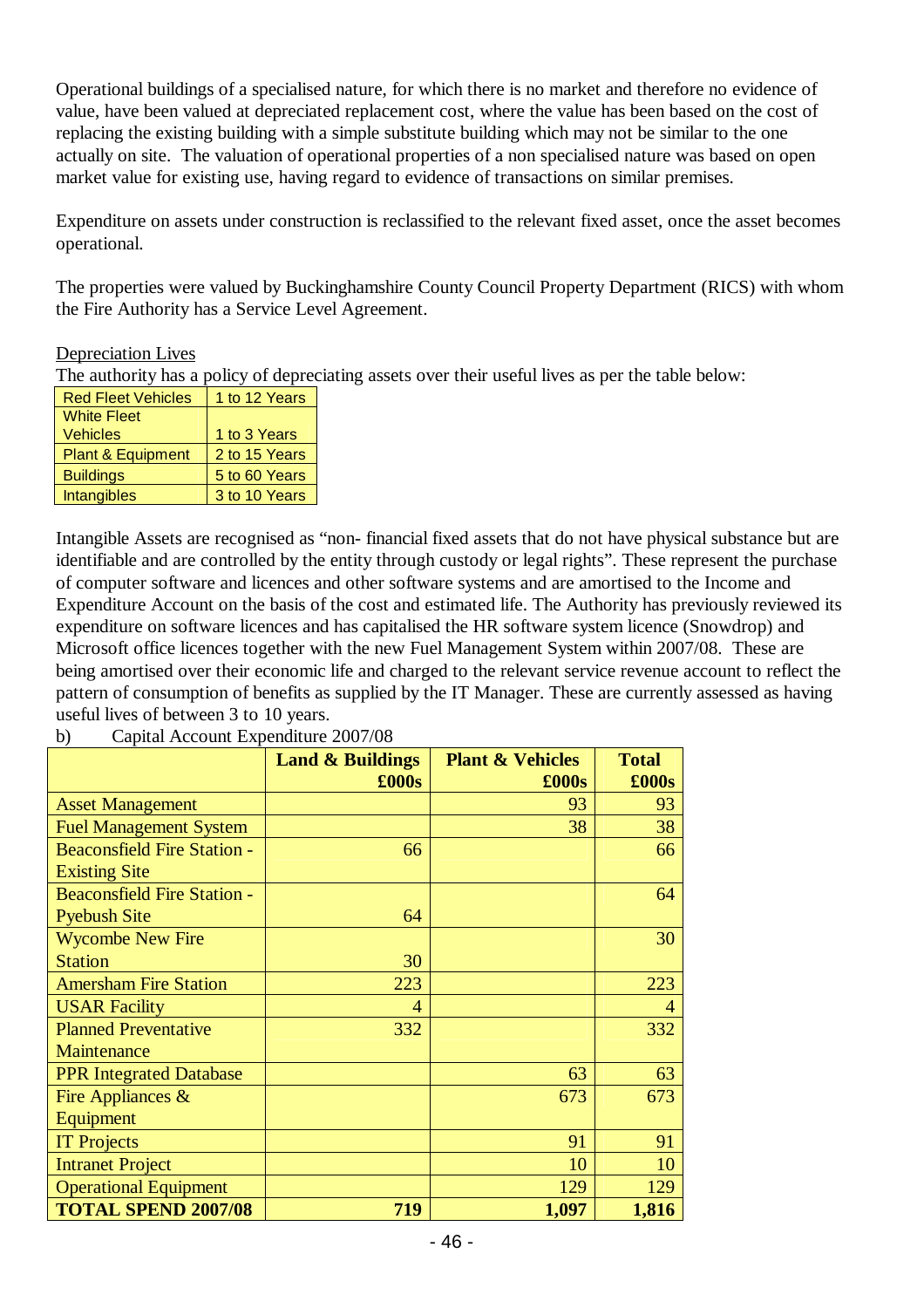Operational buildings of a specialised nature, for which there is no market and therefore no evidence of value, have been valued at depreciated replacement cost, where the value has been based on the cost of replacing the existing building with a simple substitute building which may not be similar to the one actually on site. The valuation of operational properties of a non specialised nature was based on open market value for existing use, having regard to evidence of transactions on similar premises.

Expenditure on assets under construction is reclassified to the relevant fixed asset, once the asset becomes operational.

The properties were valued by Buckinghamshire County Council Property Department (RICS) with whom the Fire Authority has a Service Level Agreement.

#### Depreciation Lives

The authority has a policy of depreciating assets over their useful lives as per the table below:

| <b>Red Fleet Vehicles</b>    | 1 to 12 Years |
|------------------------------|---------------|
| <b>White Fleet</b>           |               |
| <b>Vehicles</b>              | 1 to 3 Years  |
| <b>Plant &amp; Equipment</b> | 2 to 15 Years |
| <b>Buildings</b>             | 5 to 60 Years |
| <b>Intangibles</b>           | 3 to 10 Years |

Intangible Assets are recognised as "non- financial fixed assets that do not have physical substance but are identifiable and are controlled by the entity through custody or legal rights". These represent the purchase of computer software and licences and other software systems and are amortised to the Income and Expenditure Account on the basis of the cost and estimated life. The Authority has previously reviewed its expenditure on software licences and has capitalised the HR software system licence (Snowdrop) and Microsoft office licences together with the new Fuel Management System within 2007/08. These are being amortised over their economic life and charged to the relevant service revenue account to reflect the pattern of consumption of benefits as supplied by the IT Manager. These are currently assessed as having useful lives of between 3 to 10 years.

| b) | Capital Account Expenditure 2007/08 |
|----|-------------------------------------|
|----|-------------------------------------|

|                                    | <b>Land &amp; Buildings</b> | <b>Plant &amp; Vehicles</b> | <b>Total</b>   |
|------------------------------------|-----------------------------|-----------------------------|----------------|
|                                    | £000s                       | £000s                       | £000s          |
| <b>Asset Management</b>            |                             | 93                          | 93             |
| <b>Fuel Management System</b>      |                             | 38                          | 38             |
| <b>Beaconsfield Fire Station -</b> | 66                          |                             | 66             |
| <b>Existing Site</b>               |                             |                             |                |
| <b>Beaconsfield Fire Station -</b> |                             |                             | 64             |
| <b>Pyebush Site</b>                | 64                          |                             |                |
| <b>Wycombe New Fire</b>            |                             |                             | 30             |
| <b>Station</b>                     | 30                          |                             |                |
| <b>Amersham Fire Station</b>       | 223                         |                             | 223            |
| <b>USAR Facility</b>               | 4                           |                             | $\overline{4}$ |
| <b>Planned Preventative</b>        | 332                         |                             | 332            |
| Maintenance                        |                             |                             |                |
| <b>PPR Integrated Database</b>     |                             | 63                          | 63             |
| Fire Appliances $\&$               |                             | 673                         | 673            |
| Equipment                          |                             |                             |                |
| <b>IT Projects</b>                 |                             | 91                          | 91             |
| <b>Intranet Project</b>            |                             | 10                          | 10             |
| <b>Operational Equipment</b>       |                             | 129                         | 129            |
| <b>TOTAL SPEND 2007/08</b>         | 719                         | 1,097                       | 1,816          |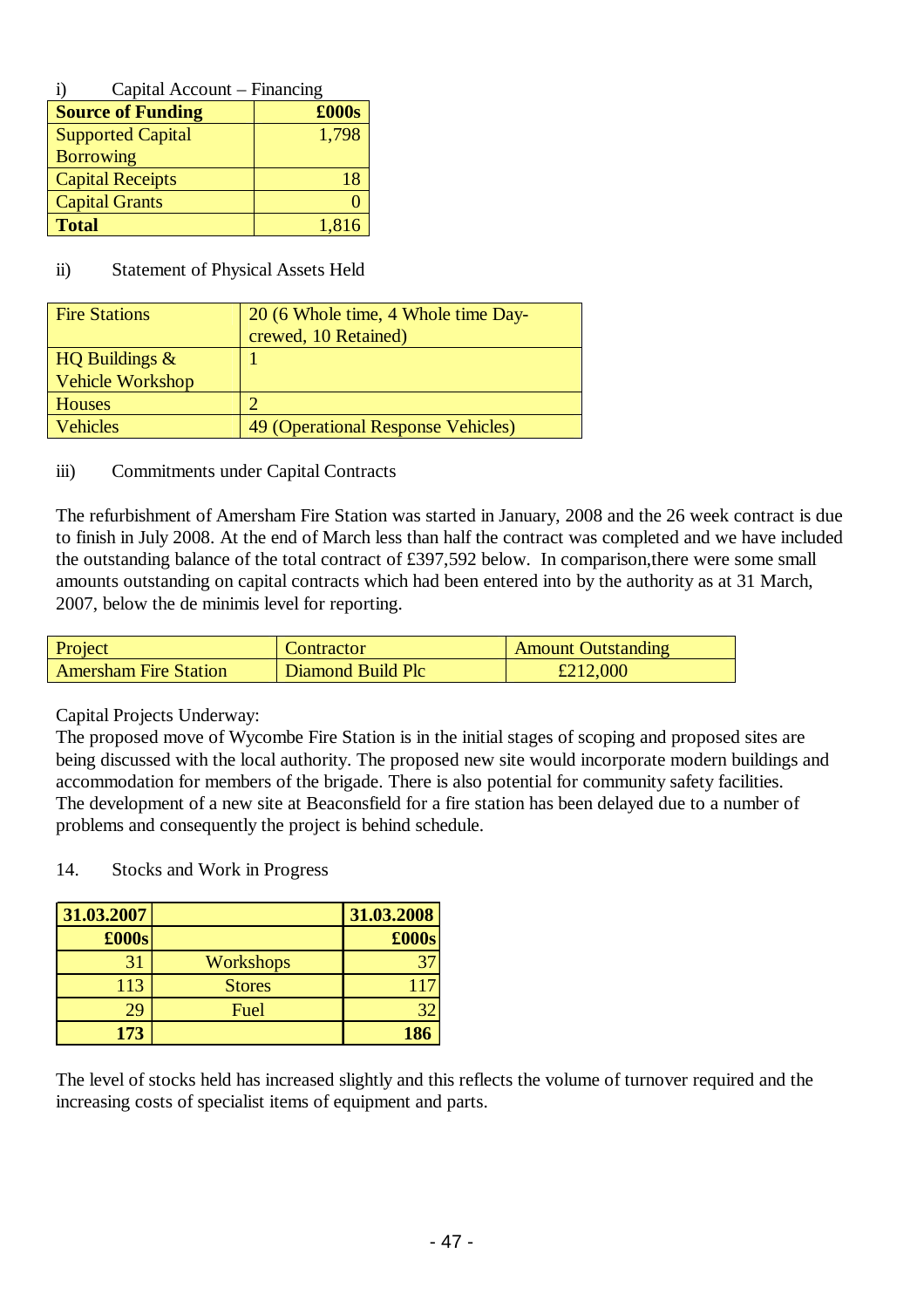| i) | Capital Account – Financing |  |
|----|-----------------------------|--|
|    |                             |  |

| <b>Source of Funding</b> | £000s |
|--------------------------|-------|
| <b>Supported Capital</b> | 1,798 |
| <b>Borrowing</b>         |       |
| <b>Capital Receipts</b>  | 18    |
| <b>Capital Grants</b>    |       |
| <b>Total</b>             | 1,816 |

#### ii) Statement of Physical Assets Held

| <b>Fire Stations</b> | 20 (6 Whole time, 4 Whole time Day- |  |
|----------------------|-------------------------------------|--|
|                      | crewed, 10 Retained)                |  |
| HQ Buildings $\&$    |                                     |  |
| Vehicle Workshop     |                                     |  |
| <b>Houses</b>        |                                     |  |
| <b>Vehicles</b>      | 49 (Operational Response Vehicles)  |  |
|                      |                                     |  |

#### iii) Commitments under Capital Contracts

The refurbishment of Amersham Fire Station was started in January, 2008 and the 26 week contract is due to finish in July 2008. At the end of March less than half the contract was completed and we have included the outstanding balance of the total contract of £397,592 below. In comparison,there were some small amounts outstanding on capital contracts which had been entered into by the authority as at 31 March, 2007, below the de minimis level for reporting.

| Project                      | Contractor        | <b>Amount Outstanding</b> |
|------------------------------|-------------------|---------------------------|
| <b>Amersham Fire Station</b> | Diamond Build Plc | £212,000                  |

## Capital Projects Underway:

The proposed move of Wycombe Fire Station is in the initial stages of scoping and proposed sites are being discussed with the local authority. The proposed new site would incorporate modern buildings and accommodation for members of the brigade. There is also potential for community safety facilities. The development of a new site at Beaconsfield for a fire station has been delayed due to a number of problems and consequently the project is behind schedule.

| 14. |  |  |  |  | Stocks and Work in Progress |
|-----|--|--|--|--|-----------------------------|
|-----|--|--|--|--|-----------------------------|

| 31.03.2007    |                  | 31.03.2008 |
|---------------|------------------|------------|
| $\pounds000s$ |                  | £000s      |
| 31            | <b>Workshops</b> |            |
| 113           | <b>Stores</b>    |            |
| 29            | Fuel             |            |
| 173           |                  | 186        |

The level of stocks held has increased slightly and this reflects the volume of turnover required and the increasing costs of specialist items of equipment and parts.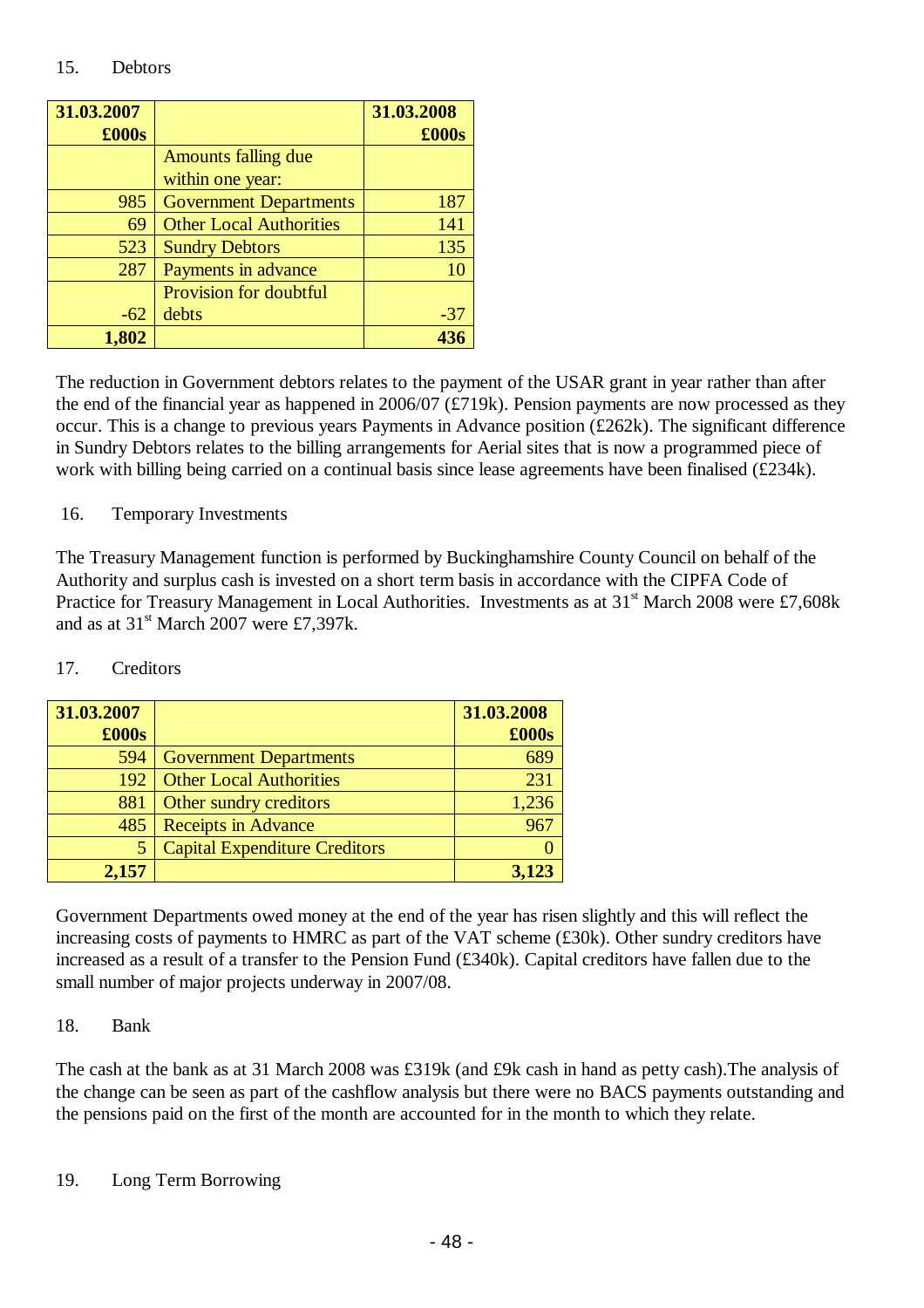#### 15. Debtors

| 31.03.2007 |                                | 31.03.2008 |
|------------|--------------------------------|------------|
| £000s      |                                | £000s      |
|            | <b>Amounts falling due</b>     |            |
|            | within one year:               |            |
| 985        | <b>Government Departments</b>  | 187        |
| 69         | <b>Other Local Authorities</b> | 141        |
| 523        | <b>Sundry Debtors</b>          | 135        |
| 287        | Payments in advance            | 10         |
|            | Provision for doubtful         |            |
| $-62$      | debts                          | $-37$      |
| 1,802      |                                |            |

The reduction in Government debtors relates to the payment of the USAR grant in year rather than after the end of the financial year as happened in 2006/07 (£719k). Pension payments are now processed as they occur. This is a change to previous years Payments in Advance position (£262k). The significant difference in Sundry Debtors relates to the billing arrangements for Aerial sites that is now a programmed piece of work with billing being carried on a continual basis since lease agreements have been finalised (£234k).

## 16. Temporary Investments

The Treasury Management function is performed by Buckinghamshire County Council on behalf of the Authority and surplus cash is invested on a short term basis in accordance with the CIPFA Code of Practice for Treasury Management in Local Authorities. Investments as at  $31<sup>st</sup>$  March 2008 were £7,608k and as at  $31<sup>st</sup>$  March 2007 were £7,397k.

## 17. Creditors

| 31.03.2007    |                                      | 31.03.2008 |
|---------------|--------------------------------------|------------|
| $\pounds000s$ |                                      | £000s      |
| 594           | <b>Government Departments</b>        | 689        |
| 192           | <b>Other Local Authorities</b>       | 231        |
| 881           | Other sundry creditors               | 1,236      |
| 485           | <b>Receipts in Advance</b>           |            |
|               | <b>Capital Expenditure Creditors</b> |            |
| 2,157         |                                      | 3,123      |

Government Departments owed money at the end of the year has risen slightly and this will reflect the increasing costs of payments to HMRC as part of the VAT scheme (£30k). Other sundry creditors have increased as a result of a transfer to the Pension Fund (£340k). Capital creditors have fallen due to the small number of major projects underway in 2007/08.

## 18. Bank

The cash at the bank as at 31 March 2008 was £319k (and £9k cash in hand as petty cash).The analysis of the change can be seen as part of the cashflow analysis but there were no BACS payments outstanding and the pensions paid on the first of the month are accounted for in the month to which they relate.

19. Long Term Borrowing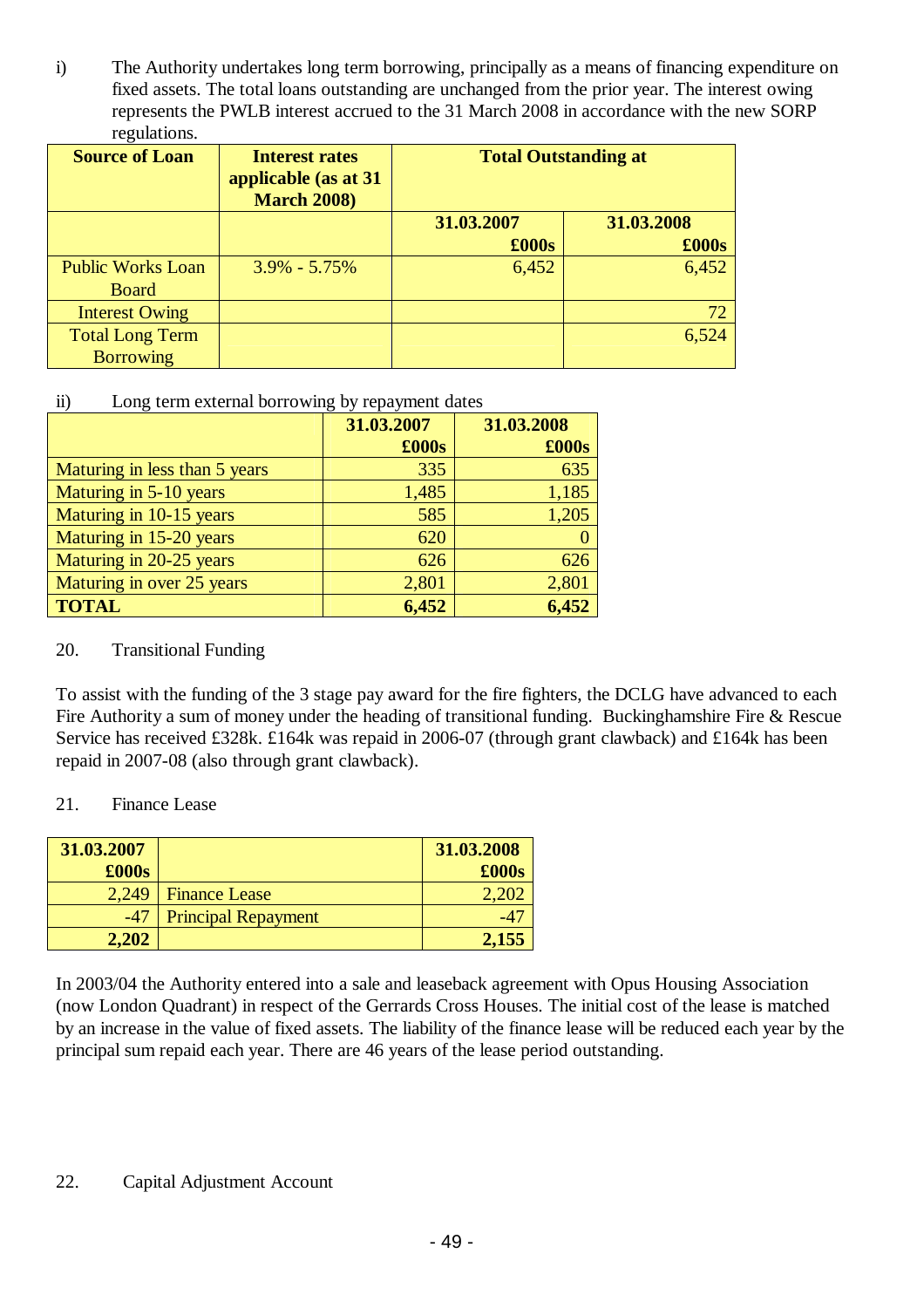i) The Authority undertakes long term borrowing, principally as a means of financing expenditure on fixed assets. The total loans outstanding are unchanged from the prior year. The interest owing represents the PWLB interest accrued to the 31 March 2008 in accordance with the new SORP regulations.

| <b>Source of Loan</b>                      | <b>Interest rates</b><br>applicable (as at 31<br><b>March 2008)</b> | <b>Total Outstanding at</b> |                              |
|--------------------------------------------|---------------------------------------------------------------------|-----------------------------|------------------------------|
|                                            |                                                                     | 31.03.2007<br>£000s         | 31.03.2008<br>$\pounds 000s$ |
| <b>Public Works Loan</b><br><b>Board</b>   | $3.9\% - 5.75\%$                                                    | 6,452                       | 6,452                        |
| <b>Interest Owing</b>                      |                                                                     |                             | 72                           |
| <b>Total Long Term</b><br><b>Borrowing</b> |                                                                     |                             | 6,524                        |

## ii) Long term external borrowing by repayment dates

|                               | 31.03.2007 | 31.03.2008 |
|-------------------------------|------------|------------|
|                               | £000s      | £000s      |
| Maturing in less than 5 years | 335        | 635        |
| Maturing in 5-10 years        | 1,485      | 1,185      |
| Maturing in 10-15 years       | 585        | 1,205      |
| Maturing in 15-20 years       | 620        |            |
| Maturing in 20-25 years       | 626        | 626        |
| Maturing in over 25 years     | 2,801      | 2,801      |
| <b>TOTAL</b>                  | 6,452      | 6,452      |

## 20. Transitional Funding

To assist with the funding of the 3 stage pay award for the fire fighters, the DCLG have advanced to each Fire Authority a sum of money under the heading of transitional funding. Bucking hamshire Fire & Rescue Service has received £328k. £164k was repaid in 2006-07 (through grant clawback) and £164k has been repaid in 2007-08 (also through grant clawback).

## 21. Finance Lease

| 31.03.2007 |                            | 31.03.2008 |
|------------|----------------------------|------------|
| £000s      |                            | £000s      |
| 2.249      | <b>Finance Lease</b>       |            |
| $-47$      | <b>Principal Repayment</b> |            |
| 2,202      |                            | 2,155      |

In 2003/04 the Authority entered into a sale and leaseback agreement with Opus Housing Association (now London Quadrant) in respect of the Gerrards Cross Houses. The initial cost of the lease is matched by an increase in the value of fixed assets. The liability of the finance lease will be reduced each year by the principal sum repaid each year. There are 46 years of the lease period outstanding.

## 22. Capital Adjustment Account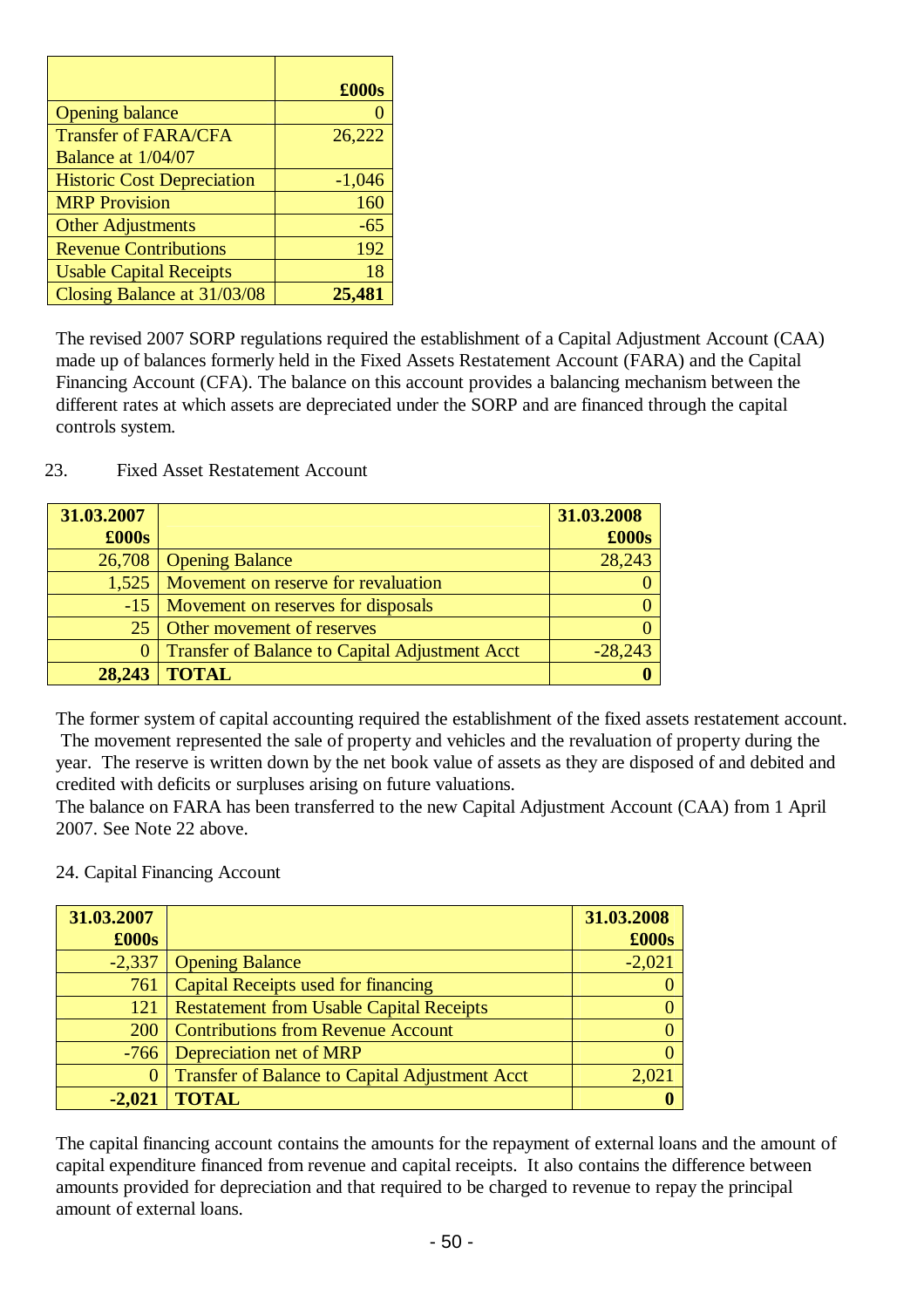|                                   | $\pounds000s$ |
|-----------------------------------|---------------|
| <b>Opening balance</b>            |               |
| <b>Transfer of FARA/CFA</b>       | 26,222        |
| Balance at 1/04/07                |               |
| <b>Historic Cost Depreciation</b> | $-1,046$      |
| <b>MRP Provision</b>              | 160           |
| <b>Other Adjustments</b>          | $-65$         |
| <b>Revenue Contributions</b>      | 192           |
| <b>Usable Capital Receipts</b>    | 18            |
| Closing Balance at 31/03/08       | 25,481        |

The revised 2007 SORP regulations required the establishment of a Capital Adjustment Account (CAA) made up of balances formerly held in the Fixed Assets Restatement Account (FARA) and the Capital Financing Account (CFA). The balance on this account provides a balancing mechanism between the different rates at which assets are depreciated under the SORP and are financed through the capital controls system.

23. Fixed Asset Restatement Account

| 31.03.2007 |                                                       | 31.03.2008    |
|------------|-------------------------------------------------------|---------------|
| £000s      |                                                       | $\pounds000s$ |
| 26,708     | <b>Opening Balance</b>                                | 28,243        |
| 1,525      | Movement on reserve for revaluation                   |               |
| $-15$      | Movement on reserves for disposals                    |               |
| 25         | Other movement of reserves                            |               |
| 0          | <b>Transfer of Balance to Capital Adjustment Acct</b> | $-28,243$     |
| 28,243     | <b>TOTAL</b>                                          |               |

The former system of capital accounting required the establishment of the fixed assets restatement account. The movement represented the sale of property and vehicles and the revaluation of property during the year. The reserve is written down by the net book value of assets as they are disposed of and debited and credited with deficits or surpluses arising on future valuations.

The balance on FARA has been transferred to the new Capital Adjustment Account (CAA) from 1 April 2007. See Note 22 above.

24. Capital Financing Account

| 31.03.2007    |                                                       | 31.03.2008 |
|---------------|-------------------------------------------------------|------------|
| $\pounds000s$ |                                                       | £000s      |
| $-2,337$      | <b>Opening Balance</b>                                | $-2,021$   |
| 761           | <b>Capital Receipts used for financing</b>            |            |
| 121           | <b>Restatement from Usable Capital Receipts</b>       |            |
| <b>200</b>    | <b>Contributions from Revenue Account</b>             |            |
| $-766$        | Depreciation net of MRP                               |            |
| $\Omega$      | <b>Transfer of Balance to Capital Adjustment Acct</b> |            |
|               | TOTAL                                                 |            |

The capital financing account contains the amounts for the repayment of external loans and the amount of capital expenditure financed from revenue and capital receipts. It also contains the difference between amounts provided for depreciation and that required to be charged to revenue to repay the principal amount of external loans.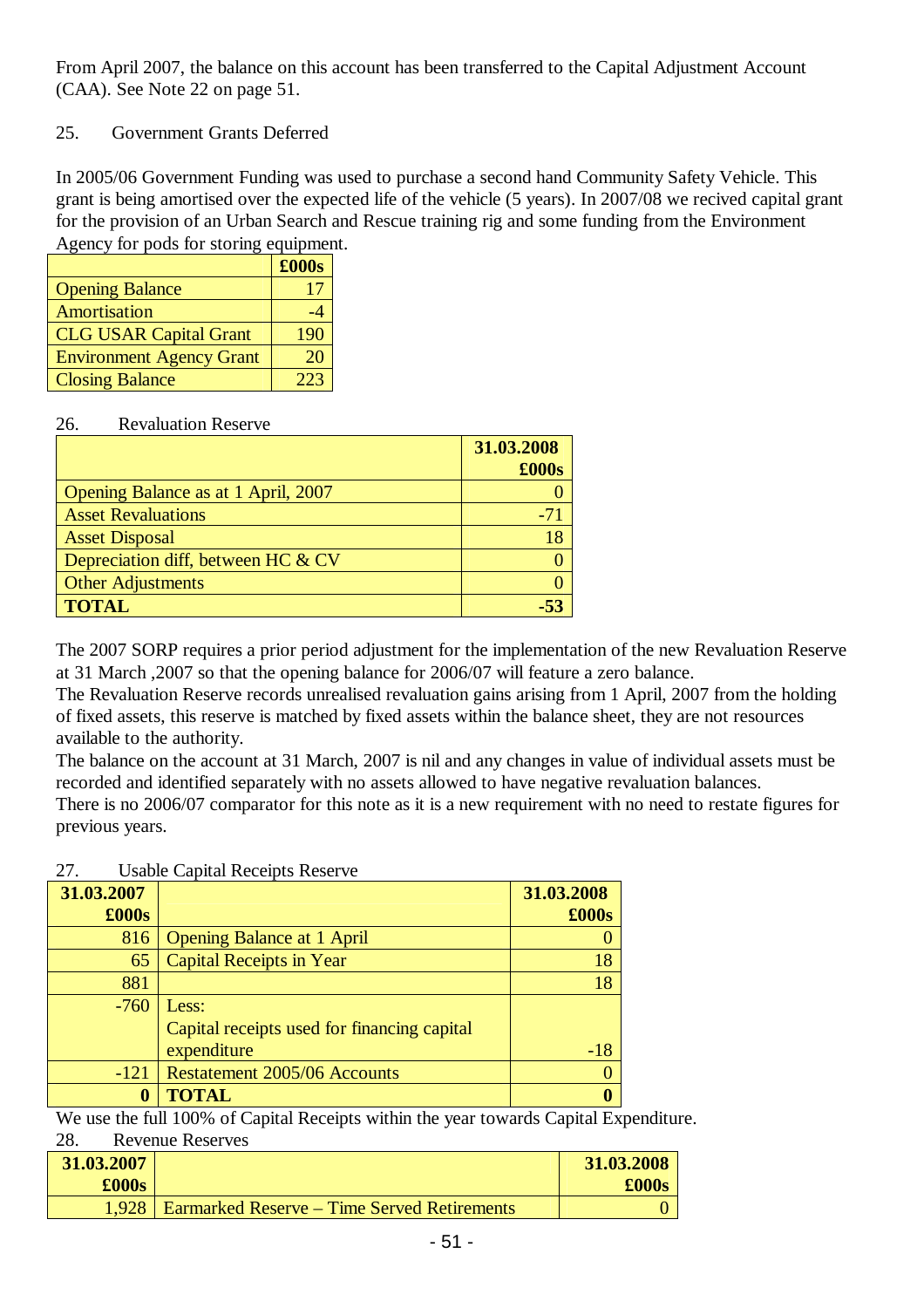From April 2007, the balance on this account has been transferred to the Capital Adjustment Account (CAA). See Note 22 on page 51.

## 25. Government Grants Deferred

In 2005/06 Government Funding was used to purchase a second hand Community Safety Vehicle. This grant is being amortised over the expected life of the vehicle (5 years). In 2007/08 we recived capital grant for the provision of an Urban Search and Rescue training rig and some funding from the Environment Agency for pods for storing equipment.

|                                 | £000s |
|---------------------------------|-------|
| <b>Opening Balance</b>          | 17    |
| Amortisation                    | -4    |
| <b>CLG USAR Capital Grant</b>   | 190   |
| <b>Environment Agency Grant</b> | 20    |
| <b>Closing Balance</b>          | フフス   |

## 26. Revaluation Reserve

|                                     | 31.03.2008 |
|-------------------------------------|------------|
|                                     | £000s      |
| Opening Balance as at 1 April, 2007 |            |
| <b>Asset Revaluations</b>           | -71        |
| <b>Asset Disposal</b>               | 18         |
| Depreciation diff, between HC & CV  |            |
| <b>Other Adjustments</b>            |            |
| <b>TOTAL</b>                        |            |

The 2007 SORP requires a prior period adjustment for the implementation of the new Revaluation Reserve at 31 March ,2007 so that the opening balance for 2006/07 will feature a zero balance.

The Revaluation Reserve records unrealised revaluation gains arising from 1 April, 2007 from the holding of fixed assets, this reserve is matched by fixed assets within the balance sheet, they are not resources available to the authority.

The balance on the account at 31 March, 2007 is nil and any changes in value of individual assets must be recorded and identified separately with no assets allowed to have negative revaluation balances.

There is no 2006/07 comparator for this note as it is a new requirement with no need to restate figures for previous years.

| 27. | <b>Usable Capital Receipts Reserve</b> |
|-----|----------------------------------------|
|-----|----------------------------------------|

 $28. R^2$ 

| 31.03.2007    |                                             | 31.03.2008    |
|---------------|---------------------------------------------|---------------|
| $\pounds000s$ |                                             | $\pounds000s$ |
| 816           | <b>Opening Balance at 1 April</b>           |               |
| 65            | <b>Capital Receipts in Year</b>             | 18            |
| 881           |                                             | 18            |
| $-760$        | Less:                                       |               |
|               | Capital receipts used for financing capital |               |
|               | expenditure                                 | $-18$         |
| $-121$        | Restatement 2005/06 Accounts                | 0             |
|               | <b>TOTAL</b>                                | $\bf{0}$      |

We use the full 100% of Capital Receipts within the year towards Capital Expenditure.

|            | Revenue Reserves                                   |            |
|------------|----------------------------------------------------|------------|
| 31.03.2007 |                                                    | 31.03.2008 |
| £000s      |                                                    | £000s      |
| 1.928      | <b>Earmarked Reserve – Time Served Retirements</b> |            |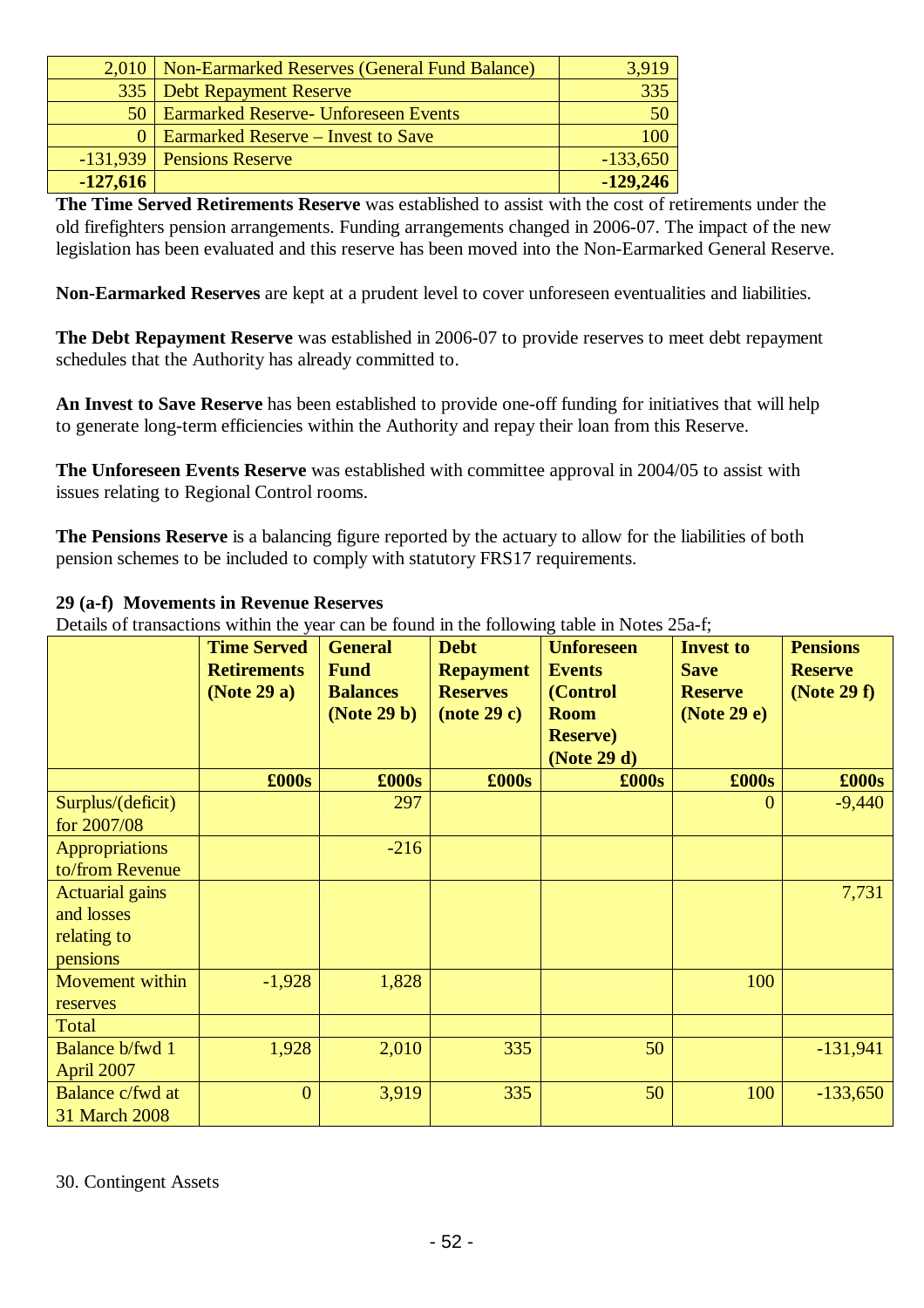|            | 2,010   Non-Earmarked Reserves (General Fund Balance) | 3,919      |
|------------|-------------------------------------------------------|------------|
|            | 335   Debt Repayment Reserve                          | 335        |
|            | 50   Earmarked Reserve- Unforeseen Events             | 50         |
|            | 0   Earmarked Reserve – Invest to Save                | 100        |
|            | $-131,939$ Pensions Reserve                           | $-133,650$ |
| $-127,616$ |                                                       | $-129,246$ |

**The Time Served Retirements Reserve** was established to assist with the cost of retirements under the old firefighters pension arrangements. Funding arrangements changed in 2006-07. The impact of the new legislation has been evaluated and this reserve has been moved into the Non-Earmarked General Reserve.

**Non-Earmarked Reserves** are kept at a prudent level to cover unforeseen eventualities and liabilities.

**The Debt Repayment Reserve** was established in 2006-07 to provide reserves to meet debt repayment schedules that the Authority has already committed to.

**An Invest to Save Reserve** has been established to provide one-off funding for initiatives that will help to generate long-term efficiencies within the Authority and repay their loan from this Reserve.

**The Unforeseen Events Reserve** was established with committee approval in 2004/05 to assist with issues relating to Regional Control rooms.

**The Pensions Reserve** is a balancing figure reported by the actuary to allow for the liabilities of both pension schemes to be included to comply with statutory FRS17 requirements.

## **29 (a-f) Movements in Revenue Reserves**

Details of transactions within the year can be found in the following table in Notes 25a-f;

|                        | <b>Time Served</b> | <b>General</b>  | <b>Debt</b>      | <b>Unforeseen</b> | <b>Invest to</b> | <b>Pensions</b> |
|------------------------|--------------------|-----------------|------------------|-------------------|------------------|-----------------|
|                        | <b>Retirements</b> | <b>Fund</b>     | <b>Repayment</b> | <b>Events</b>     | <b>Save</b>      | <b>Reserve</b>  |
|                        | (Note 29 a)        | <b>Balances</b> | <b>Reserves</b>  | (Control          | <b>Reserve</b>   | (Note 29 f)     |
|                        |                    | (Note 29 b)     | $Note 29 c)$     | <b>Room</b>       | (Note 29 e)      |                 |
|                        |                    |                 |                  | <b>Reserve</b> )  |                  |                 |
|                        |                    |                 |                  | (Note 29 d)       |                  |                 |
|                        | $\pounds000s$      | $\pounds000s$   | $\pounds000s$    | $\pounds000s$     | $\pounds000s$    | £000s           |
| Surplus/(deficit)      |                    | 297             |                  |                   | $\mathbf{0}$     | $-9,440$        |
| for 2007/08            |                    |                 |                  |                   |                  |                 |
| <b>Appropriations</b>  |                    | $-216$          |                  |                   |                  |                 |
| to/from Revenue        |                    |                 |                  |                   |                  |                 |
| <b>Actuarial gains</b> |                    |                 |                  |                   |                  | 7,731           |
| and losses             |                    |                 |                  |                   |                  |                 |
| relating to            |                    |                 |                  |                   |                  |                 |
| pensions               |                    |                 |                  |                   |                  |                 |
| Movement within        | $-1,928$           | 1,828           |                  |                   | 100              |                 |
| reserves               |                    |                 |                  |                   |                  |                 |
| Total                  |                    |                 |                  |                   |                  |                 |
| Balance b/fwd 1        | 1,928              | 2,010           | 335              | 50                |                  | $-131,941$      |
| April 2007             |                    |                 |                  |                   |                  |                 |
| Balance c/fwd at       | $\overline{0}$     | 3,919           | 335              | 50                | 100              | $-133,650$      |
| 31 March 2008          |                    |                 |                  |                   |                  |                 |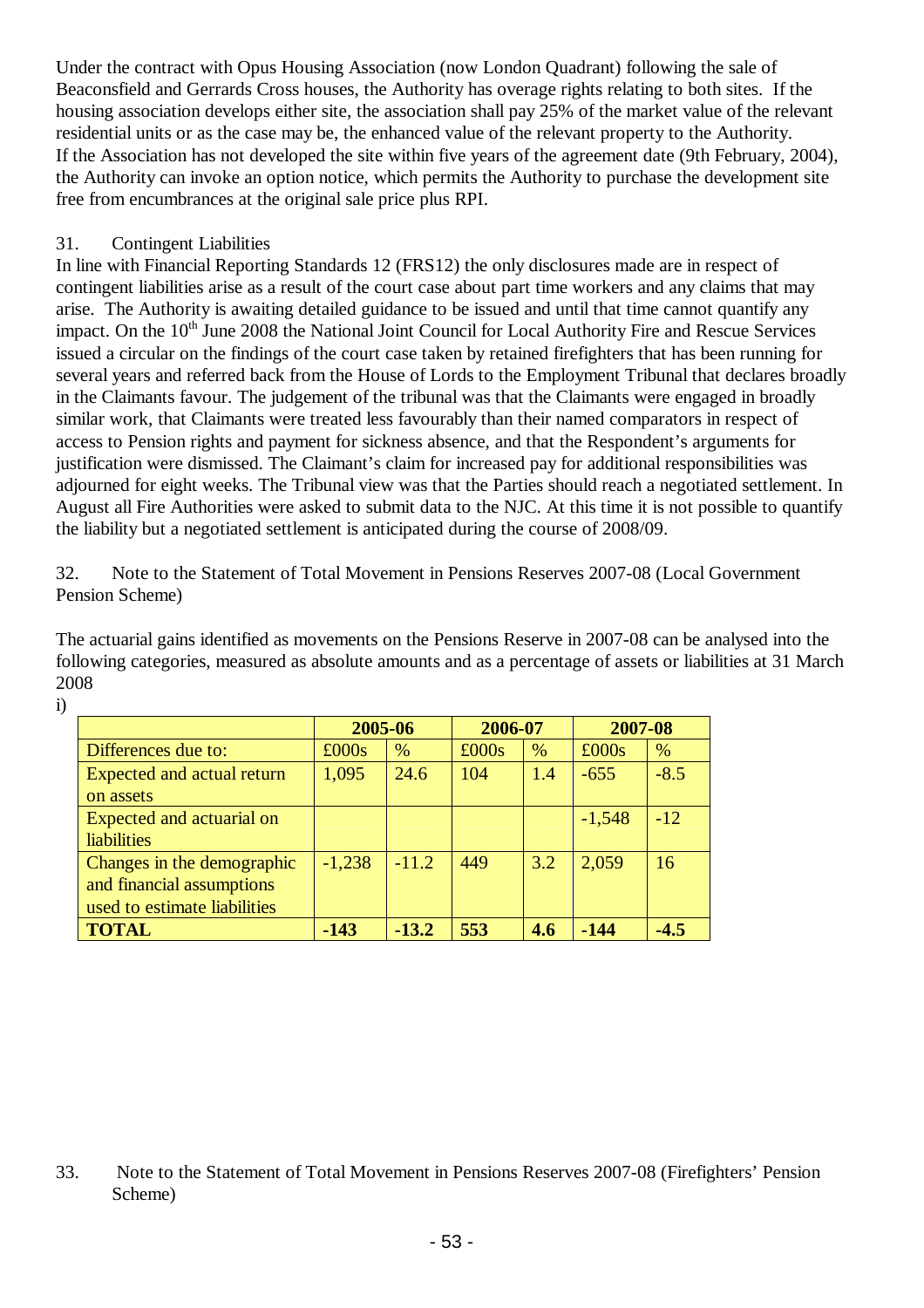Under the contract with Opus Housing Association (now London Quadrant) following the sale of Beaconsfield and Gerrards Cross houses, the Authority has overage rights relating to both sites. If the housing association develops either site, the association shall pay 25% of the market value of the relevant residential units or as the case may be, the enhanced value of the relevant property to the Authority. If the Association has not developed the site within five years of the agreement date (9th February, 2004), the Authority can invoke an option notice, which permits the Authority to purchase the development site free from encumbrances at the original sale price plus RPI.

## 31. Contingent Liabilities

In line with Financial Reporting Standards 12 (FRS12) the only disclosures made are in respect of contingent liabilities arise as a result of the court case about part time workers and any claims that may arise. The Authority is awaiting detailed guidance to be issued and until that time cannot quantify any impact. On the 10<sup>th</sup> June 2008 the National Joint Council for Local Authority Fire and Rescue Services issued a circular on the findings of the court case taken by retained firefighters that has been running for several years and referred back from the House of Lords to the Employment Tribunal that declares broadly in the Claimants favour. The judgement of the tribunal was that the Claimants were engaged in broadly similar work, that Claimants were treated less favourably than their named comparators in respect of access to Pension rights and payment for sickness absence, and that the Respondent's arguments for justification were dismissed. The Claimant's claim for increased pay for additional responsibilities was adjourned for eight weeks. The Tribunal view was that the Parties should reach a negotiated settlement. In August all Fire Authorities were asked to submit data to the NJC. At this time it is not possible to quantify the liability but a negotiated settlement is anticipated during the course of 2008/09.

32. Note to the Statement of Total Movement in Pensions Reserves 2007-08 (Local Government Pension Scheme)

The actuarial gains identified as movements on the Pensions Reserve in 2007-08 can be analysed into the following categories, measured as absolute amounts and as a percentage of assets or liabilities at 31 March 2008

| ×<br>٠<br>н            |  |
|------------------------|--|
| i<br>ę<br>ę<br>ę<br>۰. |  |

|                              | 2005-06  |         | 2006-07 |     | 2007-08  |        |
|------------------------------|----------|---------|---------|-----|----------|--------|
| Differences due to:          | £000s    | %       | £000s   | %   | £000s    | %      |
| Expected and actual return   | 1,095    | 24.6    | 104     | 1.4 | $-655$   | $-8.5$ |
| on assets                    |          |         |         |     |          |        |
| Expected and actuarial on    |          |         |         |     | $-1,548$ | $-12$  |
| <b>liabilities</b>           |          |         |         |     |          |        |
| Changes in the demographic   | $-1,238$ | $-11.2$ | 449     | 3.2 | 2,059    | 16     |
| and financial assumptions    |          |         |         |     |          |        |
| used to estimate liabilities |          |         |         |     |          |        |
| <b>TOTAL</b>                 | $-143$   | $-13.2$ | 553     | 4.6 | -144     | $-4.5$ |

<sup>33.</sup> Note to the Statement of Total Movement in Pensions Reserves 2007-08 (Firefighters' Pension Scheme)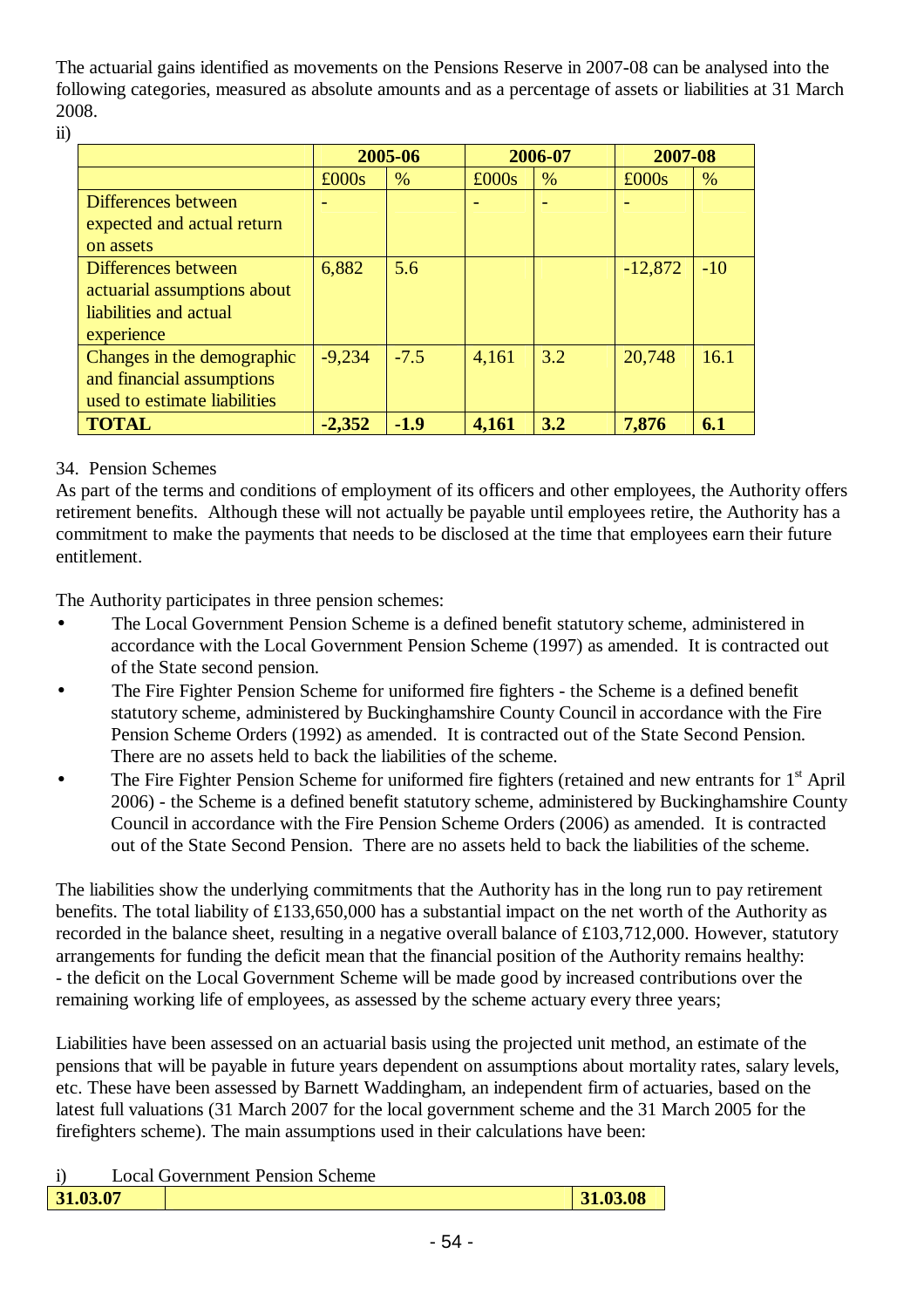The actuarial gains identified as movements on the Pensions Reserve in 2007-08 can be analysed into the following categories, measured as absolute amounts and as a percentage of assets or liabilities at 31 March 2008.

ii)

|                              | 2005-06  |        | 2006-07 |     | 2007-08   |       |
|------------------------------|----------|--------|---------|-----|-----------|-------|
|                              | £000s    | %      | £000s   | %   | £000s     | $\%$  |
| Differences between          |          |        |         |     |           |       |
| expected and actual return   |          |        |         |     |           |       |
| on assets                    |          |        |         |     |           |       |
| Differences between          | 6,882    | 5.6    |         |     | $-12,872$ | $-10$ |
| actuarial assumptions about  |          |        |         |     |           |       |
| liabilities and actual       |          |        |         |     |           |       |
| experience                   |          |        |         |     |           |       |
| Changes in the demographic   | $-9.234$ | $-7.5$ | 4,161   | 3.2 | 20,748    | 16.1  |
| and financial assumptions    |          |        |         |     |           |       |
| used to estimate liabilities |          |        |         |     |           |       |
| <b>TOTAL</b>                 | $-2,352$ | $-1.9$ | 4,161   | 3.2 | 7,876     | 6.1   |

## 34. Pension Schemes

As part of the terms and conditions of employment of its officers and other employees, the Authority offers retirement benefits. Although these will not actually be payable until employees retire, the Authority has a commitment to make the payments that needs to be disclosed at the time that employees earn their future entitlement.

The Authority participates in three pension schemes:

- The Local Government Pension Scheme is a defined benefit statutory scheme, administered in accordance with the Local Government Pension Scheme (1997) as amended. It is contracted out of the State second pension.
- The Fire Fighter Pension Scheme for uniformed fire fighters the Scheme is a defined benefit statutory scheme, administered by Buckinghamshire County Council in accordance with the Fire Pension Scheme Orders (1992) as amended. It is contracted out of the State Second Pension. There are no assets held to back the liabilities of the scheme.
- The Fire Fighter Pension Scheme for uniformed fire fighters (retained and new entrants for 1<sup>st</sup> April 2006) - the Scheme is a defined benefit statutory scheme, administered by Buckinghamshire County Council in accordance with the Fire Pension Scheme Orders (2006) as amended. It is contracted out of the State Second Pension. There are no assets held to back the liabilities of the scheme.

The liabilities show the underlying commitments that the Authority has in the long run to pay retirement benefits. The total liability of £133,650,000 has a substantial impact on the net worth of the Authority as recorded in the balance sheet, resulting in a negative overall balance of £103,712,000. However, statutory arrangements for funding the deficit mean that the financial position of the Authority remains healthy: - the deficit on the Local Government Scheme will be made good by increased contributions over the remaining working life of employees, as assessed by the scheme actuary every three years;

Liabilities have been assessed on an actuarial basis using the projected unit method, an estimate of the pensions that will be payable in future years dependent on assumptions about mortality rates, salary levels, etc. These have been assessed by Barnett Waddingham, an independent firm of actuaries, based on the latest full valuations (31 March 2007 for the local government scheme and the 31 March 2005 for the firefighters scheme). The main assumptions used in their calculations have been:

| $\ddot{i}$<br><b>Local Government Pension Scheme</b> |  |
|------------------------------------------------------|--|
|------------------------------------------------------|--|

| 31.03.07 | 1.03.08 |
|----------|---------|
|          |         |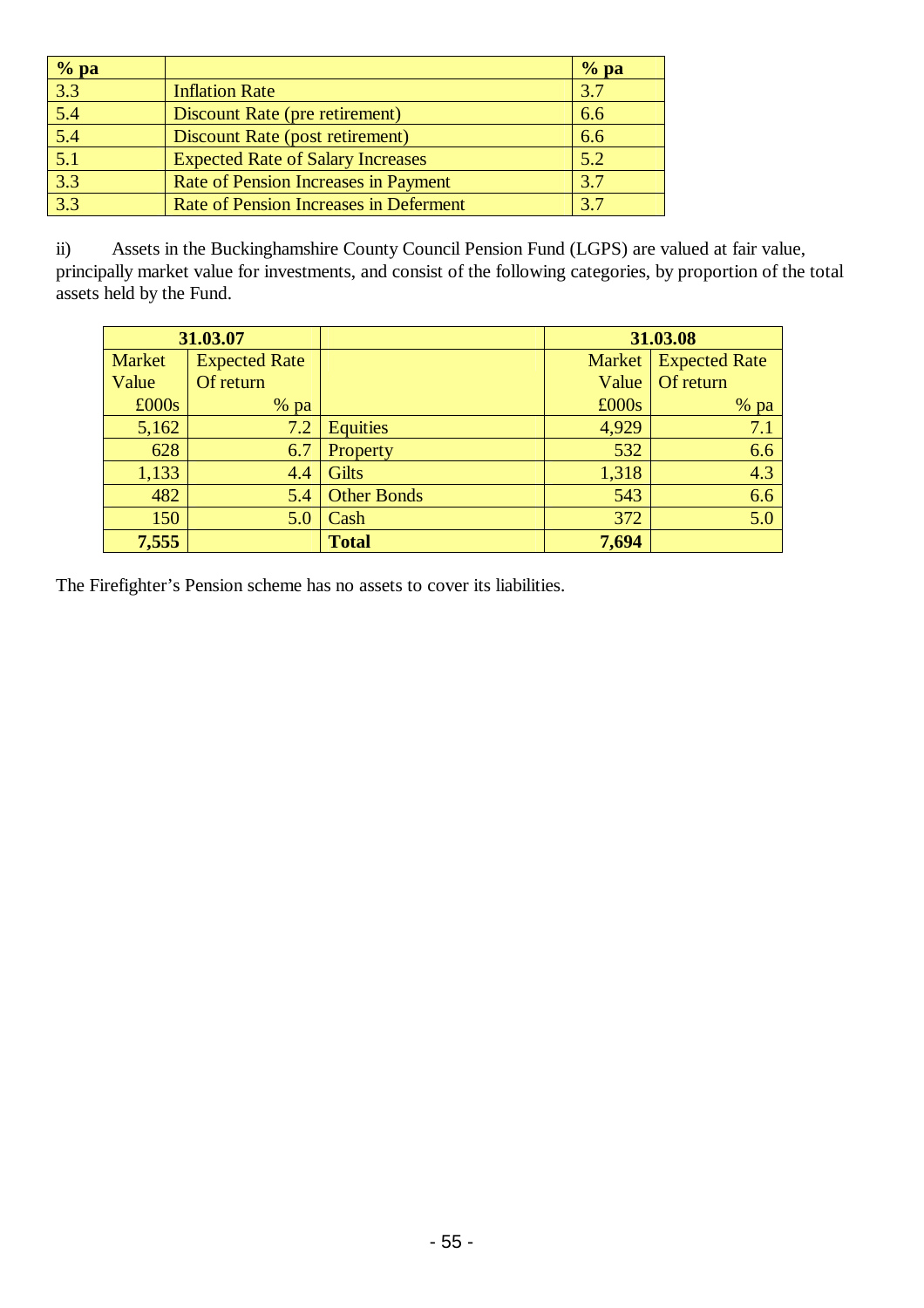| $%$ pa           |                                          | $%$ pa |
|------------------|------------------------------------------|--------|
| $\overline{3.3}$ | <b>Inflation Rate</b>                    | 3.7    |
| $\overline{5.4}$ | Discount Rate (pre retirement)           | 6.6    |
| $\overline{5.4}$ | Discount Rate (post retirement)          | 6.6    |
| 5.1              | <b>Expected Rate of Salary Increases</b> | 5.2    |
| 3.3              | Rate of Pension Increases in Payment     | 3.7    |
| 3.3              | Rate of Pension Increases in Deferment   | 3.7    |

ii) Assets in the Buckinghamshire County Council Pension Fund (LGPS) are valued at fair value, principally market value for investments, and consist of the following categories, by proportion of the total assets held by the Fund.

| 31.03.07      |                      |                    | 31.03.08 |                      |  |
|---------------|----------------------|--------------------|----------|----------------------|--|
| <b>Market</b> | <b>Expected Rate</b> |                    | Market   | <b>Expected Rate</b> |  |
| Value         | Of return            |                    | Value    | Of return            |  |
| £000s         | $%$ pa               |                    | £000s    | $%$ pa               |  |
| 5,162         | 7.2                  | <b>Equities</b>    | 4,929    | 7.1                  |  |
| 628           | 6.7                  | Property           | 532      | 6.6                  |  |
| 1,133         | 4.4                  | <b>Gilts</b>       | 1,318    | 4.3                  |  |
| 482           | 5.4                  | <b>Other Bonds</b> | 543      | 6.6                  |  |
| 150           | 5.0                  | Cash               | 372      | 5.0                  |  |
| 7,555         |                      | <b>Total</b>       | 7,694    |                      |  |

The Firefighter's Pension scheme has no assets to cover its liabilities.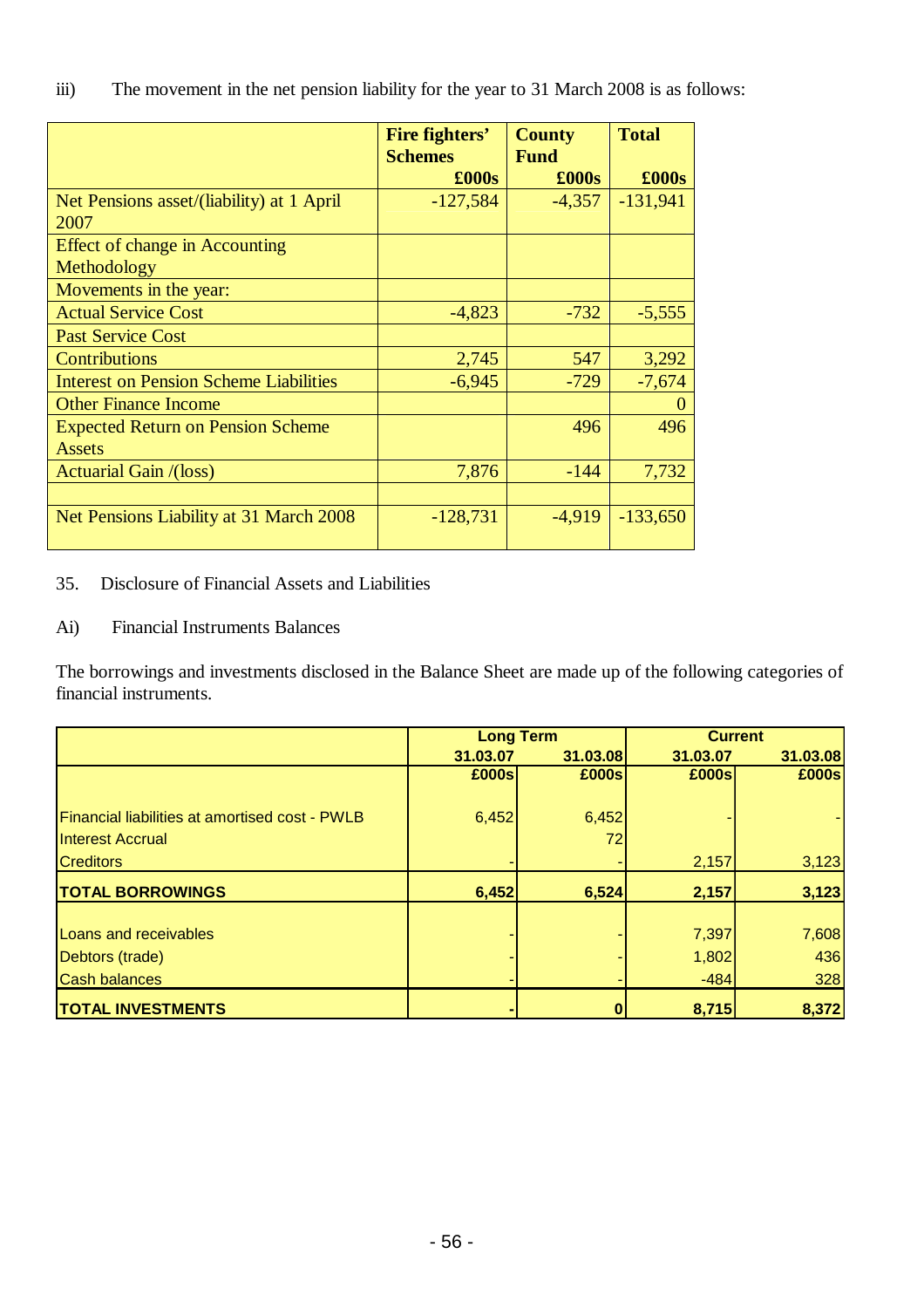| $\ddot{\text{iii}})$ |  | The movement in the net pension liability for the year to 31 March 2008 is as follows: |
|----------------------|--|----------------------------------------------------------------------------------------|
|                      |  |                                                                                        |

|                                                           | Fire fighters'<br><b>Schemes</b> | <b>County</b><br><b>Fund</b> | <b>Total</b> |
|-----------------------------------------------------------|----------------------------------|------------------------------|--------------|
|                                                           | £000s                            | $\pounds000s$                | £000s        |
| Net Pensions asset/(liability) at 1 April<br>2007         | $-127,584$                       | $-4,357$                     | $-131,941$   |
| <b>Effect of change in Accounting</b><br>Methodology      |                                  |                              |              |
| Movements in the year:                                    |                                  |                              |              |
| <b>Actual Service Cost</b>                                | $-4,823$                         | $-732$                       | $-5,555$     |
| <b>Past Service Cost</b>                                  |                                  |                              |              |
| <b>Contributions</b>                                      | 2,745                            | 547                          | 3,292        |
| <b>Interest on Pension Scheme Liabilities</b>             | $-6,945$                         | $-729$                       | $-7,674$     |
| <b>Other Finance Income</b>                               |                                  |                              |              |
| <b>Expected Return on Pension Scheme</b><br><b>Assets</b> |                                  | 496                          | 496          |
| <b>Actuarial Gain /(loss)</b>                             | 7,876                            | $-144$                       | 7,732        |
| Net Pensions Liability at 31 March 2008                   | $-128,731$                       | $-4,919$                     | $-133,650$   |

35. Disclosure of Financial Assets and Liabilities

Ai) Financial Instruments Balances

The borrowings and investments disclosed in the Balance Sheet are made up of the following categories of financial instruments.

|                                                       | <b>Long Term</b> |          | <b>Current</b> |          |
|-------------------------------------------------------|------------------|----------|----------------|----------|
|                                                       | 31.03.07         | 31.03.08 | 31.03.07       | 31.03.08 |
|                                                       | £000s            | £000s    | £000s          | £000s    |
|                                                       |                  |          |                |          |
| <b>Financial liabilities at amortised cost - PWLB</b> | 6,452            | 6,452    |                |          |
| <b>Interest Accrual</b>                               |                  | 72       |                |          |
| <b>Creditors</b>                                      |                  |          | 2,157          | 3,123    |
| <b>TOTAL BORROWINGS</b>                               | 6,452            | 6,524    | 2,157          | 3,123    |
|                                                       |                  |          |                |          |
| <b>Loans and receivables</b>                          |                  |          | 7,397          | 7,608    |
| Debtors (trade)                                       |                  |          | 1,802          | 436      |
| <b>Cash balances</b>                                  |                  |          | $-484$         | 328      |
| <b>TOTAL INVESTMENTS</b>                              |                  |          | 8,715          | 8,372    |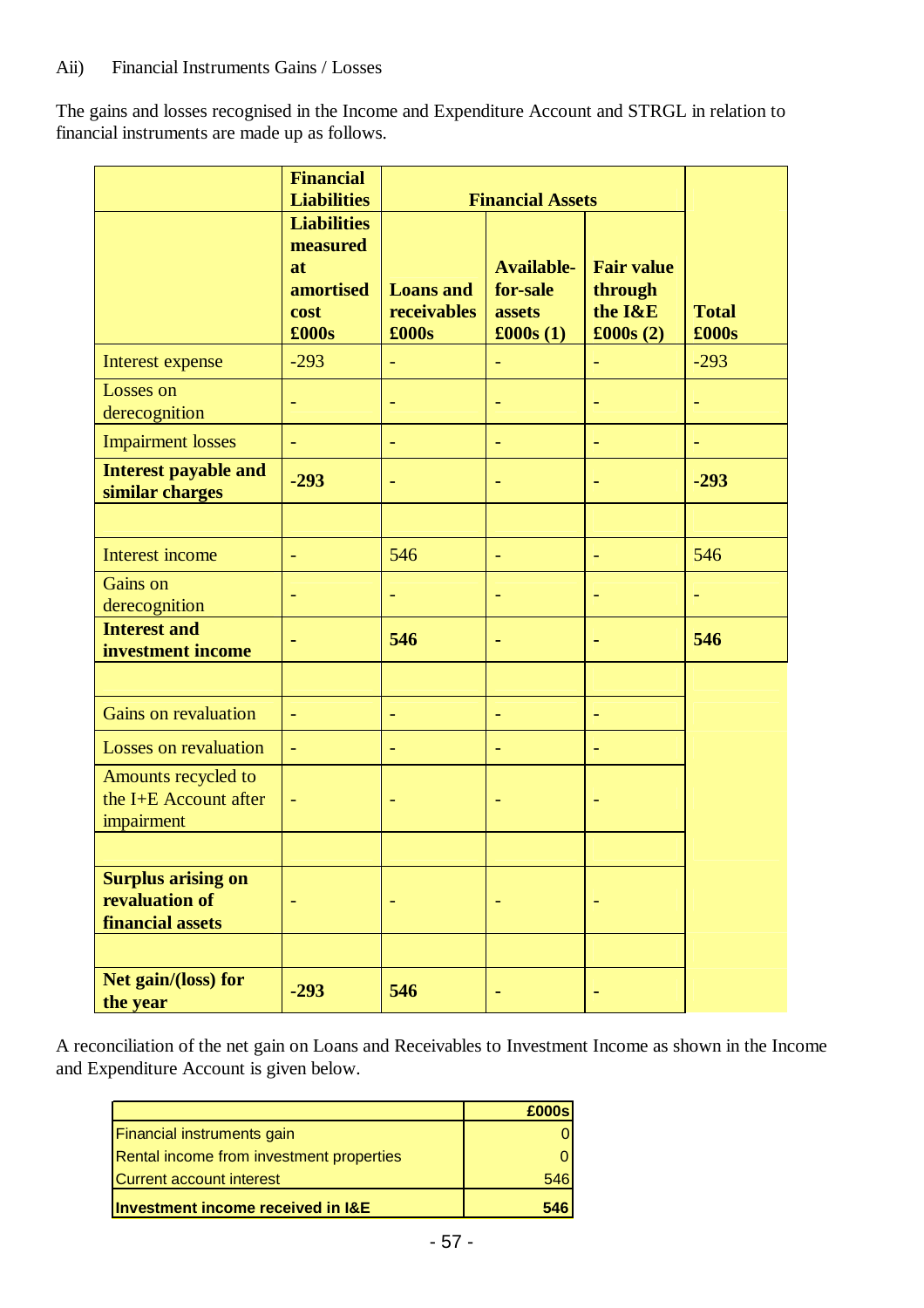The gains and losses recognised in the Income and Expenditure Account and STRGL in relation to financial instruments are made up as follows.

|                                                                 | <b>Financial</b><br><b>Liabilities</b>                                    | <b>Financial Assets</b>                  |                                                              |                                                     |                       |
|-----------------------------------------------------------------|---------------------------------------------------------------------------|------------------------------------------|--------------------------------------------------------------|-----------------------------------------------------|-----------------------|
|                                                                 | <b>Liabilities</b><br>measured<br>at<br><b>amortised</b><br>cost<br>£000s | <b>Loans</b> and<br>receivables<br>£000s | <b>Available-</b><br>for-sale<br>assets<br>$\pounds 000s(1)$ | <b>Fair value</b><br>through<br>the I&E<br>£000s(2) | <b>Total</b><br>£000s |
| Interest expense                                                | $-293$                                                                    | ÷                                        |                                                              | $\blacksquare$                                      | $-293$                |
| Losses on<br>derecognition                                      | ÷,                                                                        | $\overline{\phantom{a}}$                 | $\blacksquare$                                               | $\overline{\phantom{a}}$                            | $\equiv$              |
| <b>Impairment losses</b>                                        | u,                                                                        | u,                                       |                                                              | $\overline{\phantom{a}}$                            | ÷                     |
| <b>Interest payable and</b><br>similar charges                  | $-293$                                                                    | ۰                                        | ٠                                                            | ۰                                                   | $-293$                |
|                                                                 |                                                                           |                                          |                                                              |                                                     |                       |
| Interest income                                                 | $\overline{\phantom{0}}$                                                  | 546                                      | $\overline{\phantom{a}}$                                     | $\overline{\phantom{a}}$                            | 546                   |
| Gains on<br>derecognition                                       | ÷                                                                         | ÷                                        | ٠                                                            | $\overline{\phantom{a}}$                            | $\blacksquare$        |
| <b>Interest and</b><br>investment income                        |                                                                           | 546                                      | ۰                                                            |                                                     | 546                   |
|                                                                 |                                                                           |                                          |                                                              |                                                     |                       |
| Gains on revaluation                                            | ÷,                                                                        | ÷                                        | $\overline{\phantom{a}}$                                     | $\overline{\phantom{a}}$                            |                       |
| Losses on revaluation                                           | u,                                                                        | $\overline{\phantom{0}}$                 | ÷,                                                           | $\equiv$                                            |                       |
| Amounts recycled to<br>the I+E Account after<br>impairment      | $\blacksquare$                                                            |                                          | ٠                                                            |                                                     |                       |
|                                                                 |                                                                           |                                          |                                                              |                                                     |                       |
| <b>Surplus arising on</b><br>revaluation of<br>financial assets |                                                                           |                                          |                                                              |                                                     |                       |
|                                                                 |                                                                           |                                          |                                                              |                                                     |                       |
| Net gain/(loss) for<br>the year                                 | $-293$                                                                    | 546                                      |                                                              |                                                     |                       |

A reconciliation of the net gain on Loans and Receivables to Investment Income as shown in the Income and Expenditure Account is given below.

|                                          | £000s |
|------------------------------------------|-------|
| Financial instruments gain               |       |
| Rental income from investment properties |       |
| <b>Current account interest</b>          | 546   |
| Investment income received in I&E        | 546   |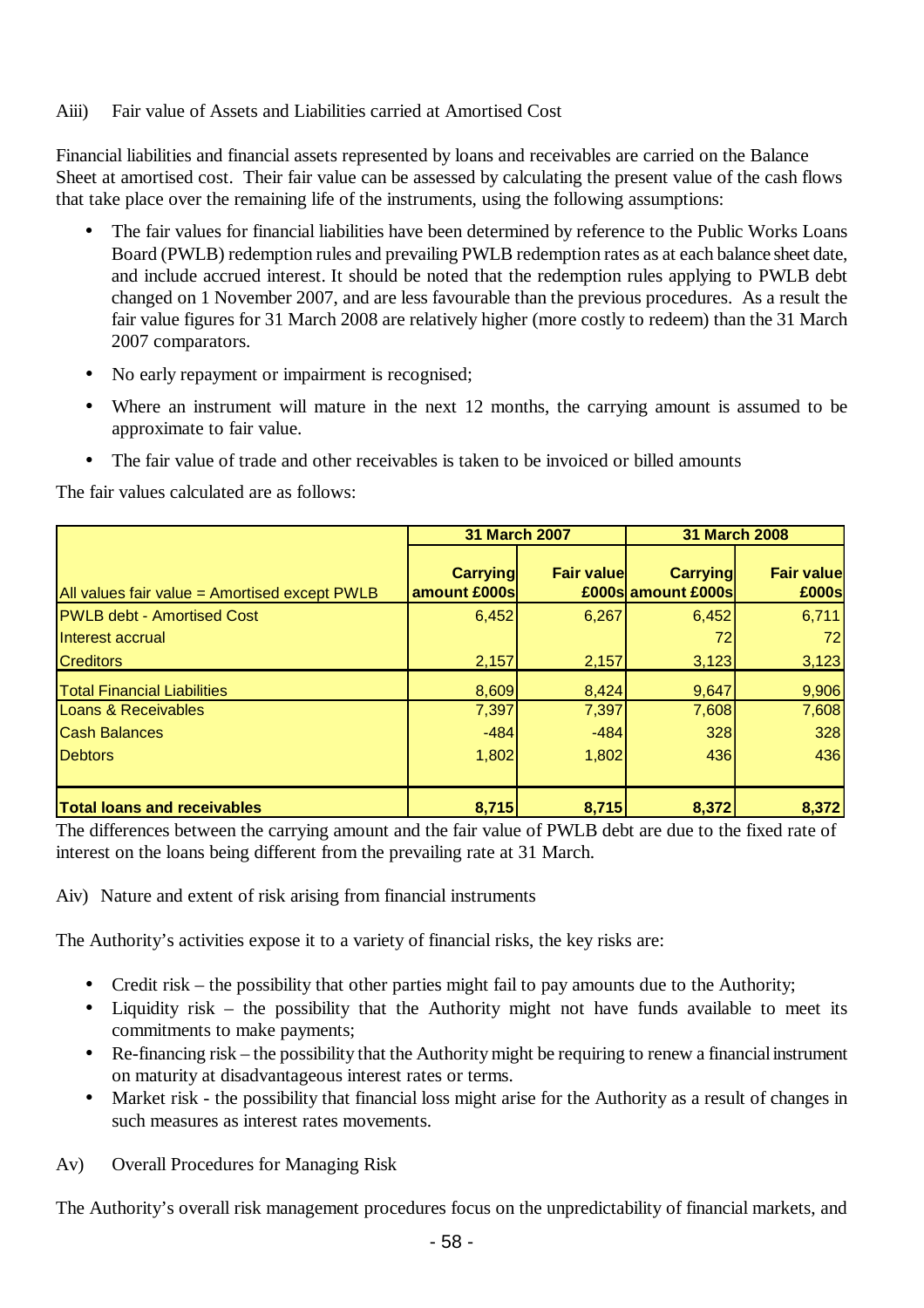### Aiii) Fair value of Assets and Liabilities carried at Amortised Cost

Financial liabilities and financial assets represented by loans and receivables are carried on the Balance Sheet at amortised cost. Their fair value can be assessed by calculating the present value of the cash flows that take place over the remaining life of the instruments, using the following assumptions:

- The fair values for financial liabilities have been determined by reference to the Public Works Loans Board (PWLB) redemption rules and prevailing PWLB redemption rates as at each balance sheet date, and include accrued interest. It should be noted that the redemption rules applying to PWLB debt changed on 1 November 2007, and are less favourable than the previous procedures. As a result the fair value figures for 31 March 2008 are relatively higher (more costly to redeem) than the 31 March 2007 comparators.
- No early repayment or impairment is recognised;
- Where an instrument will mature in the next 12 months, the carrying amount is assumed to be approximate to fair value.
- The fair value of trade and other receivables is taken to be invoiced or billed amounts

The fair values calculated are as follows:

|                                               | 31 March 2007                   |                   | 31 March 2008                         |                            |
|-----------------------------------------------|---------------------------------|-------------------|---------------------------------------|----------------------------|
| All values fair value = Amortised except PWLB | <b>Carrying</b><br>amount £000s | <b>Fair value</b> | <b>Carrying</b><br>£000s amount £000s | <b>Fair value</b><br>£000s |
| <b>PWLB debt - Amortised Cost</b>             | 6,452                           | 6,267             | 6,452                                 | 6,711                      |
| Interest accrual                              |                                 |                   | 72                                    | 72                         |
| <b>Creditors</b>                              | 2,157                           | 2,157             | 3,123                                 | 3,123                      |
| <b>Total Financial Liabilities</b>            | 8,609                           | 8,424             | 9,647                                 | 9,906                      |
| Loans & Receivables                           | 7,397                           | 7,397             | 7,608                                 | 7,608                      |
| <b>Cash Balances</b>                          | $-484$                          | $-484$            | 328                                   | 328                        |
| <b>Debtors</b>                                | 1,802                           | 1,802             | 436                                   | 436                        |
|                                               |                                 |                   |                                       |                            |
| <b>Total loans and receivables</b>            | 8,715                           | 8,715             | 8,372                                 | 8,372                      |

The differences between the carrying amount and the fair value of PWLB debt are due to the fixed rate of interest on the loans being different from the prevailing rate at 31 March.

Aiv) Nature and extent of risk arising from financial instruments

The Authority's activities expose it to a variety of financial risks, the key risks are:

- Credit risk the possibility that other parties might fail to pay amounts due to the Authority;
- Liquidity risk the possibility that the Authority might not have funds available to meet its commitments to make payments;
- Re-financing risk the possibility that the Authority might be requiring to renew a financial instrument on maturity at disadvantageous interest rates or terms.
- Market risk the possibility that financial loss might arise for the Authority as a result of changes in such measures as interest rates movements.
- Av) Overall Procedures for Managing Risk

The Authority's overall risk management procedures focus on the unpredictability of financial markets, and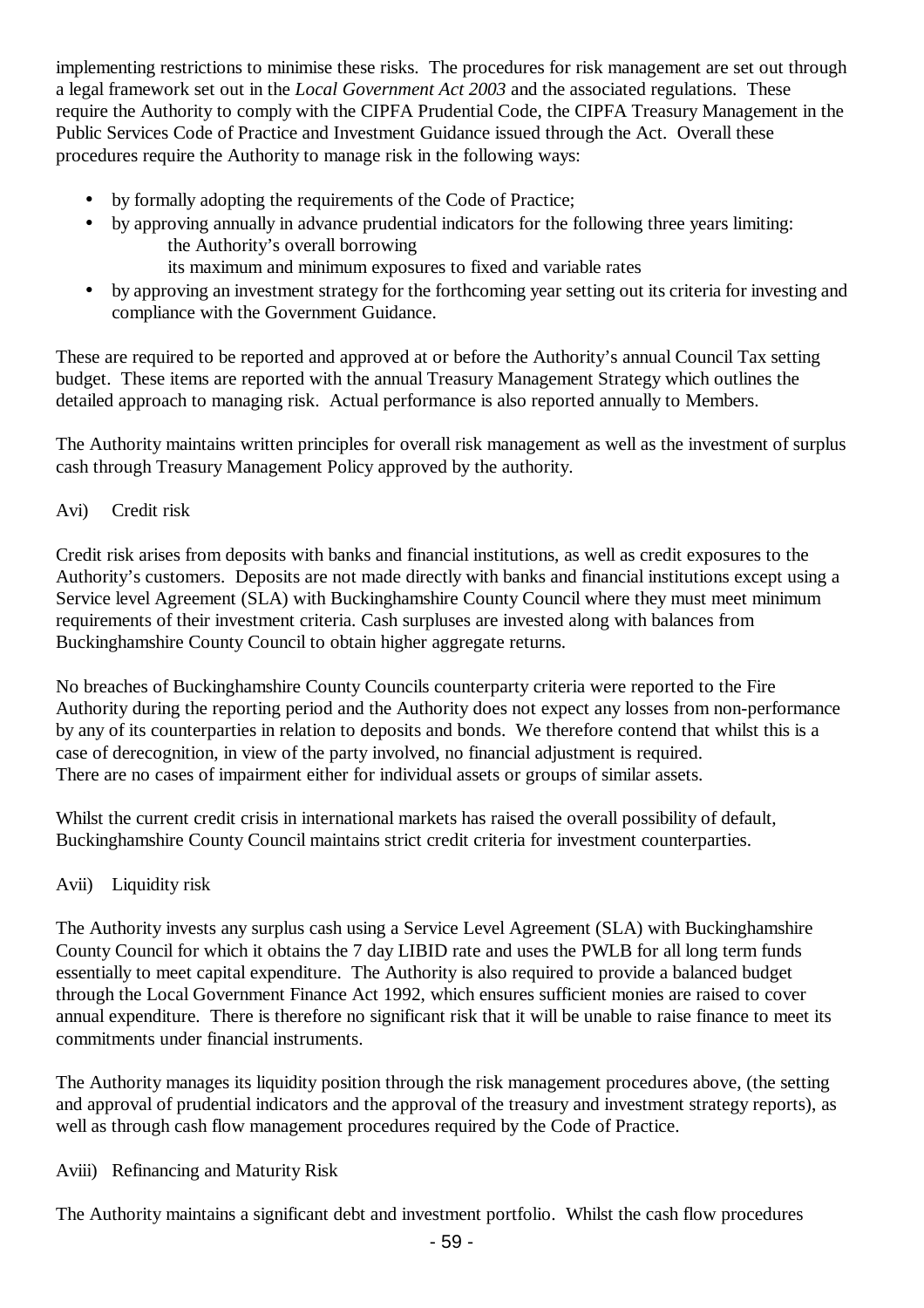implementing restrictions to minimise these risks. The procedures for risk management are set out through a legal framework set out in the *Local Government Act 2003* and the associated regulations. These require the Authority to comply with the CIPFA Prudential Code, the CIPFA Treasury Management in the Public Services Code of Practice and Investment Guidance issued through the Act. Overall these procedures require the Authority to manage risk in the following ways:

- by formally adopting the requirements of the Code of Practice:
- by approving annually in advance prudential indicators for the following three years limiting: the Authority's overall borrowing
	- its maximum and minimum exposures to fixed and variable rates
- by approving an investment strategy for the forthcoming year setting out its criteria for investing and compliance with the Government Guidance.

These are required to be reported and approved at or before the Authority's annual Council Tax setting budget. These items are reported with the annual Treasury Management Strategy which outlines the detailed approach to managing risk. Actual performance is also reported annually to Members.

The Authority maintains written principles for overall risk management as well as the investment of surplus cash through Treasury Management Policy approved by the authority.

## Avi) Credit risk

Credit risk arises from deposits with banks and financial institutions, as well as credit exposures to the Authority's customers. Deposits are not made directly with banks and financial institutions except using a Service level Agreement (SLA) with Buckinghamshire County Council where they must meet minimum requirements of their investment criteria. Cash surpluses are invested along with balances from Buckinghamshire County Council to obtain higher aggregate returns.

No breaches of Buckinghamshire County Councils counterparty criteria were reported to the Fire Authority during the reporting period and the Authority does not expect any losses from non-performance by any of its counterparties in relation to deposits and bonds. We therefore contend that whilst this is a case of derecognition, in view of the party involved, no financial adjustment is required. There are no cases of impairment either for individual assets or groups of similar assets.

Whilst the current credit crisis in international markets has raised the overall possibility of default, Buckinghamshire County Council maintains strict credit criteria for investment counterparties.

## Avii) Liquidity risk

The Authority invests any surplus cash using a Service Level Agreement (SLA) with Buckinghamshire County Council for which it obtains the 7 day LIBID rate and uses the PWLB for all long term funds essentially to meet capital expenditure. The Authority is also required to provide a balanced budget through the Local Government Finance Act 1992, which ensures sufficient monies are raised to cover annual expenditure. There is therefore no significant risk that it will be unable to raise finance to meet its commitments under financial instruments.

The Authority manages its liquidity position through the risk management procedures above, (the setting and approval of prudential indicators and the approval of the treasury and investment strategy reports), as well as through cash flow management procedures required by the Code of Practice.

## Aviii) Refinancing and Maturity Risk

The Authority maintains a significant debt and investment portfolio. Whilst the cash flow procedures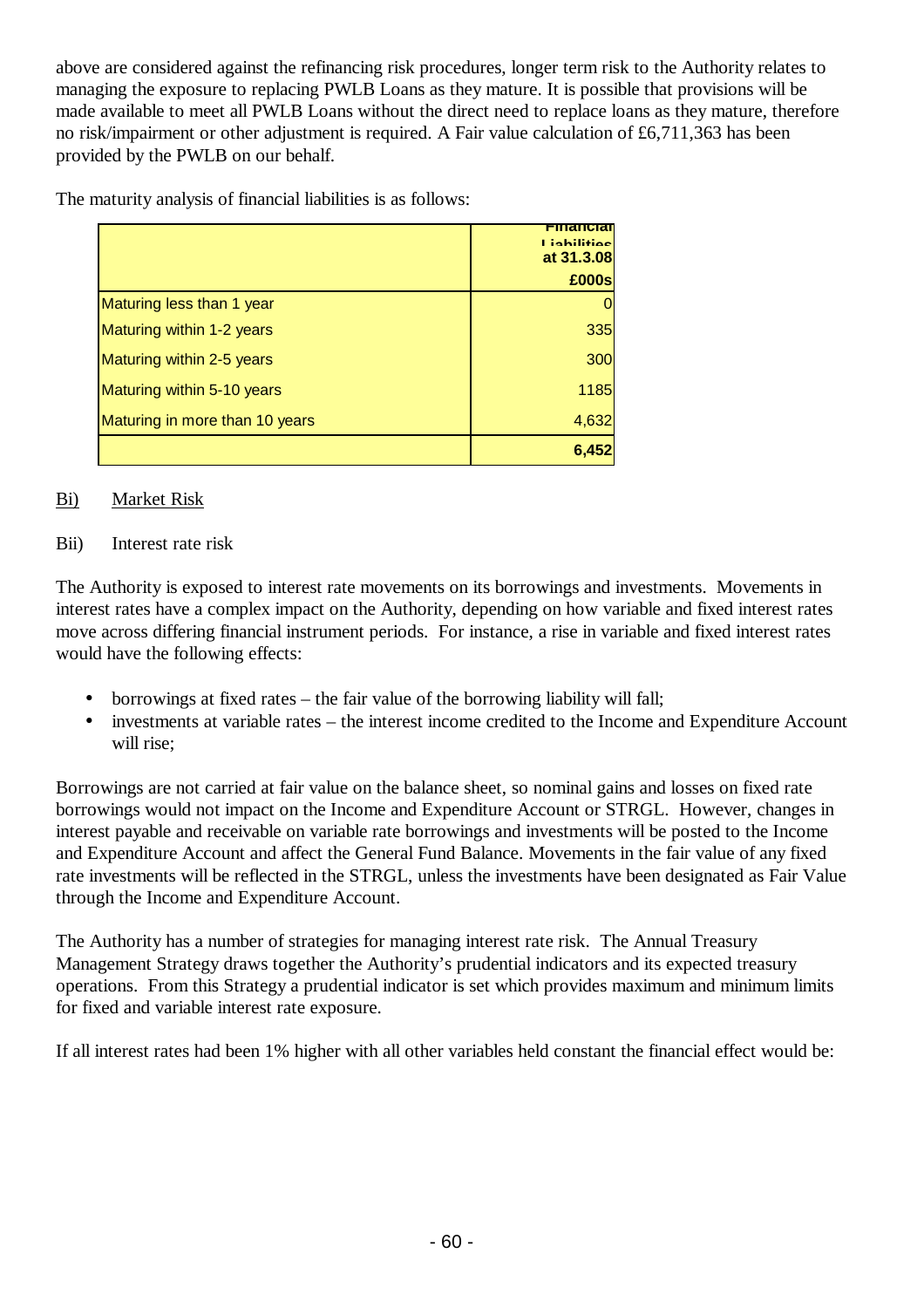above are considered against the refinancing risk procedures, longer term risk to the Authority relates to managing the exposure to replacing PWLB Loans as they mature. It is possible that provisions will be made available to meet all PWLB Loans without the direct need to replace loans as they mature, therefore no risk/impairment or other adjustment is required. A Fair value calculation of £6,711,363 has been provided by the PWLB on our behalf.

The maturity analysis of financial liabilities is as follows:

|                                | <u>Financia</u><br>Liabilities<br>at 31.3.08 |
|--------------------------------|----------------------------------------------|
|                                | £000s                                        |
| Maturing less than 1 year      |                                              |
| Maturing within 1-2 years      | 335                                          |
| Maturing within 2-5 years      | 300                                          |
| Maturing within 5-10 years     | 1185                                         |
| Maturing in more than 10 years | 4,632                                        |
|                                | 6,452                                        |

## Bi) Market Risk

## Bii) Interest rate risk

The Authority is exposed to interest rate movements on its borrowings and investments. Movements in interest rates have a complex impact on the Authority, depending on how variable and fixed interest rates move across differing financial instrument periods. For instance, a rise in variable and fixed interest rates would have the following effects:

- borrowings at fixed rates the fair value of the borrowing liability will fall;
- investments at variable rates the interest income credited to the Income and Expenditure Account will rise;

Borrowings are not carried at fair value on the balance sheet, so nominal gains and losses on fixed rate borrowings would not impact on the Income and Expenditure Account or STRGL. However, changes in interest payable and receivable on variable rate borrowings and investments will be posted to the Income and Expenditure Account and affect the General Fund Balance. Movements in the fair value of any fixed rate investments will be reflected in the STRGL, unless the investments have been designated as Fair Value through the Income and Expenditure Account.

The Authority has a number of strategies for managing interest rate risk. The Annual Treasury Management Strategy draws together the Authority's prudential indicators and its expected treasury operations. From this Strategy a prudential indicator is set which provides maximum and minimum limits for fixed and variable interest rate exposure.

If all interest rates had been 1% higher with all other variables held constant the financial effect would be: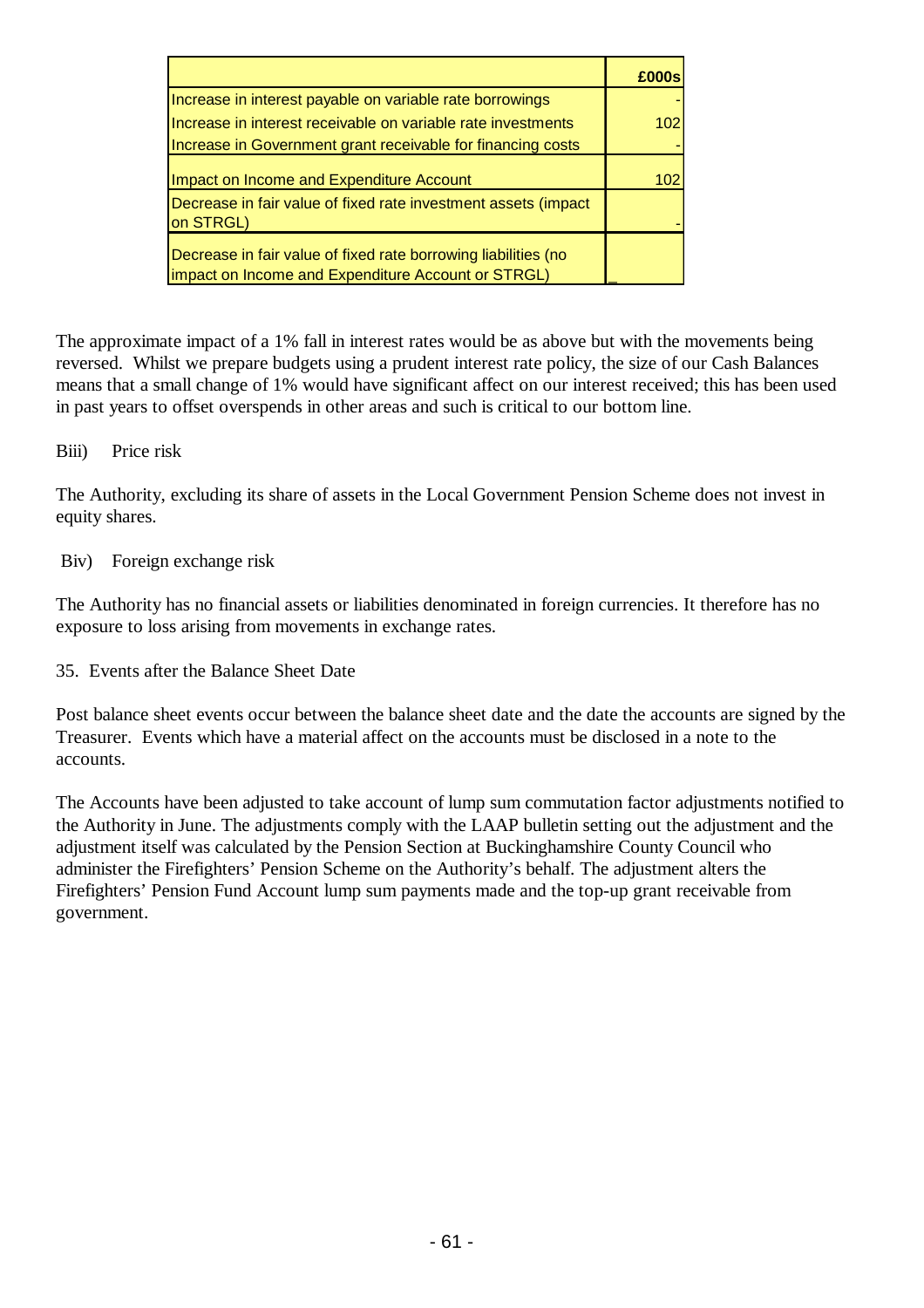|                                                                                                                      | £000s |
|----------------------------------------------------------------------------------------------------------------------|-------|
| Increase in interest payable on variable rate borrowings                                                             |       |
| Increase in interest receivable on variable rate investments                                                         | 102   |
| Increase in Government grant receivable for financing costs                                                          |       |
| Impact on Income and Expenditure Account                                                                             | 102   |
| Decrease in fair value of fixed rate investment assets (impact<br>on STRGL)                                          |       |
| Decrease in fair value of fixed rate borrowing liabilities (no<br>impact on Income and Expenditure Account or STRGL) |       |

The approximate impact of a 1% fall in interest rates would be as above but with the movements being reversed. Whilst we prepare budgets using a prudent interest rate policy, the size of our Cash Balances means that a small change of 1% would have significant affect on our interest received; this has been used in past years to offset overspends in other areas and such is critical to our bottom line.

#### Biii) Price risk

The Authority, excluding its share of assets in the Local Government Pension Scheme does not invest in equity shares.

#### Biv) Foreign exchange risk

The Authority has no financial assets or liabilities denominated in foreign currencies. It therefore has no exposure to loss arising from movements in exchange rates.

35. Events after the Balance Sheet Date

Post balance sheet events occur between the balance sheet date and the date the accounts are signed by the Treasurer. Events which have a material affect on the accounts must be disclosed in a note to the accounts.

The Accounts have been adjusted to take account of lump sum commutation factor adjustments notified to the Authority in June. The adjustments comply with the LAAP bulletin setting out the adjustment and the adjustment itself was calculated by the Pension Section at Buckinghamshire County Council who administer the Firefighters' Pension Scheme on the Authority's behalf. The adjustment alters the Firefighters' Pension Fund Account lump sum payments made and the top-up grant receivable from government.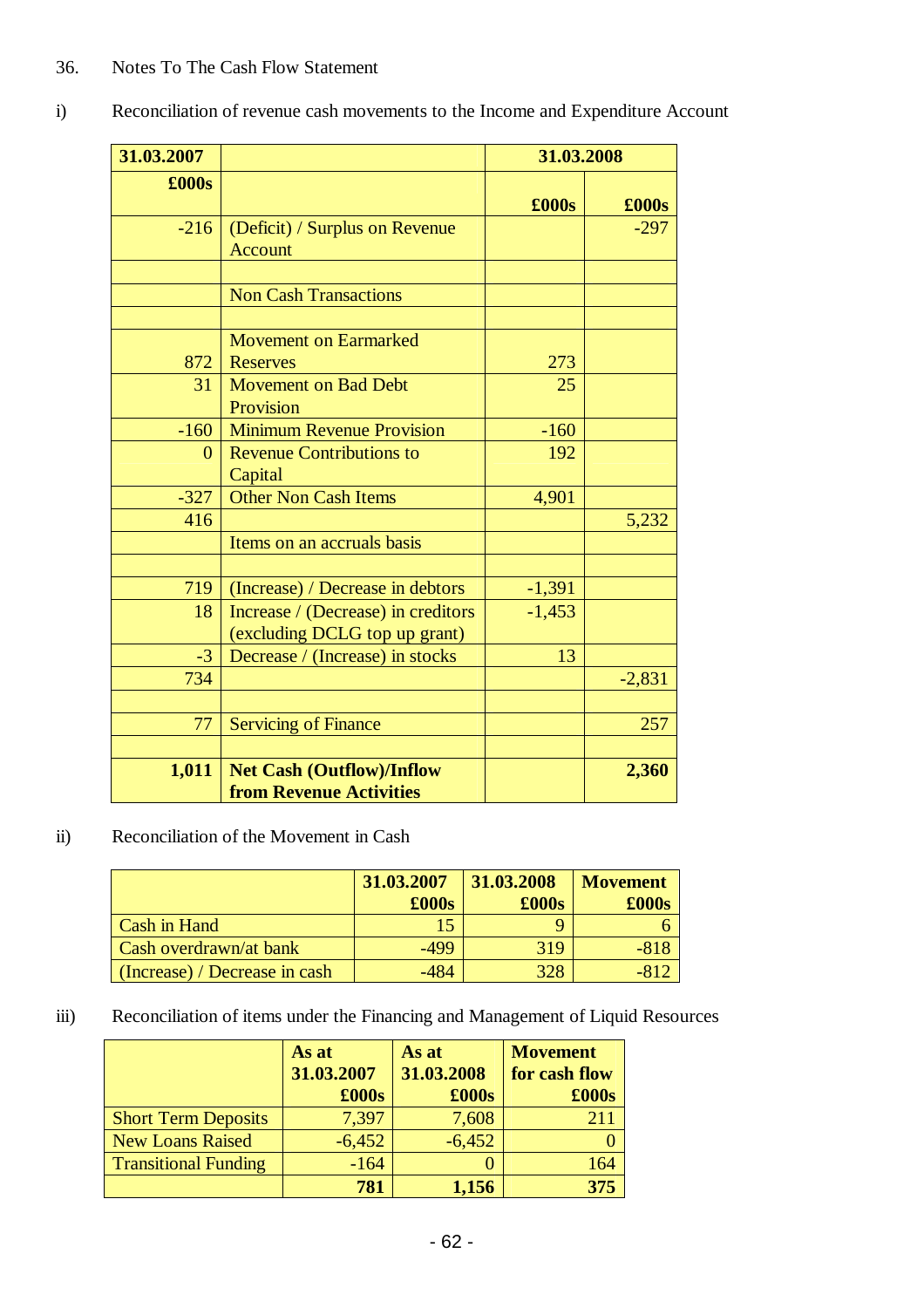| 31.03.2007    |                                                                     | 31.03.2008    |          |
|---------------|---------------------------------------------------------------------|---------------|----------|
| $\pounds000s$ |                                                                     | $\pounds000s$ | £000s    |
| $-216$        | (Deficit) / Surplus on Revenue<br><b>Account</b>                    |               | $-297$   |
|               | <b>Non Cash Transactions</b>                                        |               |          |
| 872           | <b>Movement on Earmarked</b><br><b>Reserves</b>                     | 273           |          |
| 31            | <b>Movement on Bad Debt</b><br>Provision                            | 25            |          |
| $-160$        | <b>Minimum Revenue Provision</b>                                    | $-160$        |          |
| $\Omega$      | <b>Revenue Contributions to</b><br>Capital                          | 192           |          |
| $-327$        | <b>Other Non Cash Items</b>                                         | 4,901         |          |
| 416           |                                                                     |               | 5,232    |
|               | Items on an accruals basis                                          |               |          |
| 719           | (Increase) / Decrease in debtors                                    | $-1,391$      |          |
| 18            | Increase / (Decrease) in creditors<br>(excluding DCLG top up grant) | $-1,453$      |          |
| $-3$          | Decrease / (Increase) in stocks                                     | 13            |          |
| 734           |                                                                     |               | $-2,831$ |
| 77            | <b>Servicing of Finance</b>                                         |               | 257      |
| 1,011         | <b>Net Cash (Outflow)/Inflow</b><br><b>from Revenue Activities</b>  |               | 2,360    |

i) Reconciliation of revenue cash movements to the Income and Expenditure Account

## ii) Reconciliation of the Movement in Cash

|                                      | 31.03.2007<br>$\pounds000s$ | 31.03.2008<br>$\pounds000s$ | <b>Movement</b><br>£000s |
|--------------------------------------|-----------------------------|-----------------------------|--------------------------|
| Cash in Hand                         |                             |                             |                          |
| <b>Cash overdrawn/at bank</b>        | -499                        | 319                         | $-818$                   |
| $\int$ (Increase) / Decrease in cash | $-484$                      | 328                         | -812                     |

## iii) Reconciliation of items under the Financing and Management of Liquid Resources

|                             | As at      | As at      | <b>Movement</b> |
|-----------------------------|------------|------------|-----------------|
|                             | 31.03.2007 | 31.03.2008 | for cash flow   |
|                             | £000s      | £000s      | $\pounds000s$   |
| <b>Short Term Deposits</b>  | 7,397      | 7,608      | 2.11            |
| <b>New Loans Raised</b>     | $-6,452$   | $-6,452$   |                 |
| <b>Transitional Funding</b> | $-164$     |            | 164             |
|                             | 781        | 1,156      | 375             |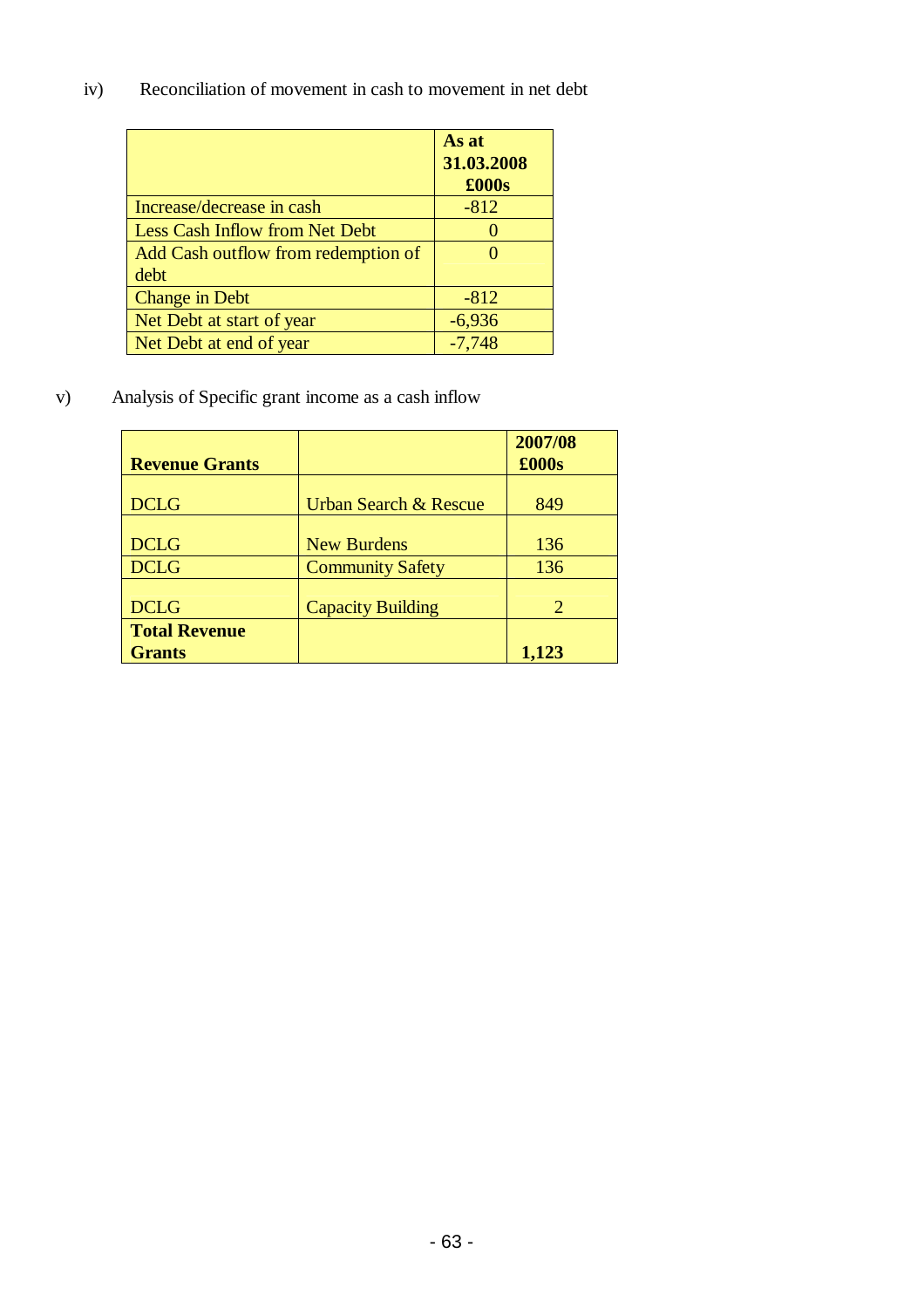iv) Reconciliation of movement in cash to movement in net debt

|                                       | As at<br>31.03.2008<br>£000s |
|---------------------------------------|------------------------------|
| Increase/decrease in cash             | $-812$                       |
| <b>Less Cash Inflow from Net Debt</b> |                              |
| Add Cash outflow from redemption of   | O                            |
| debt                                  |                              |
| <b>Change in Debt</b>                 | $-812$                       |
| Net Debt at start of year             | $-6,936$                     |
| Net Debt at end of year               | $-7,748$                     |

v) Analysis of Specific grant income as a cash inflow

| <b>Revenue Grants</b> |                                  | 2007/08<br>£000s |
|-----------------------|----------------------------------|------------------|
|                       |                                  |                  |
| <b>DCLG</b>           | <b>Urban Search &amp; Rescue</b> | 849              |
|                       |                                  |                  |
| <b>DCLG</b>           | <b>New Burdens</b>               | 136              |
| <b>DCLG</b>           | <b>Community Safety</b>          | 136              |
|                       |                                  |                  |
| <b>DCLG</b>           | <b>Capacity Building</b>         | 2                |
| <b>Total Revenue</b>  |                                  |                  |
| <b>Grants</b>         |                                  | 1,123            |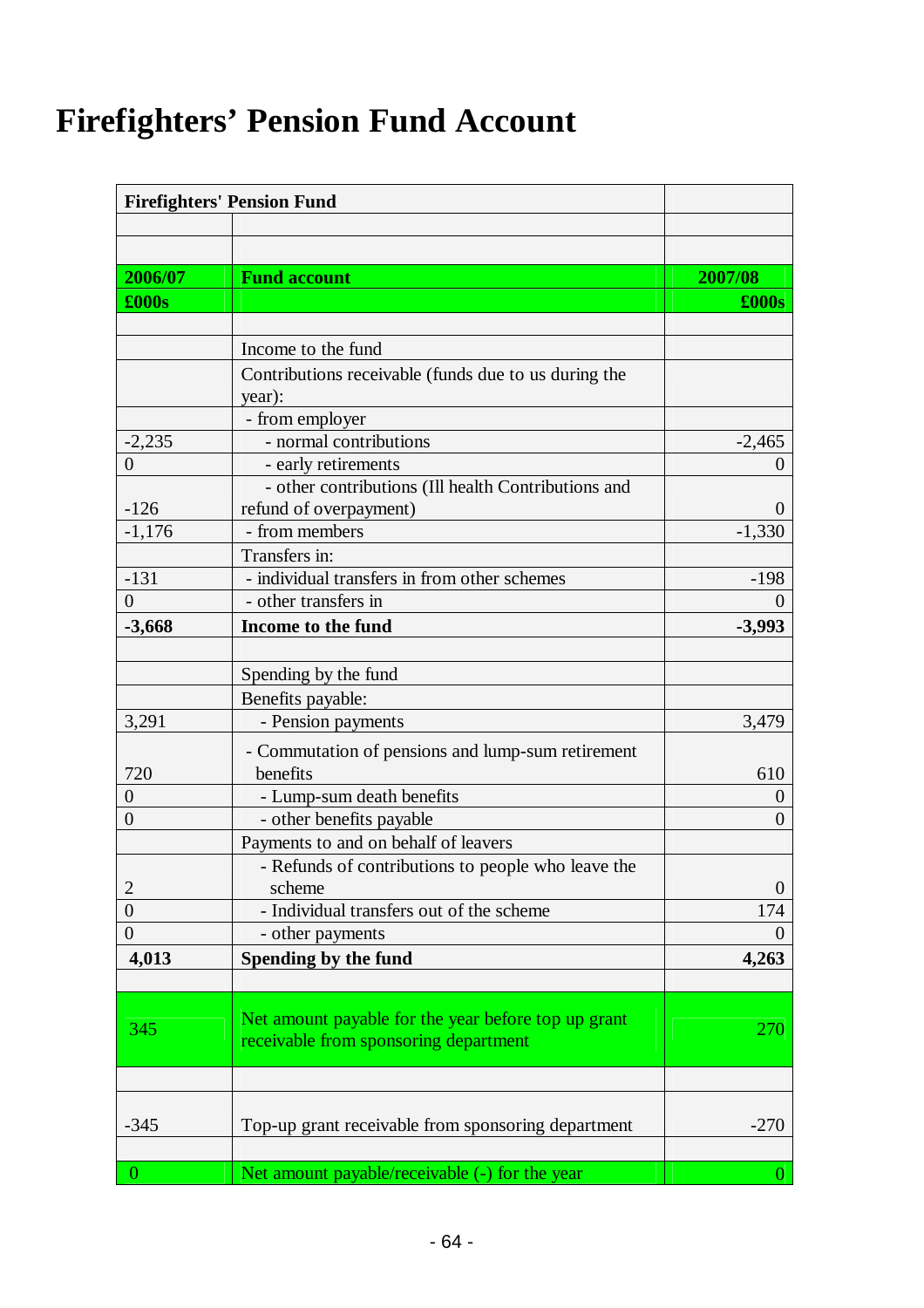# **Firefighters' Pension Fund Account**

|                     | <b>Firefighters' Pension Fund</b>                    |                |
|---------------------|------------------------------------------------------|----------------|
|                     |                                                      |                |
|                     |                                                      |                |
| 2006/07             | <b>Fund account</b>                                  | 2007/08        |
| $\pmb{\pounds}000s$ |                                                      | $\pounds000s$  |
|                     |                                                      |                |
|                     | Income to the fund                                   |                |
|                     | Contributions receivable (funds due to us during the |                |
|                     | year):                                               |                |
|                     | - from employer                                      |                |
| $-2,235$            | - normal contributions                               | $-2,465$       |
| $\overline{0}$      | - early retirements                                  | 0              |
|                     | - other contributions (Ill health Contributions and  |                |
| $-126$              | refund of overpayment)                               | $\theta$       |
| $-1,176$            | - from members                                       | $-1,330$       |
|                     | Transfers in:                                        |                |
| $-131$              | - individual transfers in from other schemes         | $-198$         |
| $\overline{0}$      | - other transfers in                                 | $\mathbf{0}$   |
| $-3,668$            | Income to the fund                                   | $-3,993$       |
|                     |                                                      |                |
|                     | Spending by the fund                                 |                |
|                     | Benefits payable:                                    |                |
| 3,291               | - Pension payments                                   | 3,479          |
|                     | - Commutation of pensions and lump-sum retirement    |                |
| 720                 | benefits                                             | 610            |
| $\overline{0}$      | - Lump-sum death benefits                            | $\overline{0}$ |
| $\theta$            | - other benefits payable                             | $\theta$       |
|                     | Payments to and on behalf of leavers                 |                |
|                     | - Refunds of contributions to people who leave the   |                |
| $\overline{c}$      | scheme                                               | $\theta$       |
| $\boldsymbol{0}$    | - Individual transfers out of the scheme             | 174            |
| $\overline{0}$      | - other payments                                     | $\Omega$       |
| 4,013               | Spending by the fund                                 | 4,263          |
|                     |                                                      |                |
|                     |                                                      |                |
| 345                 | Net amount payable for the year before top up grant  | 270            |
|                     | receivable from sponsoring department                |                |
|                     |                                                      |                |
|                     |                                                      |                |
|                     |                                                      |                |
| $-345$              | Top-up grant receivable from sponsoring department   | $-270$         |
|                     |                                                      |                |
| $\overline{0}$      | Net amount payable/receivable (-) for the year       | $\overline{0}$ |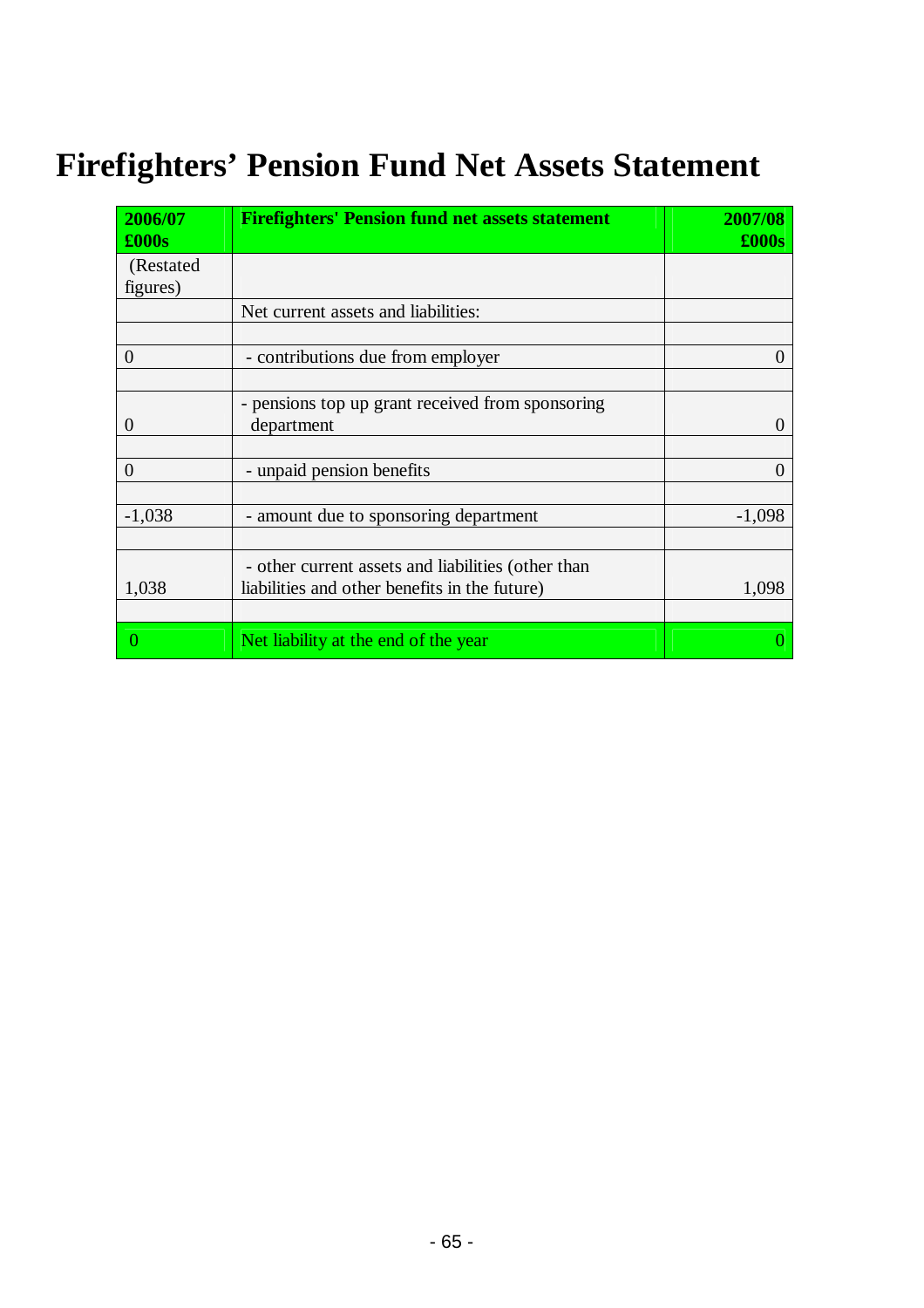# **Firefighters' Pension Fund Net Assets Statement**

| 2006/07<br>$\pounds000s$ | <b>Firefighters' Pension fund net assets statement</b>                                              | 2007/08<br>$\pounds000s$ |
|--------------------------|-----------------------------------------------------------------------------------------------------|--------------------------|
| (Restated)<br>figures)   |                                                                                                     |                          |
|                          | Net current assets and liabilities:                                                                 |                          |
| $\Omega$                 | - contributions due from employer                                                                   | $\theta$                 |
| $\theta$                 | - pensions top up grant received from sponsoring<br>department                                      | 0                        |
| $\theta$                 | - unpaid pension benefits                                                                           |                          |
| $-1,038$                 | - amount due to sponsoring department                                                               | $-1,098$                 |
| 1,038                    | - other current assets and liabilities (other than<br>liabilities and other benefits in the future) | 1,098                    |
| $\Omega$                 | Net liability at the end of the year                                                                |                          |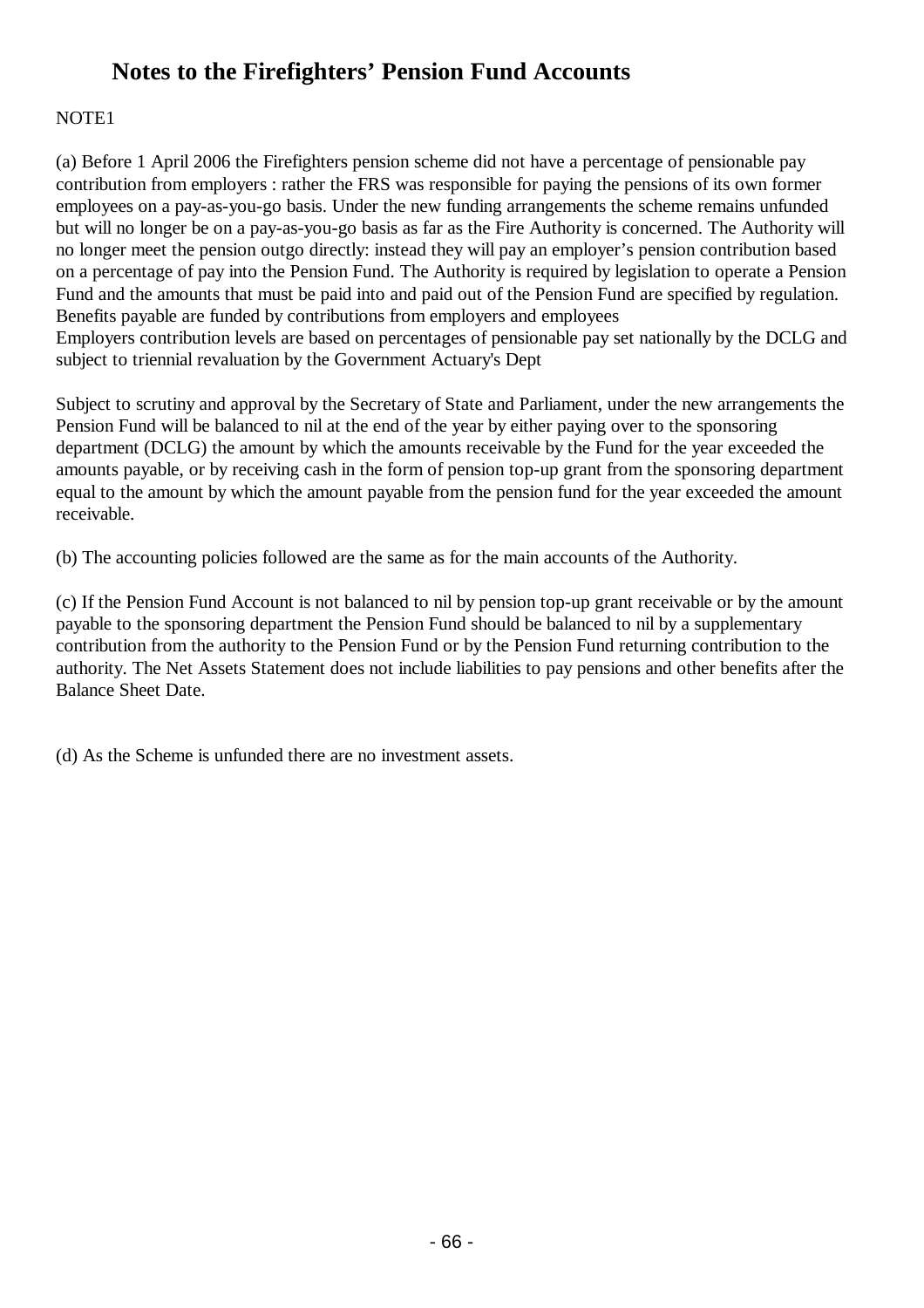## **Notes to the Firefighters' Pension Fund Accounts**

## NOTE1

(a) Before 1 April 2006 the Firefighters pension scheme did not have a percentage of pensionable pay contribution from employers : rather the FRS was responsible for paying the pensions of its own former employees on a pay-as-you-go basis. Under the new funding arrangements the scheme remains unfunded but will no longer be on a pay-as-you-go basis as far as the Fire Authority is concerned. The Authority will no longer meet the pension outgo directly: instead they will pay an employer's pension contribution based on a percentage of pay into the Pension Fund. The Authority is required by legislation to operate a Pension Fund and the amounts that must be paid into and paid out of the Pension Fund are specified by regulation. Benefits payable are funded by contributions from employers and employees Employers contribution levels are based on percentages of pensionable pay set nationally by the DCLG and subject to triennial revaluation by the Government Actuary's Dept

Subject to scrutiny and approval by the Secretary of State and Parliament, under the new arrangements the Pension Fund will be balanced to nil at the end of the year by either paying over to the sponsoring department (DCLG) the amount by which the amounts receivable by the Fund for the year exceeded the amounts payable, or by receiving cash in the form of pension top-up grant from the sponsoring department equal to the amount by which the amount payable from the pension fund for the year exceeded the amount receivable.

(b) The accounting policies followed are the same as for the main accounts of the Authority.

(c) If the Pension Fund Account is not balanced to nil by pension top-up grant receivable or by the amount payable to the sponsoring department the Pension Fund should be balanced to nil by a supplementary contribution from the authority to the Pension Fund or by the Pension Fund returning contribution to the authority. The Net Assets Statement does not include liabilities to pay pensions and other benefits after the Balance Sheet Date.

(d) As the Scheme is unfunded there are no investment assets.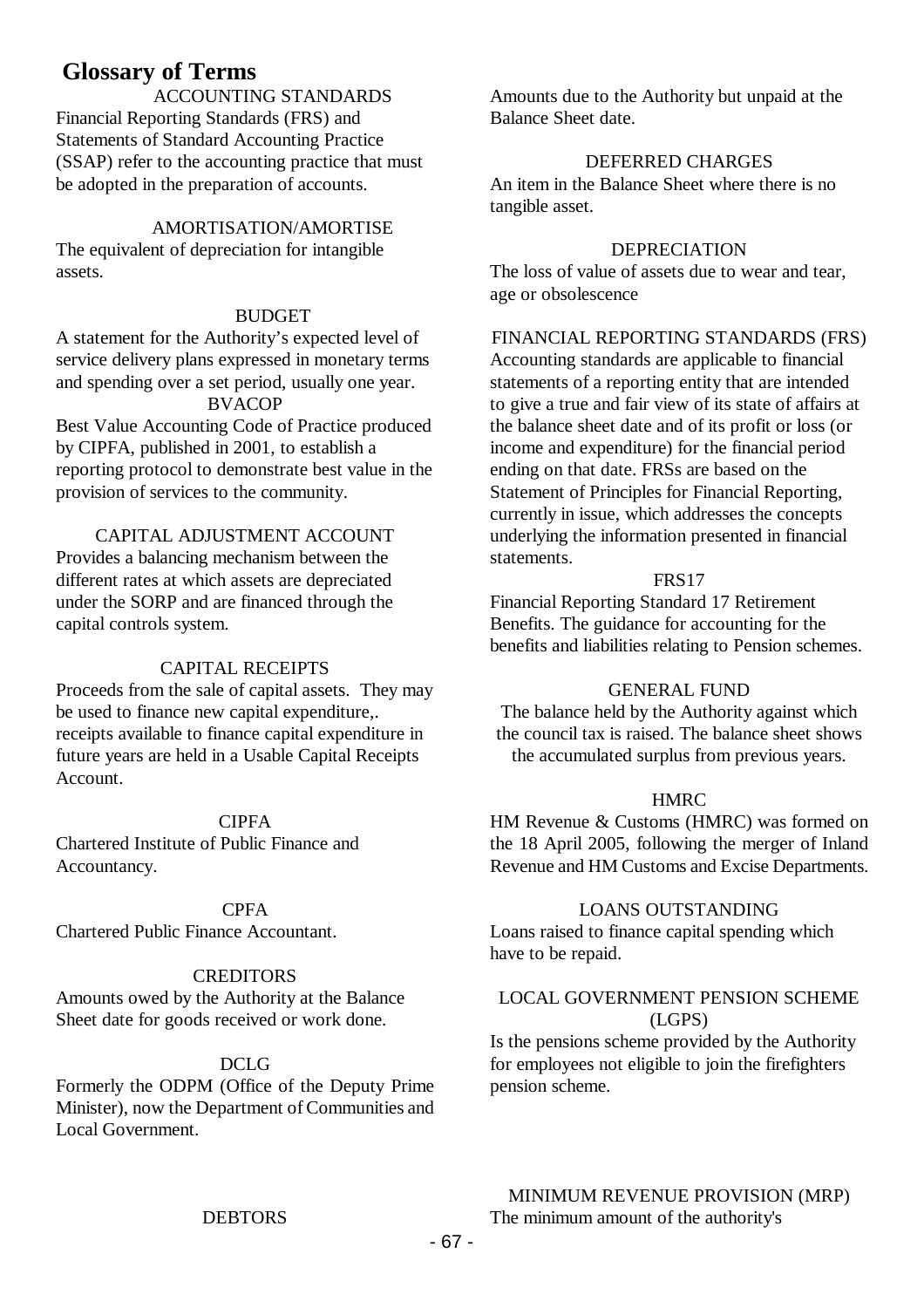## **Glossary of Terms**

ACCOUNTING STANDARDS Financial Reporting Standards (FRS) and Statements of Standard Accounting Practice (SSAP) refer to the accounting practice that must be adopted in the preparation of accounts.

### AMORTISATION/AMORTISE

The equivalent of depreciation for intangible assets.

#### BUDGET

A statement for the Authority's expected level of service delivery plans expressed in monetary terms and spending over a set period, usually one year.

## **BVACOP**

Best Value Accounting Code of Practice produced by CIPFA, published in 2001, to establish a reporting protocol to demonstrate best value in the provision of services to the community.

## CAPITAL ADJUSTMENT ACCOUNT

Provides a balancing mechanism between the different rates at which assets are depreciated under the SORP and are financed through the capital controls system.

#### CAPITAL RECEIPTS

Proceeds from the sale of capital assets. They may be used to finance new capital expenditure,. receipts available to finance capital expenditure in future years are held in a Usable Capital Receipts Account.

#### **CIPFA**

Chartered Institute of Public Finance and Accountancy.

#### **CPFA**

Chartered Public Finance Accountant.

#### **CREDITORS**

Amounts owed by the Authority at the Balance Sheet date for goods received or work done.

## DCLG

Formerly the ODPM (Office of the Deputy Prime Minister), now the Department of Communities and Local Government.

Amounts due to the Authority but unpaid at the Balance Sheet date.

#### DEFERRED CHARGES

An item in the Balance Sheet where there is no tangible asset.

#### DEPRECIATION

The loss of value of assets due to wear and tear, age or obsolescence

#### FINANCIAL REPORTING STANDARDS (FRS)

Accounting standards are applicable to financial statements of a reporting entity that are intended to give a true and fair view of its state of affairs at the balance sheet date and of its profit or loss (or income and expenditure) for the financial period ending on that date. FRSs are based on the Statement of Principles for Financial Reporting, currently in issue, which addresses the concepts underlying the information presented in financial statements.

#### FRS17

Financial Reporting Standard 17 Retirement Benefits. The guidance for accounting for the benefits and liabilities relating to Pension schemes.

#### GENERAL FUND

The balance held by the Authority against which the council tax is raised. The balance sheet shows the accumulated surplus from previous years.

#### **HMRC**

HM Revenue & Customs (HMRC) was formed on the 18 April 2005, following the merger of Inland Revenue and HM Customs and Excise Departments.

#### LOANS OUTSTANDING

Loans raised to finance capital spending which have to be repaid.

## LOCAL GOVERNMENT PENSION SCHEME (LGPS)

Is the pensions scheme provided by the Authority for employees not eligible to join the firefighters pension scheme.

MINIMUM REVENUE PROVISION (MRP) The minimum amount of the authority's